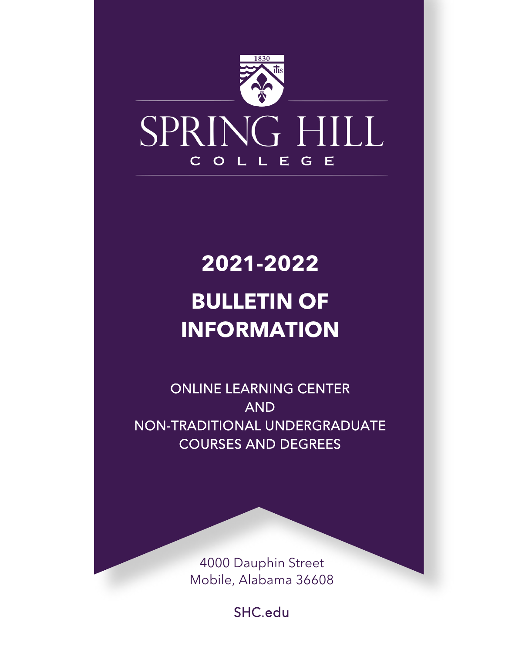

# **2021-2022**

# **BULLETIN OF INFORMATION**

ONLINE LEARNING CENTER AND NON-TRADITIONAL UNDERGRADUATE COURSES AND DEGREES

> 4000 Dauphin Street Mobile, Alabama 36608

> > SHC.edu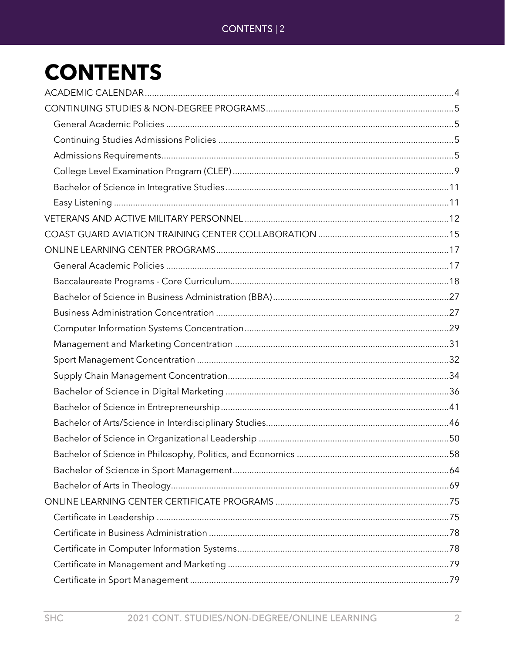# CONTENTS | 2

# **CONTENTS**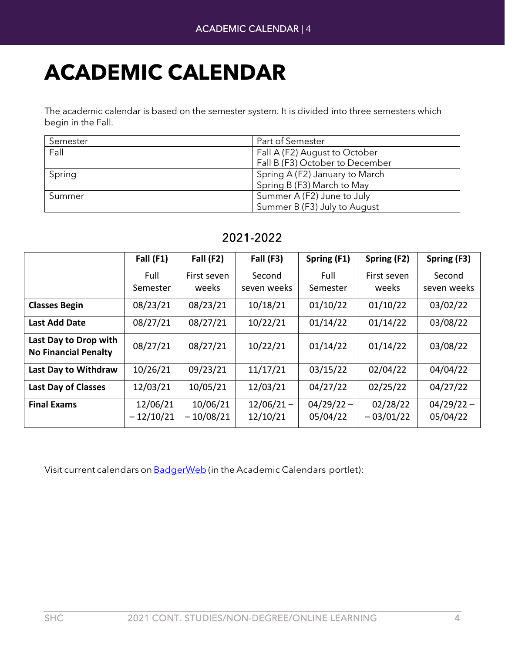# <span id="page-3-0"></span>**ACADEMIC CALENDAR**

The academic calendar is based on the semester system. It is divided into three semesters which begin in the Fall.

| Semester | Part of Semester                |
|----------|---------------------------------|
| Fall     | Fall A (F2) August to October   |
|          | Fall B (F3) October to December |
| Spring   | Spring A (F2) January to March  |
|          | Spring B (F3) March to May      |
| Summer   | Summer A (F2) June to July      |
|          | Summer B (F3) July to August    |

|                                                      | Fall $(F1)$             | Fall (F2)               | Fall (F3)                | Spring (F1)              | Spring (F2)             | Spring (F3)              |
|------------------------------------------------------|-------------------------|-------------------------|--------------------------|--------------------------|-------------------------|--------------------------|
|                                                      | Full<br>Semester        | First seven<br>weeks    | Second<br>seven weeks    | Full<br>Semester         | First seven<br>weeks    | Second<br>seven weeks    |
| <b>Classes Begin</b>                                 | 08/23/21                | 08/23/21                | 10/18/21                 | 01/10/22                 | 01/10/22                | 03/02/22                 |
| <b>Last Add Date</b>                                 | 08/27/21                | 08/27/21                | 10/22/21                 | 01/14/22                 | 01/14/22                | 03/08/22                 |
| Last Day to Drop with<br><b>No Financial Penalty</b> | 08/27/21                | 08/27/21                | 10/22/21                 | 01/14/22                 | 01/14/22                | 03/08/22                 |
| Last Day to Withdraw                                 | 10/26/21                | 09/23/21                | 11/17/21                 | 03/15/22                 | 02/04/22                | 04/04/22                 |
| <b>Last Day of Classes</b>                           | 12/03/21                | 10/05/21                | 12/03/21                 | 04/27/22                 | 02/25/22                | 04/27/22                 |
| <b>Final Exams</b>                                   | 12/06/21<br>$-12/10/21$ | 10/06/21<br>$-10/08/21$ | $12/06/21 -$<br>12/10/21 | $04/29/22 -$<br>05/04/22 | 02/28/22<br>$-03/01/22$ | $04/29/22 -$<br>05/04/22 |

## 2021-2022

Visit current calendars on [BadgerWeb](https://badgerweb.shc.edu/ICS/Registrar/Registrar%27s_Office.jnz?portlet=Handouts_2014-11-21T12-08-26-996) (in the Academic Calendars portlet):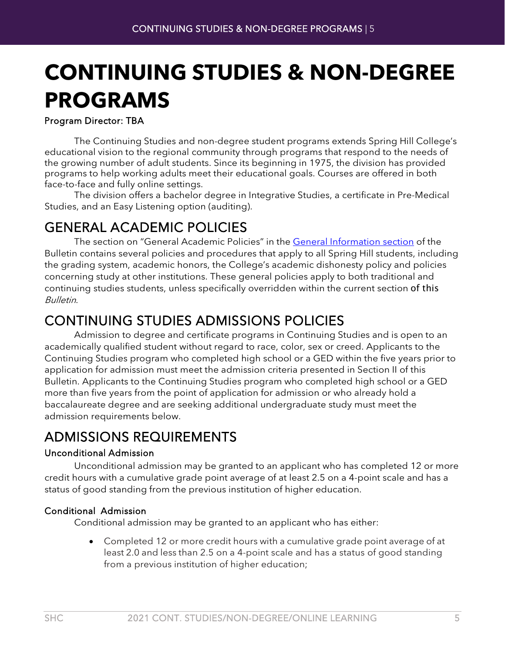# <span id="page-4-0"></span>**CONTINUING STUDIES & NON-DEGREE PROGRAMS**

#### Program Director: TBA

The Continuing Studies and non-degree student programs extends Spring Hill College's educational vision to the regional community through programs that respond to the needs of the growing number of adult students. Since its beginning in 1975, the division has provided programs to help working adults meet their educational goals. Courses are offered in both face-to-face and fully online settings.

The division offers a bachelor degree in Integrative Studies, a certificate in Pre-Medical Studies, and an Easy Listening option (auditing).

<span id="page-4-1"></span>GENERAL ACADEMIC POLICIES The section on "General Academic Policies" in the [General Information section](https://badgerweb.shc.edu/ICS/Portlets/ICS/Handoutportlet/viewhandler.ashx?handout_id=e2b44e6c-eea0-4535-89c2-3a1bd363f40c) of the Bulletin contains several policies and procedures that apply to all Spring Hill students, including the grading system, academic honors, the College's academic dishonesty policy and policies concerning study at other institutions. These general policies apply to both traditional and continuing studies students, unless specifically overridden within the current section of this Bulletin.

# <span id="page-4-2"></span>CONTINUING STUDIES ADMISSIONS POLICIES Admission to degree and certificate programs in Continuing Studies and is open to an

academically qualified student without regard to race, color, sex or creed. Applicants to the Continuing Studies program who completed high school or a GED within the five years prior to application for admission must meet the admission criteria presented in Section II of this Bulletin. Applicants to the Continuing Studies program who completed high school or a GED more than five years from the point of application for admission or who already hold a baccalaureate degree and are seeking additional undergraduate study must meet the admission requirements below.

# <span id="page-4-3"></span>ADMISSIONS REQUIREMENTS

#### Unconditional Admission

Unconditional admission may be granted to an applicant who has completed 12 or more credit hours with a cumulative grade point average of at least 2.5 on a 4-point scale and has a status of good standing from the previous institution of higher education.

#### Conditional Admission

Conditional admission may be granted to an applicant who has either:

• Completed 12 or more credit hours with a cumulative grade point average of at least 2.0 and less than 2.5 on a 4-point scale and has a status of good standing from a previous institution of higher education;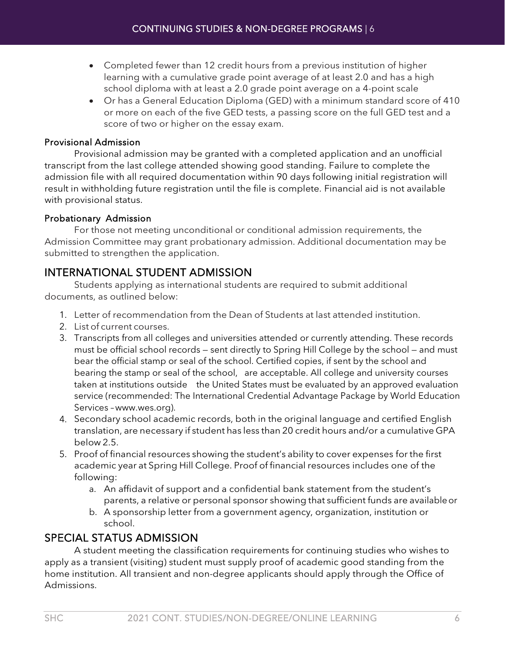- Completed fewer than 12 credit hours from a previous institution of higher learning with a cumulative grade point average of at least 2.0 and has a high school diploma with at least a 2.0 grade point average on a 4-point scale
- Or has a General Education Diploma (GED) with a minimum standard score of 410 or more on each of the five GED tests, a passing score on the full GED test and a score of two or higher on the essay exam.

#### Provisional Admission

Provisional admission may be granted with a completed application and an unofficial transcript from the last college attended showing good standing. Failure to complete the admission file with all required documentation within 90 days following initial registration will result in withholding future registration until the file is complete. Financial aid is not available with provisional status.

#### Probationary Admission

For those not meeting unconditional or conditional admission requirements, the Admission Committee may grant probationary admission. Additional documentation may be submitted to strengthen the application.

# INTERNATIONAL STUDENT ADMISSION

Students applying as international students are required to submit additional documents, as outlined below:

- 1. Letter of recommendation from the Dean of Students at last attended institution.
- 2. List of current courses.
- 3. Transcripts from all colleges and universities attended or currently attending. These records must be official school records — sent directly to Spring Hill College by the school — and must bear the official stamp or seal of the school. Certified copies, if sent by the school and bearing the stamp or seal of the school, are acceptable. All college and university courses taken at institutions outside the United States must be evaluated by an approved evaluation service (recommended: The International Credential Advantage Package by World Education Services [–www.wes.org\)](http://www.wes.org/).
- 4. Secondary school academic records, both in the original language and certified English translation, are necessary if student has less than 20 credit hours and/or a cumulative GPA below 2.5.
- 5. Proof of financial resources showing the student's ability to cover expenses for the first academic year at Spring Hill College. Proof of financial resources includes one of the following:
	- a. An affidavit of support and a confidential bank statement from the student's parents, a relative or personal sponsor showing that sufficient funds are availableor
	- b. A sponsorship letter from a government agency, organization, institution or school.

## SPECIAL STATUS ADMISSION

A student meeting the classification requirements for continuing studies who wishes to apply as a transient (visiting) student must supply proof of academic good standing from the home institution. All transient and non-degree applicants should apply through the Office of Admissions.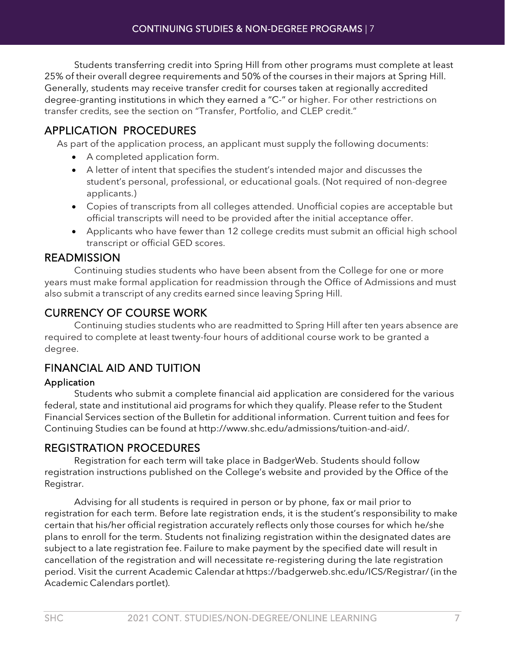Students transferring credit into Spring Hill from other programs must complete at least 25% of their overall degree requirements and 50% of the courses in their majors at Spring Hill. Generally, students may receive transfer credit for courses taken at regionally accredited degree-granting institutions in which they earned a "C-" or higher. For other restrictions on transfer credits, see the section on "Transfer, Portfolio, and CLEP credit."

## APPLICATION PROCEDURES

As part of the application process, an applicant must supply the following documents:

- A completed application form.
- A letter of intent that specifies the student's intended major and discusses the student's personal, professional, or educational goals. (Not required of non-degree applicants.)
- Copies of transcripts from all colleges attended. Unofficial copies are acceptable but official transcripts will need to be provided after the initial acceptance offer.
- Applicants who have fewer than 12 college credits must submit an official high school transcript or official GED scores.

#### READMISSION

Continuing studies students who have been absent from the College for one or more years must make formal application for readmission through the Office of Admissions and must also submit a transcript of any credits earned since leaving Spring Hill.

## CURRENCY OF COURSE WORK

Continuing studies students who are readmitted to Spring Hill after ten years absence are required to complete at least twenty-four hours of additional course work to be granted a degree.

# FINANCIAL AID AND TUITION

#### Application

Students who submit a complete financial aid application are considered for the various federal, state and institutional aid programs for which they qualify. Please refer to the Student Financial Services section of the Bulletin for additional information. Current tuition and fees for Continuing Studies can be found at [http://www.shc.edu/admissions/tuition-and-aid/.](http://www.shc.edu/admissions/tuition-and-aid/)

## REGISTRATION PROCEDURES

Registration for each term will take place in BadgerWeb. Students should follow registration instructions published on the College's website and provided by the Office of the Registrar.

Advising for all students is required in person or by phone, fax or mail prior to registration for each term. Before late registration ends, it is the student's responsibility to make certain that his/her official registration accurately reflects only those courses for which he/she plans to enroll for the term. Students not finalizing registration within the designated dates are subject to a late registration fee. Failure to make payment by the specified date will result in cancellation of the registration and will necessitate re-registering during the late registration period. Visit the current Academic Calendar at <https://badgerweb.shc.edu/ICS/Registrar/>(in the Academic Calendars portlet).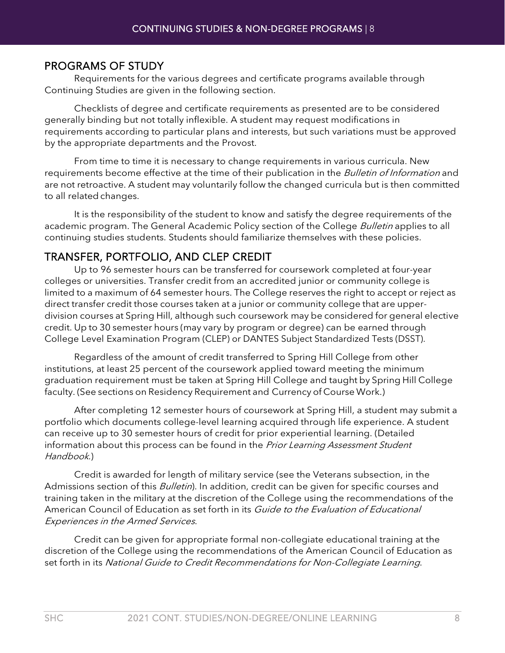#### PROGRAMS OF STUDY

Requirements for the various degrees and certificate programs available through Continuing Studies are given in the following section.

Checklists of degree and certificate requirements as presented are to be considered generally binding but not totally inflexible. A student may request modifications in requirements according to particular plans and interests, but such variations must be approved by the appropriate departments and the Provost.

From time to time it is necessary to change requirements in various curricula. New requirements become effective at the time of their publication in the *Bulletin of Information* and are not retroactive. A student may voluntarily follow the changed curricula but is then committed to all related changes.

It is the responsibility of the student to know and satisfy the degree requirements of the academic program. The General Academic Policy section of the College *Bulletin* applies to all continuing studies students. Students should familiarize themselves with these policies.

#### TRANSFER, PORTFOLIO, AND CLEP CREDIT

Up to 96 semester hours can be transferred for coursework completed at four-year colleges or universities. Transfer credit from an accredited junior or community college is limited to a maximum of 64 semester hours. The College reserves the right to accept or reject as direct transfer credit those courses taken at a junior or community college that are upperdivision courses at Spring Hill, although such coursework may be considered for general elective credit. Up to 30 semester hours (may vary by program or degree) can be earned through College Level Examination Program (CLEP) or DANTES Subject Standardized Tests (DSST).

Regardless of the amount of credit transferred to Spring Hill College from other institutions, at least 25 percent of the coursework applied toward meeting the minimum graduation requirement must be taken at Spring Hill College and taught by Spring Hill College faculty. (See sections on Residency Requirement and Currency of Course Work.)

After completing 12 semester hours of coursework at Spring Hill, a student may submit a portfolio which documents college-level learning acquired through life experience. A student can receive up to 30 semester hours of credit for prior experiential learning. (Detailed information about this process can be found in the Prior Learning Assessment Student Handbook.)

Credit is awarded for length of military service (see the Veterans subsection, in the Admissions section of this *Bulletin*). In addition, credit can be given for specific courses and training taken in the military at the discretion of the College using the recommendations of the American Council of Education as set forth in its Guide to the Evaluation of Educational Experiences in the Armed Services.

Credit can be given for appropriate formal non-collegiate educational training at the discretion of the College using the recommendations of the American Council of Education as set forth in its National Guide to Credit Recommendations for Non-Collegiate Learning.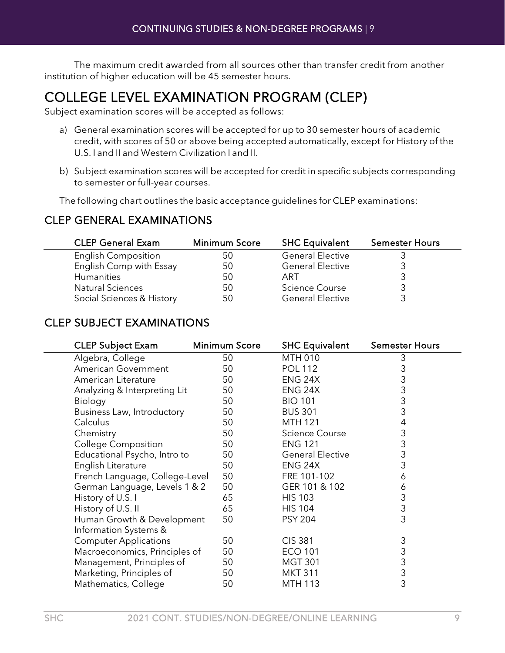The maximum credit awarded from all sources other than transfer credit from another institution of higher education will be 45 semester hours.

# <span id="page-8-0"></span>COLLEGE LEVEL EXAMINATION PROGRAM (CLEP) Subject examination scores will be accepted as follows:

- a) General examination scores will be accepted for up to 30 semester hours of academic credit, with scores of 50 or above being accepted automatically, except for History of the U.S. I and II and Western Civilization I and II.
- b) Subject examination scores will be accepted for credit in specific subjects corresponding to semester or full-year courses.

The following chart outlines the basic acceptance guidelines for CLEP examinations:

#### CLEP GENERAL EXAMINATIONS

| <b>CLEP General Exam</b>   | <b>Minimum Score</b> | <b>SHC Equivalent</b>   | <b>Semester Hours</b> |
|----------------------------|----------------------|-------------------------|-----------------------|
| <b>English Composition</b> | 50                   | <b>General Elective</b> |                       |
| English Comp with Essay    | 50                   | <b>General Elective</b> |                       |
| <b>Humanities</b>          | 50                   | ART                     |                       |
| <b>Natural Sciences</b>    | 50                   | <b>Science Course</b>   |                       |
| Social Sciences & History  | 50                   | <b>General Elective</b> |                       |

#### CLEP SUBJECT EXAMINATIONS

| <b>CLEP Subject Exam</b>       | <b>Minimum Score</b> | <b>SHC Equivalent</b>   | <b>Semester Hours</b> |  |
|--------------------------------|----------------------|-------------------------|-----------------------|--|
| Algebra, College               | 50                   | <b>MTH 010</b>          | 3                     |  |
| American Government            | 50                   | <b>POL 112</b>          | 3                     |  |
| American Literature            | 50                   | ENG 24X                 | 3                     |  |
| Analyzing & Interpreting Lit   | 50                   | ENG 24X                 | 3                     |  |
| Biology                        | 50                   | <b>BIO 101</b>          | 3                     |  |
| Business Law, Introductory     | 50                   | <b>BUS 301</b>          | 3                     |  |
| Calculus                       | 50                   | <b>MTH 121</b>          | 4                     |  |
| Chemistry                      | 50                   | <b>Science Course</b>   | 3                     |  |
| <b>College Composition</b>     | 50                   | <b>ENG 121</b>          | 3                     |  |
| Educational Psycho, Intro to   | 50                   | <b>General Elective</b> | 3                     |  |
| English Literature             | 50                   | ENG 24X                 | 3                     |  |
| French Language, College-Level | 50                   | FRE 101-102             | 6                     |  |
| German Language, Levels 1 & 2  | 50                   | GER 101 & 102           | 6                     |  |
| History of U.S. I              | 65                   | <b>HIS 103</b>          | 3                     |  |
| History of U.S. II             | 65                   | <b>HIS 104</b>          | 3                     |  |
| Human Growth & Development     | 50                   | <b>PSY 204</b>          | 3                     |  |
| Information Systems &          |                      |                         |                       |  |
| <b>Computer Applications</b>   | 50                   | <b>CIS 381</b>          | 3                     |  |
| Macroeconomics, Principles of  | 50                   | <b>ECO 101</b>          | 3                     |  |
| Management, Principles of      | 50                   | <b>MGT 301</b>          | 3                     |  |
| Marketing, Principles of       | 50                   | <b>MKT 311</b>          | 3                     |  |
| Mathematics, College           | 50                   | <b>MTH 113</b>          | 3                     |  |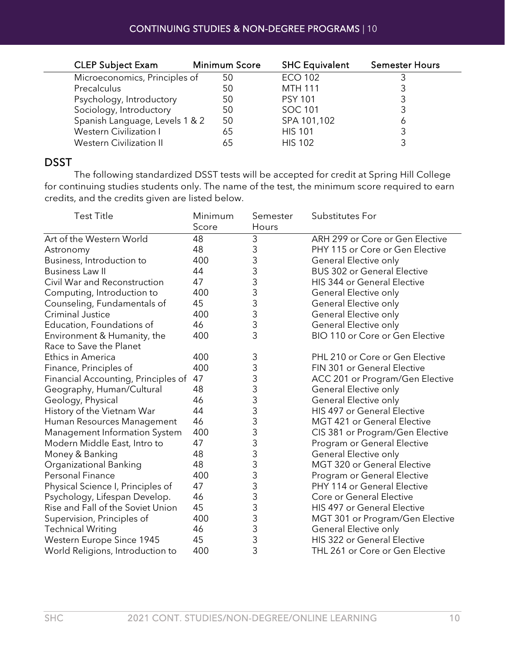| <b>CLEP Subject Exam</b>       | <b>Minimum Score</b> | <b>SHC Equivalent</b> | <b>Semester Hours</b> |
|--------------------------------|----------------------|-----------------------|-----------------------|
| Microeconomics, Principles of  | 50                   | <b>ECO 102</b>        |                       |
| Precalculus                    | 50                   | <b>MTH 111</b>        |                       |
| Psychology, Introductory       | 50                   | <b>PSY 101</b>        |                       |
| Sociology, Introductory        | 50                   | SOC 101               |                       |
| Spanish Language, Levels 1 & 2 | 50                   | SPA 101,102           |                       |
| Western Civilization I         | 65                   | <b>HIS 101</b>        |                       |
| Western Civilization II        |                      | <b>HIS 102</b>        |                       |

#### DSST

The following standardized DSST tests will be accepted for credit at Spring Hill College for continuing studies students only. The name of the test, the minimum score required to earn credits, and the credits given are listed below.

| <b>Test Title</b>                   | Minimum<br>Score | Semester<br>Hours                     | Substitutes For                    |
|-------------------------------------|------------------|---------------------------------------|------------------------------------|
| Art of the Western World            | 48               | 3                                     | ARH 299 or Core or Gen Elective    |
| Astronomy                           | 48               | 3                                     | PHY 115 or Core or Gen Elective    |
| Business, Introduction to           | 400              | 3                                     | General Elective only              |
| <b>Business Law II</b>              | 44               | 3                                     | <b>BUS 302 or General Elective</b> |
| Civil War and Reconstruction        | 47               | 3                                     | HIS 344 or General Elective        |
| Computing, Introduction to          | 400              | 3                                     | General Elective only              |
| Counseling, Fundamentals of         | 45               | 3                                     | General Elective only              |
| <b>Criminal Justice</b>             | 400              | 3                                     | General Elective only              |
| Education, Foundations of           | 46               | 3                                     | General Elective only              |
| Environment & Humanity, the         | 400              | 3                                     | BIO 110 or Core or Gen Elective    |
| Race to Save the Planet             |                  |                                       |                                    |
| <b>Ethics in America</b>            | 400              | 3                                     | PHL 210 or Core or Gen Elective    |
| Finance, Principles of              | 400              | 3                                     | FIN 301 or General Elective        |
| Financial Accounting, Principles of | 47               | 3                                     | ACC 201 or Program/Gen Elective    |
| Geography, Human/Cultural           | 48               | 3                                     | General Elective only              |
| Geology, Physical                   | 46               | 3                                     | General Elective only              |
| History of the Vietnam War          | 44               | 3                                     | HIS 497 or General Elective        |
| Human Resources Management          | 46               | $\frac{3}{3}$                         | <b>MGT 421 or General Elective</b> |
| Management Information System       | 400              |                                       | CIS 381 or Program/Gen Elective    |
| Modern Middle East, Intro to        | 47               | $\begin{array}{c} 3 \\ 3 \end{array}$ | Program or General Elective        |
| Money & Banking                     | 48               |                                       | General Elective only              |
| Organizational Banking              | 48               |                                       | MGT 320 or General Elective        |
| <b>Personal Finance</b>             | 400              |                                       | Program or General Elective        |
| Physical Science I, Principles of   | 47               | $\begin{array}{c} 3 \\ 3 \end{array}$ | PHY 114 or General Elective        |
| Psychology, Lifespan Develop.       | 46               |                                       | Core or General Elective           |
| Rise and Fall of the Soviet Union   | 45               | 3                                     | <b>HIS 497 or General Elective</b> |
| Supervision, Principles of          | 400              | $\frac{3}{3}$                         | MGT 301 or Program/Gen Elective    |
| <b>Technical Writing</b>            | 46               |                                       | General Elective only              |
| Western Europe Since 1945           | 45               | 3                                     | HIS 322 or General Elective        |
| World Religions, Introduction to    | 400              | 3                                     | THL 261 or Core or Gen Elective    |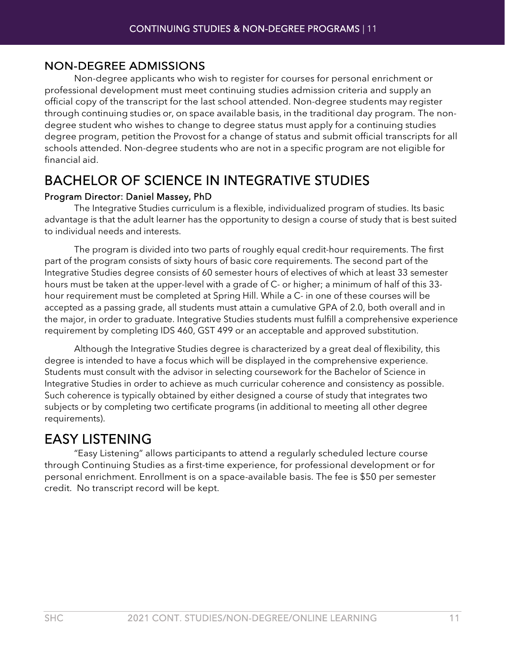#### NON-DEGREE ADMISSIONS

Non-degree applicants who wish to register for courses for personal enrichment or professional development must meet continuing studies admission criteria and supply an official copy of the transcript for the last school attended. Non-degree students may register through continuing studies or, on space available basis, in the traditional day program. The nondegree student who wishes to change to degree status must apply for a continuing studies degree program, petition the Provost for a change of status and submit official transcripts for all schools attended. Non-degree students who are not in a specific program are not eligible for financial aid.

# <span id="page-10-0"></span>BACHELOR OF SCIENCE IN INTEGRATIVE STUDIES

#### Program Director: Daniel Massey, PhD

The Integrative Studies curriculum is a flexible, individualized program of studies. Its basic advantage is that the adult learner has the opportunity to design a course of study that is best suited to individual needs and interests.

 The program is divided into two parts of roughly equal credit-hour requirements. The first part of the program consists of sixty hours of basic core requirements. The second part of the Integrative Studies degree consists of 60 semester hours of electives of which at least 33 semester hours must be taken at the upper-level with a grade of C- or higher; a minimum of half of this 33 hour requirement must be completed at Spring Hill. While a C- in one of these courses will be accepted as a passing grade, all students must attain a cumulative GPA of 2.0, both overall and in the major, in order to graduate. Integrative Studies students must fulfill a comprehensive experience requirement by completing IDS 460, GST 499 or an acceptable and approved substitution.

Although the Integrative Studies degree is characterized by a great deal of flexibility, this degree is intended to have a focus which will be displayed in the comprehensive experience. Students must consult with the advisor in selecting coursework for the Bachelor of Science in Integrative Studies in order to achieve as much curricular coherence and consistency as possible. Such coherence is typically obtained by either designed a course of study that integrates two subjects or by completing two certificate programs (in additional to meeting all other degree requirements).

<span id="page-10-1"></span>EASY LISTENING "Easy Listening" allows participants to attend a regularly scheduled lecture course through Continuing Studies as a first-time experience, for professional development or for personal enrichment. Enrollment is on a space-available basis. The fee is \$50 per semester credit. No transcript record will be kept.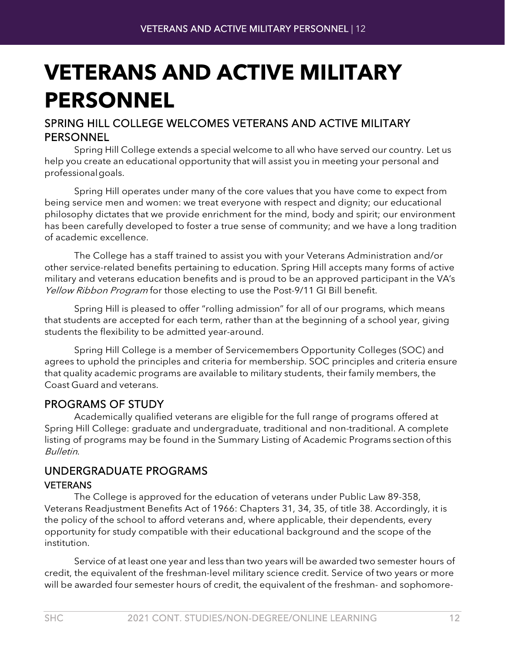# <span id="page-11-0"></span>**VETERANS AND ACTIVE MILITARY PERSONNEL**

### SPRING HILL COLLEGE WELCOMES VETERANS AND ACTIVE MILITARY PERSONNEL

Spring Hill College extends a special welcome to all who have served our country. Let us help you create an educational opportunity that will assist you in meeting your personal and professionalgoals.

Spring Hill operates under many of the core values that you have come to expect from being service men and women: we treat everyone with respect and dignity; our educational philosophy dictates that we provide enrichment for the mind, body and spirit; our environment has been carefully developed to foster a true sense of community; and we have a long tradition of academic excellence.

The College has a staff trained to assist you with your Veterans Administration and/or other service-related benefits pertaining to education. Spring Hill accepts many forms of active military and veterans education benefits and is proud to be an approved participant in the VA's Yellow Ribbon Program for those electing to use the Post-9/11 GI Bill benefit.

Spring Hill is pleased to offer "rolling admission" for all of our programs, which means that students are accepted for each term, rather than at the beginning of a school year, giving students the flexibility to be admitted year-around.

Spring Hill College is a member of Servicemembers Opportunity Colleges (SOC) and agrees to uphold the principles and criteria for membership. SOC principles and criteria ensure that quality academic programs are available to military students, their family members, the Coast Guard and veterans.

## PROGRAMS OF STUDY

Academically qualified veterans are eligible for the full range of programs offered at Spring Hill College: graduate and undergraduate, traditional and non-traditional. A complete listing of programs may be found in the Summary Listing of Academic Programs section of this Bulletin.

# UNDERGRADUATE PROGRAMS

#### VETERANS

The College is approved for the education of veterans under Public Law 89-358, Veterans Readjustment Benefits Act of 1966: Chapters 31, 34, 35, of title 38. Accordingly, it is the policy of the school to afford veterans and, where applicable, their dependents, every opportunity for study compatible with their educational background and the scope of the institution.

Service of at least one year and less than two years will be awarded two semester hours of credit, the equivalent of the freshman-level military science credit. Service of two years or more will be awarded four semester hours of credit, the equivalent of the freshman- and sophomore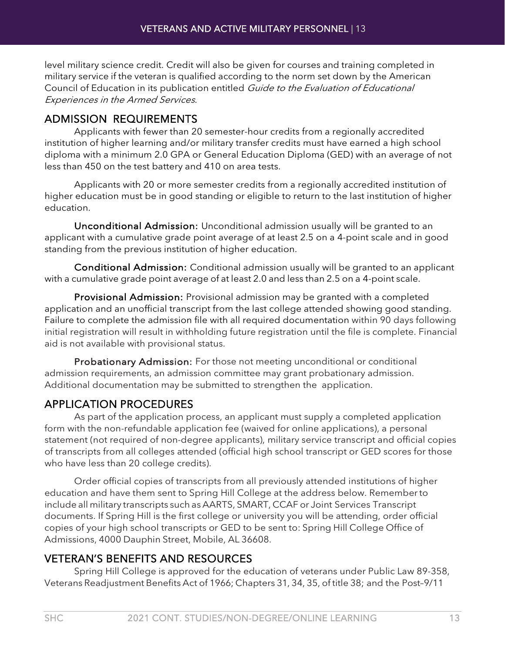level military science credit. Credit will also be given for courses and training completed in military service if the veteran is qualified according to the norm set down by the American Council of Education in its publication entitled Guide to the Evaluation of Educational Experiences in the Armed Services.

### ADMISSION REQUIREMENTS

Applicants with fewer than 20 semester-hour credits from a regionally accredited institution of higher learning and/or military transfer credits must have earned a high school diploma with a minimum 2.0 GPA or General Education Diploma (GED) with an average of not less than 450 on the test battery and 410 on area tests.

Applicants with 20 or more semester credits from a regionally accredited institution of higher education must be in good standing or eligible to return to the last institution of higher education.

Unconditional Admission: Unconditional admission usually will be granted to an applicant with a cumulative grade point average of at least 2.5 on a 4-point scale and in good standing from the previous institution of higher education.

Conditional Admission: Conditional admission usually will be granted to an applicant with a cumulative grade point average of at least 2.0 and less than 2.5 on a 4-point scale.

Provisional Admission: Provisional admission may be granted with a completed application and an unofficial transcript from the last college attended showing good standing. Failure to complete the admission file with all required documentation within 90 days following initial registration will result in withholding future registration until the file is complete. Financial aid is not available with provisional status.

Probationary Admission: For those not meeting unconditional or conditional admission requirements, an admission committee may grant probationary admission. Additional documentation may be submitted to strengthen the application.

## APPLICATION PROCEDURES

As part of the application process, an applicant must supply a completed application form with the non-refundable application fee (waived for online applications), a personal statement (not required of non-degree applicants), military service transcript and official copies of transcripts from all colleges attended (official high school transcript or GED scores for those who have less than 20 college credits).

Order official copies of transcripts from all previously attended institutions of higher education and have them sent to Spring Hill College at the address below. Rememberto include all military transcripts such as AARTS, SMART, CCAF or Joint Services Transcript documents. If Spring Hill is the first college or university you will be attending, order official copies of your high school transcripts or GED to be sent to: Spring Hill College Office of Admissions, 4000 Dauphin Street, Mobile, AL 36608.

## VETERAN'S BENEFITS AND RESOURCES

Spring Hill College is approved for the education of veterans under Public Law 89-358, Veterans Readjustment Benefits Act of 1966; Chapters 31, 34, 35, of title 38; and the Post–9/11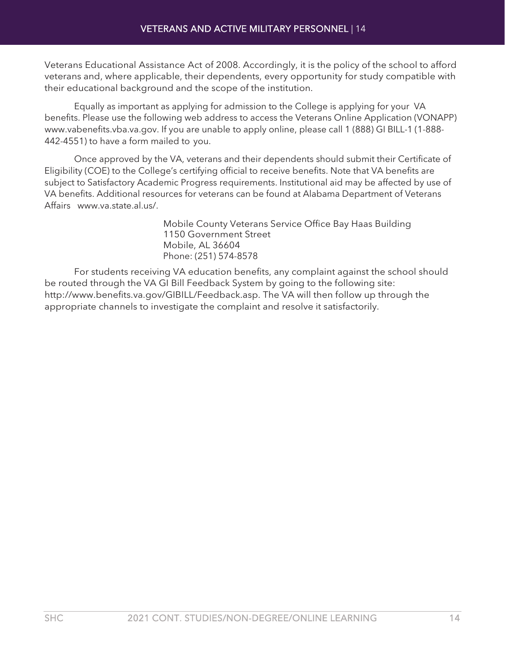Veterans Educational Assistance Act of 2008. Accordingly, it is the policy of the school to afford veterans and, where applicable, their dependents, every opportunity for study compatible with their educational background and the scope of the institution.

Equally as important as applying for admission to the College is applying for your VA benefits. Please use the following web address to access the Veterans Online Application (VONAPP) [www.vabenefits.vba.va.gov.](http://www.vabenefits.vba.va.gov/) If you are unable to apply online, please call 1 (888) GI BILL-1 (1-888- 442-4551) to have a form mailed to you.

Once approved by the VA, veterans and their dependents should submit their Certificate of Eligibility (COE) to the College's certifying official to receive benefits. Note that VA benefits are subject to Satisfactory Academic Progress requirements. Institutional aid may be affected by use of VA benefits. Additional resources for veterans can be found at Alabama Department of Veterans Affairs [www.va.state.al.us/.](http://www.va.state.al.us/)

> Mobile County Veterans Service Office Bay Haas Building 1150 Government Street Mobile, AL 36604 Phone: (251) 574-8578

For students receiving VA education benefits, any complaint against the school should be routed through the VA GI Bill Feedback System by going to the following site: [http://www.benefits.va.gov/GIBILL/Feedback.asp.](http://www.benefits.va.gov/GIBILL/Feedback.asp) The VA will then follow up through the appropriate channels to investigate the complaint and resolve it satisfactorily.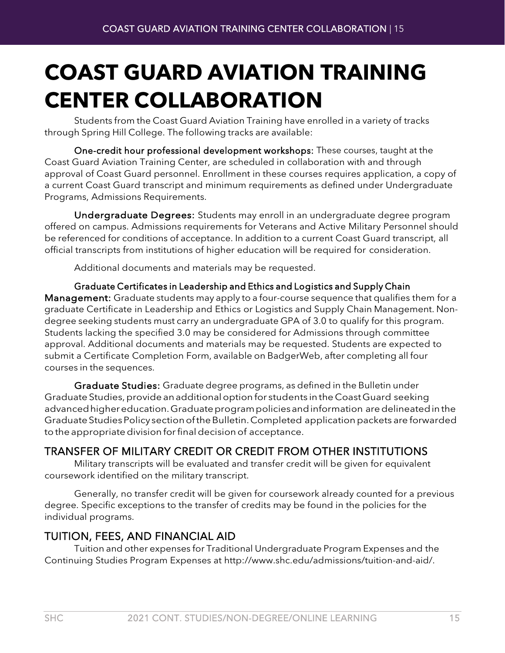# <span id="page-14-0"></span>**COAST GUARD AVIATION TRAINING CENTER COLLABORATION**

Students from the Coast Guard Aviation Training have enrolled in a variety of tracks through Spring Hill College. The following tracks are available:

One-credit hour professional development workshops: These courses, taught at the Coast Guard Aviation Training Center, are scheduled in collaboration with and through approval of Coast Guard personnel. Enrollment in these courses requires application, a copy of a current Coast Guard transcript and minimum requirements as defined under Undergraduate Programs, Admissions Requirements.

Undergraduate Degrees: Students may enroll in an undergraduate degree program offered on campus. Admissions requirements for Veterans and Active Military Personnel should be referenced for conditions of acceptance. In addition to a current Coast Guard transcript, all official transcripts from institutions of higher education will be required for consideration.

Additional documents and materials may be requested.

Graduate Certificates in Leadership and Ethics and Logistics and Supply Chain Management: Graduate students may apply to a four-course sequence that qualifies them for a graduate Certificate in Leadership and Ethics or Logistics and Supply Chain Management. Nondegree seeking students must carry an undergraduate GPA of 3.0 to qualify for this program. Students lacking the specified 3.0 may be considered for Admissions through committee approval. Additional documents and materials may be requested. Students are expected to submit a Certificate Completion Form, available on BadgerWeb, after completing all four courses in the sequences.

Graduate Studies: Graduate degree programs, as defined in the Bulletin under Graduate Studies,provide anadditionaloption for students in the CoastGuard seeking advancedhighereducation.Graduateprogrampoliciesandinformation aredelineatedinthe GraduateStudiesPolicy sectionoftheBulletin.Completed applicationpackets are forwarded to the appropriate division for final decision of acceptance.

## TRANSFER OF MILITARY CREDIT OR CREDIT FROM OTHER INSTITUTIONS

Military transcripts will be evaluated and transfer credit will be given for equivalent coursework identified on the military transcript.

Generally, no transfer credit will be given for coursework already counted for a previous degree. Specific exceptions to the transfer of credits may be found in the policies for the individual programs.

## TUITION, FEES, AND FINANCIAL AID

Tuition and other expenses for Traditional Undergraduate Program Expenses and the Continuing Studies Program Expenses at [http://www.shc.edu/admissions/tuition-and-aid/.](http://www.shc.edu/admissions/tuition-and-aid/)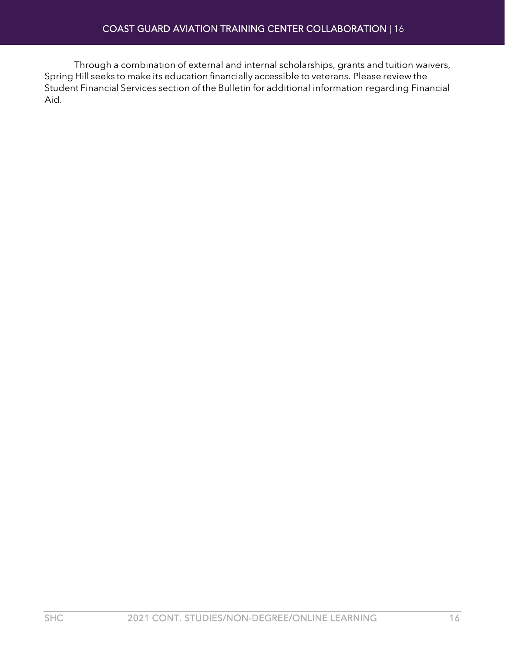Through a combination of external and internal scholarships, grants and tuition waivers, Spring Hill seeks to make its education financially accessible to veterans. Please review the Student Financial Services section of the Bulletin for additional information regarding Financial Aid.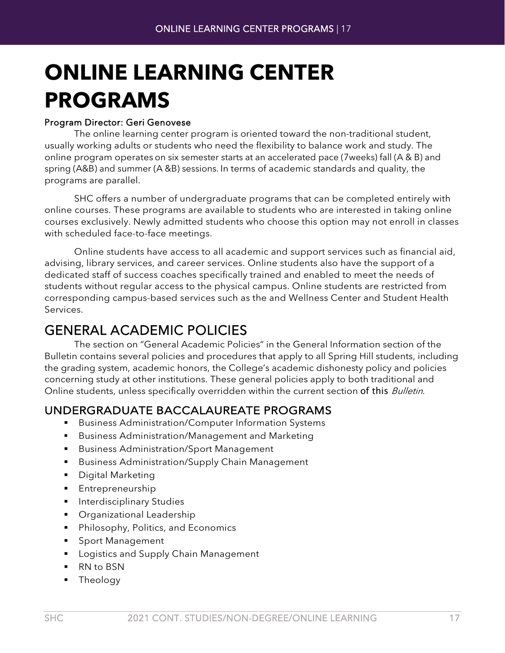# <span id="page-16-0"></span>**ONLINE LEARNING CENTER PROGRAMS**

#### Program Director: Geri Genovese

The online learning center program is oriented toward the non-traditional student, usually working adults or students who need the flexibility to balance work and study. The online program operates on six semester starts at an accelerated pace (7weeks) fall (A & B) and spring (A&B) and summer (A &B) sessions. In terms of academic standards and quality, the programs are parallel.

SHC offers a number of undergraduate programs that can be completed entirely with online courses. These programs are available to students who are interested in taking online courses exclusively. Newly admitted students who choose this option may not enroll in classes with scheduled face-to-face meetings.

Online students have access to all academic and support services such as financial aid, advising, library services, and career services. Online students also have the support of a dedicated staff of success coaches specifically trained and enabled to meet the needs of students without regular access to the physical campus. Online students are restricted from corresponding campus-based services such as the and Wellness Center and Student Health Services.

<span id="page-16-1"></span>GENERAL ACADEMIC POLICIES The section on "General Academic Policies" in the General Information section of the Bulletin contains several policies and procedures that apply to all Spring Hill students, including the grading system, academic honors, the College's academic dishonesty policy and policies concerning study at other institutions. These general policies apply to both traditional and Online students, unless specifically overridden within the current section of this Bulletin.

#### UNDERGRADUATE BACCALAUREATE PROGRAMS

- **Business Administration/Computer Information Systems**
- **Business Administration/Management and Marketing**
- **Business Administration/Sport Management**
- **Business Administration/Supply Chain Management**
- **Digital Marketing**
- **Entrepreneurship**
- **Interdisciplinary Studies**
- **•** Organizational Leadership
- **Philosophy, Politics, and Economics**
- **Sport Management**
- **Logistics and Supply Chain Management**
- RN to BSN
- **Theology**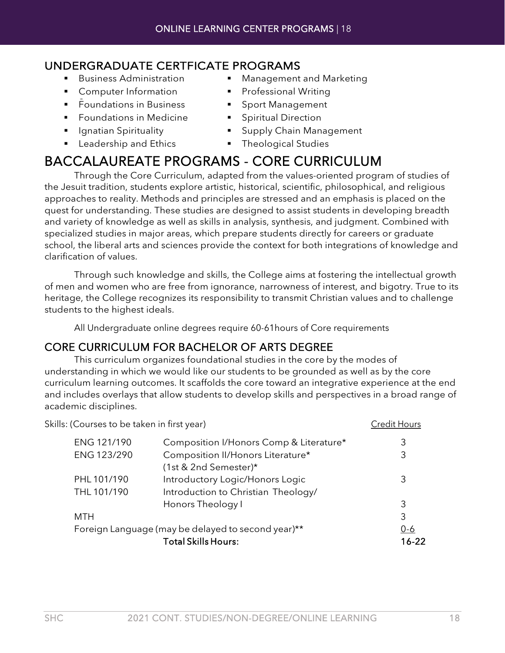## UNDERGRADUATE CERTFICATE PROGRAMS

- 
- **Computer Information**
- 
- **Foundations in Medicine FILM** Spiritual Direction
- 
- **Example 2** Leadership and Ethics **COV Example 2** Theological Studies
- Business Administration **In Management and Marketing** 
	- Professional Writing
- Foundations in Business Sport Management
	-
- **If Ignatian Spirituality If Supply Chain Management** 
	-

# <span id="page-17-0"></span>BACCALAUREATE PROGRAMS - CORE CURRICULUM Through the Core Curriculum, adapted from the values-oriented program of studies of

the Jesuit tradition, students explore artistic, historical, scientific, philosophical, and religious approaches to reality. Methods and principles are stressed and an emphasis is placed on the quest for understanding. These studies are designed to assist students in developing breadth and variety of knowledge as well as skills in analysis, synthesis, and judgment. Combined with specialized studies in major areas, which prepare students directly for careers or graduate school, the liberal arts and sciences provide the context for both integrations of knowledge and clarification of values.

Through such knowledge and skills, the College aims at fostering the intellectual growth of men and women who are free from ignorance, narrowness of interest, and bigotry. True to its heritage, the College recognizes its responsibility to transmit Christian values and to challenge students to the highest ideals.

All Undergraduate online degrees require 60-61hours of Core requirements

## CORE CURRICULUM FOR BACHELOR OF ARTS DEGREE

This curriculum organizes foundational studies in the core by the modes of understanding in which we would like our students to be grounded as well as by the core curriculum learning outcomes. It scaffolds the core toward an integrative experience at the end and includes overlays that allow students to develop skills and perspectives in a broad range of academic disciplines.

Skills: (Courses to be taken in first year) Credit Hours Credit Hours

| ENG 121/190 | Composition I/Honors Comp & Literature*            | 3         |
|-------------|----------------------------------------------------|-----------|
| ENG 123/290 | Composition II/Honors Literature*                  | 3         |
|             | (1st & 2nd Semester)*                              |           |
| PHL 101/190 | Introductory Logic/Honors Logic                    | 3         |
| THL 101/190 | Introduction to Christian Theology/                |           |
|             | Honors Theology I                                  | 3         |
| MTH         |                                                    | 3         |
|             | Foreign Language (may be delayed to second year)** | 0-6       |
|             | <b>Total Skills Hours:</b>                         | $16 - 22$ |
|             |                                                    |           |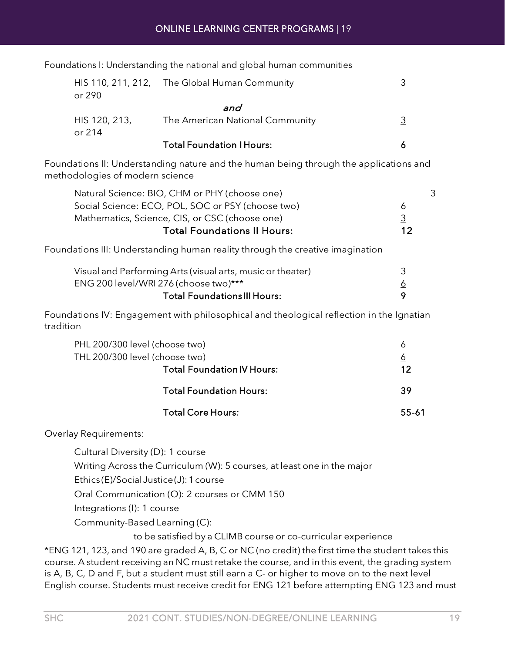| Foundations I: Understanding the national and global human communities |  |  |  |
|------------------------------------------------------------------------|--|--|--|
|------------------------------------------------------------------------|--|--|--|

| or 290                  | HIS 110, 211, 212, The Global Human Community |   |
|-------------------------|-----------------------------------------------|---|
|                         | and                                           |   |
| HIS 120, 213,<br>or 214 | The American National Community               | 3 |
|                         | <b>Total Foundation I Hours:</b>              |   |

Foundations II: Understanding nature and the human being through the applications and methodologies of modern science

| Natural Science: BIO, CHM or PHY (choose one)     |                |
|---------------------------------------------------|----------------|
| Social Science: ECO, POL, SOC or PSY (choose two) | $\overline{a}$ |
| Mathematics, Science, CIS, or CSC (choose one)    | 3              |
| <b>Total Foundations II Hours:</b>                | 12             |

Foundations III: Understanding human reality through the creative imagination

| Visual and Performing Arts (visual arts, music or theater) |  |
|------------------------------------------------------------|--|
| ENG 200 level/WRI 276 (choose two)***                      |  |
| <b>Total Foundations III Hours:</b>                        |  |

Foundations IV: Engagement with philosophical and theological reflection in the Ignatian tradition

| PHL 200/300 level (choose two)    | 6        |
|-----------------------------------|----------|
| THL 200/300 level (choose two)    | <u>6</u> |
| <b>Total Foundation IV Hours:</b> | 12       |
| <b>Total Foundation Hours:</b>    | -39      |
| <b>Total Core Hours:</b>          | 55-61    |

Overlay Requirements:

Cultural Diversity (D): 1 course

Writing Across the Curriculum (W): 5 courses, at least one in the major

Ethics (E)/Social Justice (J): 1 course

Oral Communication (O): 2 courses or CMM 150

Integrations (I): 1 course

Community-Based Learning (C):

to be satisfied by a CLIMB course or co-curricular experience

\*ENG 121, 123, and 190 are graded A, B, C or NC (no credit) the first time the student takes this course. A student receiving an NC must retake the course, and in this event, the grading system is A, B, C, D and F, but a student must still earn a C- or higher to move on to the next level English course. Students must receive credit for ENG 121 before attempting ENG 123 and must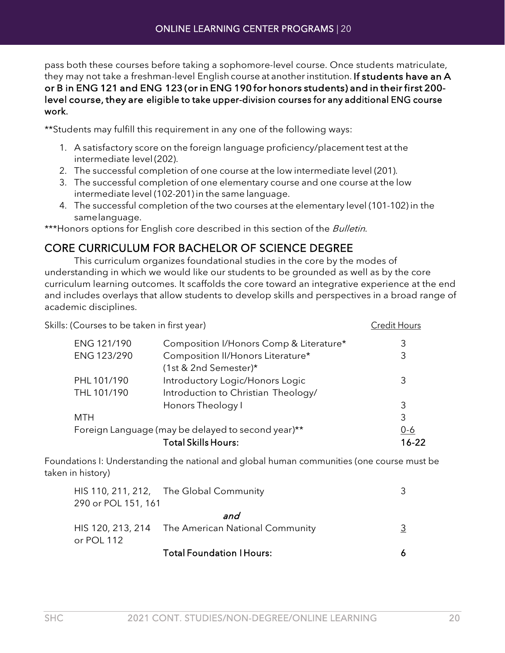pass both these courses before taking a sophomore-level course. Once students matriculate, they may not take a freshman-level English course at another institution. If students have an A or B in ENG 121 and ENG 123 (or in ENG 190 for honors students) and in their first 200 level course, they are eligible to take upper-division courses for any additional ENG course work.

\*\*Students may fulfill this requirement in any one of the following ways:

- 1. A satisfactory score on the foreign language proficiency/placement test at the intermediate level (202).
- 2. The successful completion of one course at the low intermediate level (201).
- 3. The successful completion of one elementary course and one course at the low intermediate level (102-201) in the same language.
- 4. The successful completion of the two courses at the elementary level (101-102) in the samelanguage.

\*\*\*Honors options for English core described in this section of the Bulletin.

## CORE CURRICULUM FOR BACHELOR OF SCIENCE DEGREE

This curriculum organizes foundational studies in the core by the modes of understanding in which we would like our students to be grounded as well as by the core curriculum learning outcomes. It scaffolds the core toward an integrative experience at the end and includes overlays that allow students to develop skills and perspectives in a broad range of academic disciplines.

| Skills: (Courses to be taken in first year) |                                                    | <b>Credit Hours</b> |
|---------------------------------------------|----------------------------------------------------|---------------------|
| ENG 121/190                                 | Composition I/Honors Comp & Literature*            | 3                   |
| ENG 123/290                                 | Composition II/Honors Literature*                  | 3                   |
|                                             | (1st & 2nd Semester)*                              |                     |
| PHL 101/190                                 | Introductory Logic/Honors Logic                    | 3                   |
| THL 101/190                                 | Introduction to Christian Theology/                |                     |
|                                             | Honors Theology I                                  | 3                   |
| <b>MTH</b>                                  |                                                    | 3                   |
|                                             | Foreign Language (may be delayed to second year)** | $0 - 6$             |
|                                             | <b>Total Skills Hours:</b>                         | $16 - 22$           |

Foundations I: Understanding the national and global human communities (one course must be taken in history)

|                     | HIS 110, 211, 212, The Global Community           |  |
|---------------------|---------------------------------------------------|--|
| 290 or POL 151, 161 |                                                   |  |
|                     | and                                               |  |
| or POL 112          | HIS 120, 213, 214 The American National Community |  |
|                     | <b>Total Foundation I Hours:</b>                  |  |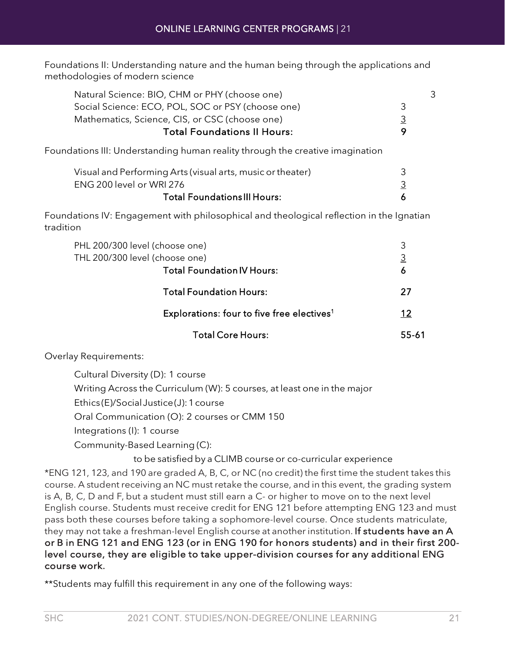Foundations II: Understanding nature and the human being through the applications and methodologies of modern science

| Natural Science: BIO, CHM or PHY (choose one)     | 3        |
|---------------------------------------------------|----------|
| Social Science: ECO, POL, SOC or PSY (choose one) | २        |
| Mathematics, Science, CIS, or CSC (choose one)    | <u>3</u> |
| <b>Total Foundations II Hours:</b>                | O        |
|                                                   |          |

Foundations III: Understanding human reality through the creative imagination

| Visual and Performing Arts (visual arts, music or theater) |  |
|------------------------------------------------------------|--|
| ENG 200 level or WRI 276                                   |  |
| <b>Total Foundations III Hours:</b>                        |  |

Foundations IV: Engagement with philosophical and theological reflection in the Ignatian tradition

| PHL 200/300 level (choose one)<br>THL 200/300 level (choose one)<br><b>Total Foundation IV Hours:</b> | 3<br>$\overline{3}$<br>6 |
|-------------------------------------------------------------------------------------------------------|--------------------------|
| <b>Total Foundation Hours:</b>                                                                        | 27                       |
| Explorations: four to five free electives <sup>1</sup>                                                | 12                       |
| <b>Total Core Hours:</b>                                                                              | 55-61                    |

Overlay Requirements:

| Cultural Diversity (D): 1 course                                        |
|-------------------------------------------------------------------------|
| Writing Across the Curriculum (W): 5 courses, at least one in the major |
| Ethics(E)/Social Justice(J): 1 course                                   |
| Oral Communication (O): 2 courses or CMM 150                            |
| Integrations (I): 1 course                                              |
| Community-Based Learning (C):                                           |
|                                                                         |

to be satisfied by a CLIMB course or co-curricular experience

\*ENG 121, 123, and 190 are graded A, B, C, or NC (no credit) the first time the student takes this course. A student receiving an NC must retake the course, and in this event, the grading system is A, B, C, D and F, but a student must still earn a C- or higher to move on to the next level English course. Students must receive credit for ENG 121 before attempting ENG 123 and must pass both these courses before taking a sophomore-level course. Once students matriculate, they may not take a freshman-level English course at another institution. If students have an A or B in ENG 121 and ENG 123 (or in ENG 190 for honors students) and in their first 200 level course, they are eligible to take upper-division courses for any additional ENG course work.

\*\*Students may fulfill this requirement in any one of the following ways: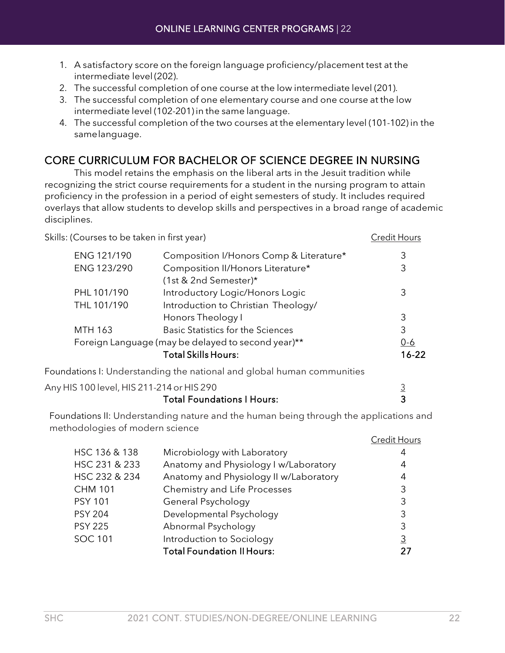- 1. A satisfactory score on the foreign language proficiency/placement test at the intermediate level (202).
- 2. The successful completion of one course at the low intermediate level (201).
- 3. The successful completion of one elementary course and one course at the low intermediate level (102-201) in the same language.
- 4. The successful completion of the two courses at the elementary level (101-102) in the samelanguage.

## CORE CURRICULUM FOR BACHELOR OF SCIENCE DEGREE IN NURSING

This model retains the emphasis on the liberal arts in the Jesuit tradition while recognizing the strict course requirements for a student in the nursing program to attain proficiency in the profession in a period of eight semesters of study. It includes required overlays that allow students to develop skills and perspectives in a broad range of academic disciplines.

| Skills: (Courses to be taken in first year)        |                                                                        | <b>Credit Hours</b> |
|----------------------------------------------------|------------------------------------------------------------------------|---------------------|
| ENG 121/190                                        | Composition I/Honors Comp & Literature*                                | 3                   |
| ENG 123/290                                        | Composition II/Honors Literature*                                      | 3                   |
|                                                    | (1st & 2nd Semester)*                                                  |                     |
| PHL 101/190                                        | Introductory Logic/Honors Logic                                        | 3                   |
| THL 101/190                                        | Introduction to Christian Theology/                                    |                     |
|                                                    | Honors Theology I                                                      | 3                   |
| <b>MTH 163</b>                                     | <b>Basic Statistics for the Sciences</b>                               | 3                   |
| Foreign Language (may be delayed to second year)** |                                                                        | $0 - 6$             |
|                                                    | <b>Total Skills Hours:</b>                                             | $16 - 22$           |
|                                                    | Foundations I: Understanding the national and global human communities |                     |
| Any HIS 100 level, HIS 211-214 or HIS 290          |                                                                        |                     |

| Total Foundations I Hours: |  |
|----------------------------|--|
|                            |  |

Foundations II: Understanding nature and the human being through the applications and methodologies of modern science

|                                        | Credit Hours   |
|----------------------------------------|----------------|
| Microbiology with Laboratory           | 4              |
| Anatomy and Physiology I w/Laboratory  | 4              |
| Anatomy and Physiology II w/Laboratory | 4              |
| Chemistry and Life Processes           | 3              |
| General Psychology                     | 3              |
| Developmental Psychology               | 3              |
| Abnormal Psychology                    | 3              |
| Introduction to Sociology              | $\overline{3}$ |
| <b>Total Foundation II Hours:</b>      |                |
|                                        |                |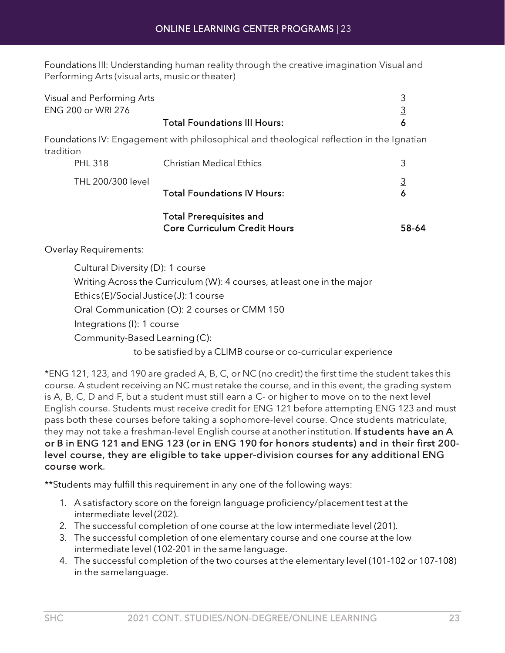Foundations III: Understanding human reality through the creative imagination Visual and Performing Arts (visual arts, music or theater)

| Visual and Performing Arts            |                                                                                          | 3              |
|---------------------------------------|------------------------------------------------------------------------------------------|----------------|
| ENG 200 or WRI 276                    |                                                                                          | $\overline{3}$ |
|                                       | <b>Total Foundations III Hours:</b>                                                      | 6              |
| tradition                             | Foundations IV: Engagement with philosophical and theological reflection in the Ignatian |                |
| <b>PHL 318</b>                        | <b>Christian Medical Ethics</b>                                                          | 3              |
| THL 200/300 level                     |                                                                                          | $\overline{3}$ |
|                                       | <b>Total Foundations IV Hours:</b>                                                       | 6              |
|                                       | <b>Total Prerequisites and</b><br><b>Core Curriculum Credit Hours</b>                    | 58-64          |
| <b>Overlay Requirements:</b>          |                                                                                          |                |
| Cultural Diversity (D): 1 course      |                                                                                          |                |
|                                       | Writing Across the Curriculum (W): 4 courses, at least one in the major                  |                |
| Ethics(E)/Social Justice(J): 1 course |                                                                                          |                |
|                                       | Oral Communication (O): 2 courses or CMM 150                                             |                |
| Integrations (I): 1 course            |                                                                                          |                |
| Community-Based Learning (C):         |                                                                                          |                |

to be satisfied by a CLIMB course or co-curricular experience

\*ENG 121, 123, and 190 are graded A, B, C, or NC (no credit) the first time the student takes this course. A student receiving an NC must retake the course, and in this event, the grading system is A, B, C, D and F, but a student must still earn a C- or higher to move on to the next level English course. Students must receive credit for ENG 121 before attempting ENG 123 and must pass both these courses before taking a sophomore-level course. Once students matriculate, they may not take a freshman-level English course at another institution. If students have an A or B in ENG 121 and ENG 123 (or in ENG 190 for honors students) and in their first 200 level course, they are eligible to take upper-division courses for any additional ENG course work.

\*\*Students may fulfill this requirement in any one of the following ways:

- 1. A satisfactory score on the foreign language proficiency/placement test at the intermediate level (202).
- 2. The successful completion of one course at the low intermediate level (201).
- 3. The successful completion of one elementary course and one course at the low intermediate level (102-201 in the same language.
- 4. The successful completion of the two courses at the elementary level (101-102 or 107-108) in the samelanguage.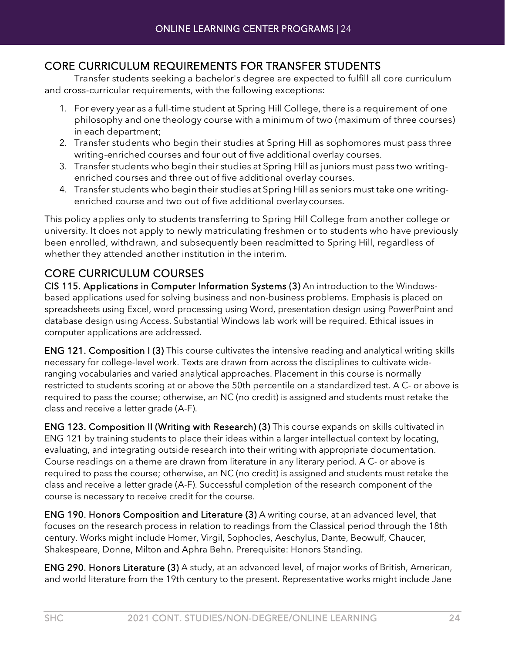#### CORE CURRICULUM REQUIREMENTS FOR TRANSFER STUDENTS

Transfer students seeking a bachelor's degree are expected to fulfill all core curriculum and cross-curricular requirements, with the following exceptions:

- 1. For every year as a full-time student at Spring Hill College, there is a requirement of one philosophy and one theology course with a minimum of two (maximum of three courses) in each department;
- 2. Transfer students who begin their studies at Spring Hill as sophomores must pass three writing-enriched courses and four out of five additional overlay courses.
- 3. Transfer students who begin their studies at Spring Hill as juniors must pass two writingenriched courses and three out of five additional overlay courses.
- 4. Transfer students who begin their studies at Spring Hill as seniors must take one writingenriched course and two out of five additional overlaycourses.

This policy applies only to students transferring to Spring Hill College from another college or university. It does not apply to newly matriculating freshmen or to students who have previously been enrolled, withdrawn, and subsequently been readmitted to Spring Hill, regardless of whether they attended another institution in the interim.

## CORE CURRICULUM COURSES

CIS 115. Applications in Computer Information Systems (3) An introduction to the Windowsbased applications used for solving business and non-business problems. Emphasis is placed on spreadsheets using Excel, word processing using Word, presentation design using PowerPoint and database design using Access. Substantial Windows lab work will be required. Ethical issues in computer applications are addressed.

ENG 121. Composition I (3) This course cultivates the intensive reading and analytical writing skills necessary for college-level work. Texts are drawn from across the disciplines to cultivate wideranging vocabularies and varied analytical approaches. Placement in this course is normally restricted to students scoring at or above the 50th percentile on a standardized test. A C- or above is required to pass the course; otherwise, an NC (no credit) is assigned and students must retake the class and receive a letter grade (A-F).

ENG 123. Composition II (Writing with Research) (3) This course expands on skills cultivated in ENG 121 by training students to place their ideas within a larger intellectual context by locating, evaluating, and integrating outside research into their writing with appropriate documentation. Course readings on a theme are drawn from literature in any literary period. A C- or above is required to pass the course; otherwise, an NC (no credit) is assigned and students must retake the class and receive a letter grade (A-F). Successful completion of the research component of the course is necessary to receive credit for the course.

ENG 190. Honors Composition and Literature (3) A writing course, at an advanced level, that focuses on the research process in relation to readings from the Classical period through the 18th century. Works might include Homer, Virgil, Sophocles, Aeschylus, Dante, Beowulf, Chaucer, Shakespeare, Donne, Milton and Aphra Behn. Prerequisite: Honors Standing.

ENG 290. Honors Literature (3) A study, at an advanced level, of major works of British, American, and world literature from the 19th century to the present. Representative works might include Jane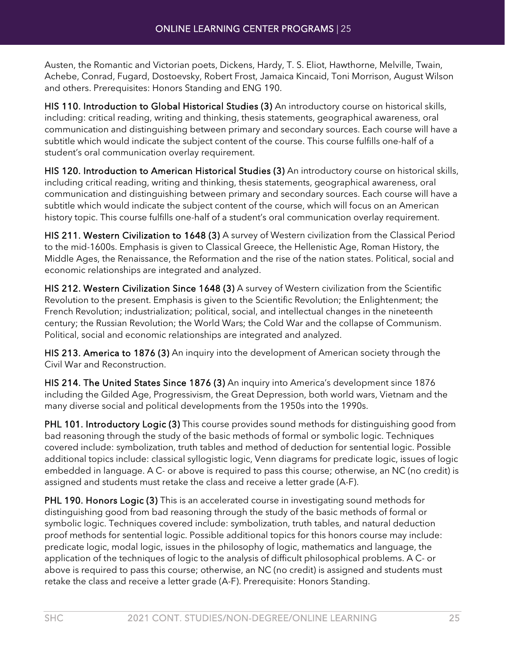Austen, the Romantic and Victorian poets, Dickens, Hardy, T. S. Eliot, Hawthorne, Melville, Twain, Achebe, Conrad, Fugard, Dostoevsky, Robert Frost, Jamaica Kincaid, Toni Morrison, August Wilson and others. Prerequisites: Honors Standing and ENG 190.

HIS 110. Introduction to Global Historical Studies (3) An introductory course on historical skills, including: critical reading, writing and thinking, thesis statements, geographical awareness, oral communication and distinguishing between primary and secondary sources. Each course will have a subtitle which would indicate the subject content of the course. This course fulfills one-half of a student's oral communication overlay requirement.

HIS 120. Introduction to American Historical Studies (3) An introductory course on historical skills, including critical reading, writing and thinking, thesis statements, geographical awareness, oral communication and distinguishing between primary and secondary sources. Each course will have a subtitle which would indicate the subject content of the course, which will focus on an American history topic. This course fulfills one-half of a student's oral communication overlay requirement.

HIS 211. Western Civilization to 1648 (3) A survey of Western civilization from the Classical Period to the mid-1600s. Emphasis is given to Classical Greece, the Hellenistic Age, Roman History, the Middle Ages, the Renaissance, the Reformation and the rise of the nation states. Political, social and economic relationships are integrated and analyzed.

HIS 212. Western Civilization Since 1648 (3) A survey of Western civilization from the Scientific Revolution to the present. Emphasis is given to the Scientific Revolution; the Enlightenment; the French Revolution; industrialization; political, social, and intellectual changes in the nineteenth century; the Russian Revolution; the World Wars; the Cold War and the collapse of Communism. Political, social and economic relationships are integrated and analyzed.

HIS 213. America to 1876 (3) An inquiry into the development of American society through the Civil War and Reconstruction.

HIS 214. The United States Since 1876 (3) An inquiry into America's development since 1876 including the Gilded Age, Progressivism, the Great Depression, both world wars, Vietnam and the many diverse social and political developments from the 1950s into the 1990s.

PHL 101. Introductory Logic (3) This course provides sound methods for distinguishing good from bad reasoning through the study of the basic methods of formal or symbolic logic. Techniques covered include: symbolization, truth tables and method of deduction for sentential logic. Possible additional topics include: classical syllogistic logic, Venn diagrams for predicate logic, issues of logic embedded in language. A C- or above is required to pass this course; otherwise, an NC (no credit) is assigned and students must retake the class and receive a letter grade (A-F).

PHL 190. Honors Logic (3) This is an accelerated course in investigating sound methods for distinguishing good from bad reasoning through the study of the basic methods of formal or symbolic logic. Techniques covered include: symbolization, truth tables, and natural deduction proof methods for sentential logic. Possible additional topics for this honors course may include: predicate logic, modal logic, issues in the philosophy of logic, mathematics and language, the application of the techniques of logic to the analysis of difficult philosophical problems. A C- or above is required to pass this course; otherwise, an NC (no credit) is assigned and students must retake the class and receive a letter grade (A-F). Prerequisite: Honors Standing.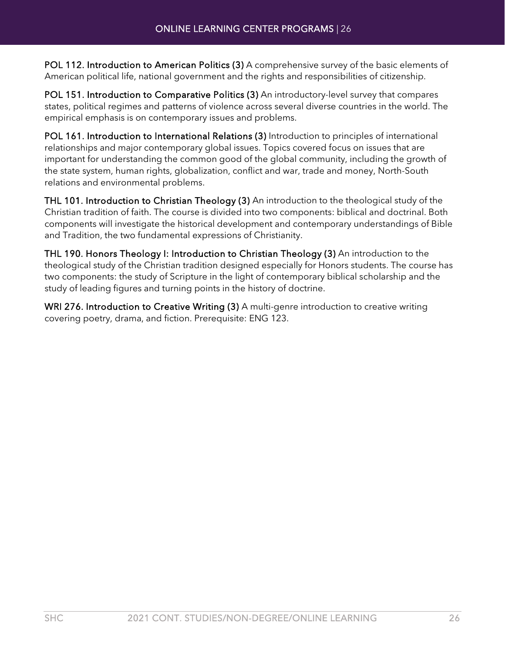POL 112. Introduction to American Politics (3) A comprehensive survey of the basic elements of American political life, national government and the rights and responsibilities of citizenship.

POL 151. Introduction to Comparative Politics (3) An introductory-level survey that compares states, political regimes and patterns of violence across several diverse countries in the world. The empirical emphasis is on contemporary issues and problems.

POL 161. Introduction to International Relations (3) Introduction to principles of international relationships and major contemporary global issues. Topics covered focus on issues that are important for understanding the common good of the global community, including the growth of the state system, human rights, globalization, conflict and war, trade and money, North-South relations and environmental problems.

THL 101. Introduction to Christian Theology (3) An introduction to the theological study of the Christian tradition of faith. The course is divided into two components: biblical and doctrinal. Both components will investigate the historical development and contemporary understandings of Bible and Tradition, the two fundamental expressions of Christianity.

THL 190. Honors Theology I: Introduction to Christian Theology (3) An introduction to the theological study of the Christian tradition designed especially for Honors students. The course has two components: the study of Scripture in the light of contemporary biblical scholarship and the study of leading figures and turning points in the history of doctrine.

WRI 276. Introduction to Creative Writing (3) A multi-genre introduction to creative writing covering poetry, drama, and fiction. Prerequisite: ENG 123.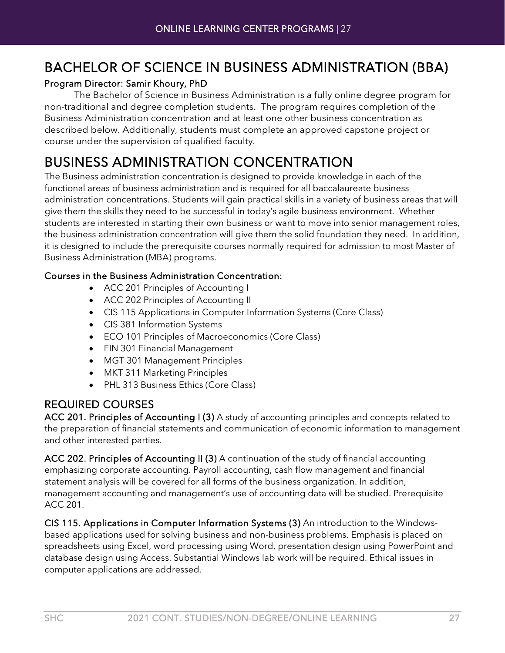# <span id="page-26-0"></span>BACHELOR OF SCIENCE IN BUSINESS ADMINISTRATION (BBA)

#### Program Director: Samir Khoury, PhD

The Bachelor of Science in Business Administration is a fully online degree program for non-traditional and degree completion students. The program requires completion of the Business Administration concentration and at least one other business concentration as described below. Additionally, students must complete an approved capstone project or course under the supervision of qualified faculty.

# <span id="page-26-1"></span>BUSINESS ADMINISTRATION CONCENTRATION<br>The Business administration concentration is designed to provide knowledge in each of the

functional areas of business administration and is required for all baccalaureate business administration concentrations. Students will gain practical skills in a variety of business areas that will give them the skills they need to be successful in today's agile business environment. Whether students are interested in starting their own business or want to move into senior management roles, the business administration concentration will give them the solid foundation they need. In addition, it is designed to include the prerequisite courses normally required for admission to most Master of Business Administration (MBA) programs.

#### Courses in the Business Administration Concentration:

- ACC 201 Principles of Accounting I
- ACC 202 Principles of Accounting II
- CIS 115 Applications in Computer Information Systems (Core Class)
- CIS 381 Information Systems
- ECO 101 Principles of Macroeconomics (Core Class)
- FIN 301 Financial Management
- MGT 301 Management Principles
- MKT 311 Marketing Principles
- PHL 313 Business Ethics (Core Class)

## REQUIRED COURSES

ACC 201. Principles of Accounting I (3) A study of accounting principles and concepts related to the preparation of financial statements and communication of economic information to management and other interested parties.

ACC 202. Principles of Accounting II (3) A continuation of the study of financial accounting emphasizing corporate accounting. Payroll accounting, cash flow management and financial statement analysis will be covered for all forms of the business organization. In addition, management accounting and management's use of accounting data will be studied. Prerequisite ACC 201.

CIS 115. Applications in Computer Information Systems (3) An introduction to the Windowsbased applications used for solving business and non-business problems. Emphasis is placed on spreadsheets using Excel, word processing using Word, presentation design using PowerPoint and database design using Access. Substantial Windows lab work will be required. Ethical issues in computer applications are addressed.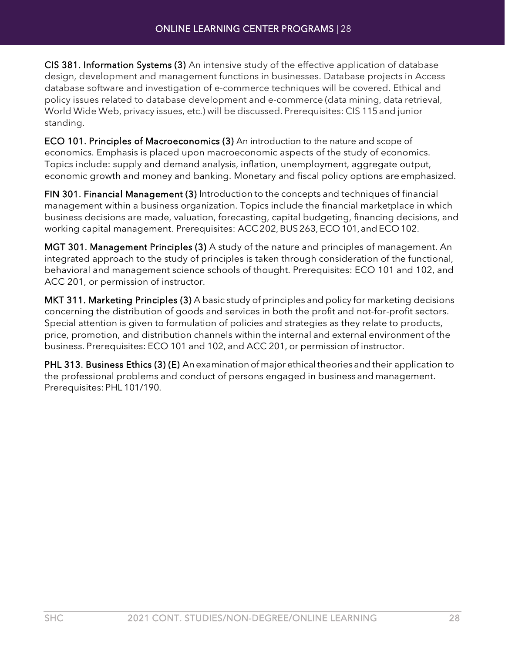CIS 381. Information Systems (3) An intensive study of the effective application of database design, development and management functions in businesses. Database projects in Access database software and investigation of e-commerce techniques will be covered. Ethical and policy issues related to database development and e-commerce (data mining, data retrieval, World Wide Web, privacy issues, etc.) will be discussed. Prerequisites: CIS 115and junior standing.

ECO 101. Principles of Macroeconomics (3) An introduction to the nature and scope of economics. Emphasis is placed upon macroeconomic aspects of the study of economics. Topics include: supply and demand analysis, inflation, unemployment, aggregate output, economic growth and money and banking. Monetary and fiscal policy options are emphasized.

FIN 301. Financial Management (3) Introduction to the concepts and techniques of financial management within a business organization. Topics include the financial marketplace in which business decisions are made, valuation, forecasting, capital budgeting, financing decisions, and working capital management. Prerequisites: ACC 202, BUS 263, ECO 101, and ECO 102.

MGT 301. Management Principles (3) A study of the nature and principles of management. An integrated approach to the study of principles is taken through consideration of the functional, behavioral and management science schools of thought. Prerequisites: ECO 101 and 102, and ACC 201, or permission of instructor.

MKT 311. Marketing Principles (3) A basic study of principles and policy for marketing decisions concerning the distribution of goods and services in both the profit and not-for-profit sectors. Special attention is given to formulation of policies and strategies as they relate to products, price, promotion, and distribution channels within the internal and external environment of the business. Prerequisites: ECO 101 and 102, and ACC 201, or permission of instructor.

PHL 313. Business Ethics (3) (E) An examination of major ethical theories and their application to the professional problems and conduct of persons engaged in business and management. Prerequisites: PHL 101/190.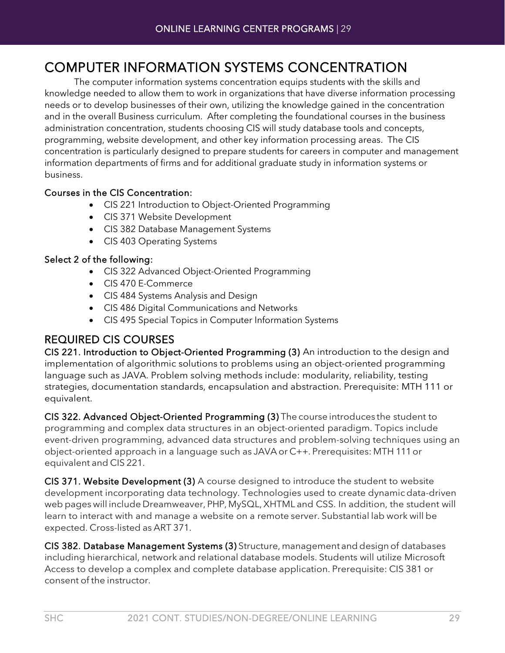# <span id="page-28-0"></span>COMPUTER INFORMATION SYSTEMS CONCENTRATION The computer information systems concentration equips students with the skills and

knowledge needed to allow them to work in organizations that have diverse information processing needs or to develop businesses of their own, utilizing the knowledge gained in the concentration and in the overall Business curriculum. After completing the foundational courses in the business administration concentration, students choosing CIS will study database tools and concepts, programming, website development, and other key information processing areas. The CIS concentration is particularly designed to prepare students for careers in computer and management information departments of firms and for additional graduate study in information systems or business.

#### Courses in the CIS Concentration:

- CIS 221 Introduction to Object-Oriented Programming
- CIS 371 Website Development
- CIS 382 Database Management Systems
- CIS 403 Operating Systems

#### Select 2 of the following:

- CIS 322 Advanced Object-Oriented Programming
- CIS 470 E-Commerce
- CIS 484 Systems Analysis and Design
- CIS 486 Digital Communications and Networks
- CIS 495 Special Topics in Computer Information Systems

## REQUIRED CIS COURSES

CIS 221. Introduction to Object-Oriented Programming (3) An introduction to the design and implementation of algorithmic solutions to problems using an object-oriented programming language such as JAVA. Problem solving methods include: modularity, reliability, testing strategies, documentation standards, encapsulation and abstraction. Prerequisite: MTH 111 or equivalent.

CIS 322. Advanced Object-Oriented Programming (3) The course introduces the student to programming and complex data structures in an object-oriented paradigm. Topics include event-driven programming, advanced data structures and problem-solving techniques using an object-oriented approach in a language such as JAVA or C++. Prerequisites: MTH 111or equivalent and CIS 221.

CIS 371. Website Development (3) A course designed to introduce the student to website development incorporating data technology. Technologies used to create dynamicdata-driven web pages will include Dreamweaver, PHP,MySQL,XHTML and CSS. In addition, the student will learn to interact with and manage a website on a remote server. Substantial lab work will be expected. Cross-listed as ART 371.

CIS 382. Database Management Systems (3) Structure, management and design of databases including hierarchical, network and relational database models. Students will utilize Microsoft Access to develop a complex and complete database application. Prerequisite: CIS 381 or consent of the instructor.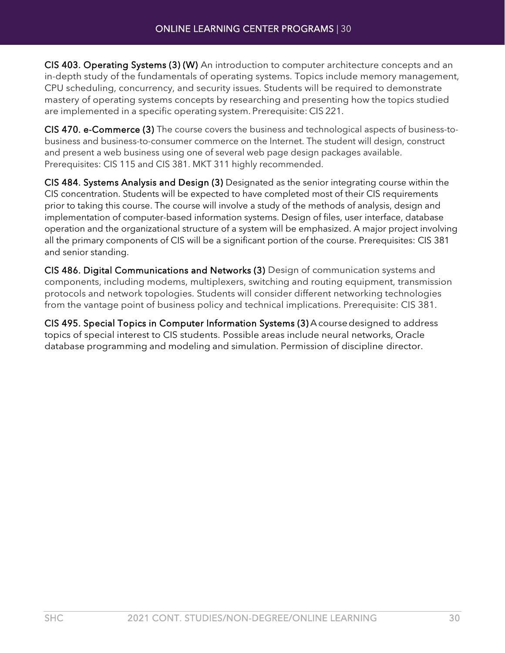CIS 403. Operating Systems (3) (W) An introduction to computer architecture concepts and an in-depth study of the fundamentals of operating systems. Topics include memory management, CPU scheduling, concurrency, and security issues. Students will be required to demonstrate mastery of operating systems concepts by researching and presenting how the topics studied are implemented in a specific operating system. Prerequisite: CIS 221.

CIS 470. e-Commerce (3) The course covers the business and technological aspects of business-tobusiness and business-to-consumer commerce on the Internet. The student will design, construct and present a web business using one of several web page design packages available. Prerequisites: CIS 115 and CIS 381. MKT 311 highly recommended.

CIS 484. Systems Analysis and Design (3) Designated as the senior integrating course within the CIS concentration. Students will be expected to have completed most of their CIS requirements prior to taking this course. The course will involve a study of the methods of analysis, design and implementation of computer-based information systems. Design of files, user interface, database operation and the organizational structure of a system will be emphasized. A major project involving all the primary components of CIS will be a significant portion of the course. Prerequisites: CIS 381 and senior standing.

CIS 486. Digital Communications and Networks (3) Design of communication systems and components, including modems, multiplexers, switching and routing equipment, transmission protocols and network topologies. Students will consider different networking technologies from the vantage point of business policy and technical implications. Prerequisite: CIS 381.

CIS 495. Special Topics in Computer Information Systems (3) Acoursedesigned to address topics of special interest to CIS students. Possible areas include neural networks, Oracle database programming and modeling and simulation. Permission of discipline director.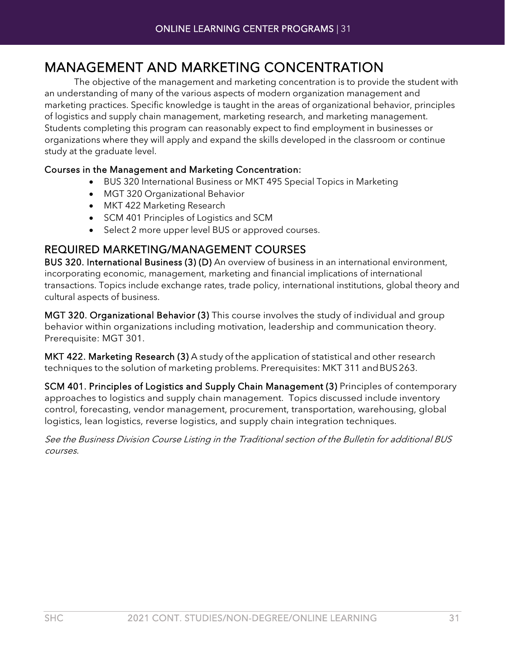# <span id="page-30-0"></span>MANAGEMENT AND MARKETING CONCENTRATION The objective of the management and marketing concentration is to provide the student with

an understanding of many of the various aspects of modern organization management and marketing practices. Specific knowledge is taught in the areas of organizational behavior, principles of logistics and supply chain management, marketing research, and marketing management. Students completing this program can reasonably expect to find employment in businesses or organizations where they will apply and expand the skills developed in the classroom or continue study at the graduate level.

#### Courses in the Management and Marketing Concentration:

- BUS 320 International Business or MKT 495 Special Topics in Marketing
- MGT 320 Organizational Behavior
- MKT 422 Marketing Research
- SCM 401 Principles of Logistics and SCM
- Select 2 more upper level BUS or approved courses.

## REQUIRED MARKETING/MANAGEMENT COURSES

BUS 320. International Business (3) (D) An overview of business in an international environment, incorporating economic, management, marketing and financial implications of international transactions. Topics include exchange rates, trade policy, international institutions, global theory and cultural aspects of business.

MGT 320. Organizational Behavior (3) This course involves the study of individual and group behavior within organizations including motivation, leadership and communication theory. Prerequisite: MGT 301.

MKT 422. Marketing Research (3) A study of the application of statistical and other research techniques to the solution of marketing problems. Prerequisites: MKT 311 andBUS263.

SCM 401. Principles of Logistics and Supply Chain Management (3) Principles of contemporary approaches to logistics and supply chain management. Topics discussed include inventory control, forecasting, vendor management, procurement, transportation, warehousing, global logistics, lean logistics, reverse logistics, and supply chain integration techniques.

See the Business Division Course Listing in the Traditional section of the Bulletin for additional BUS courses.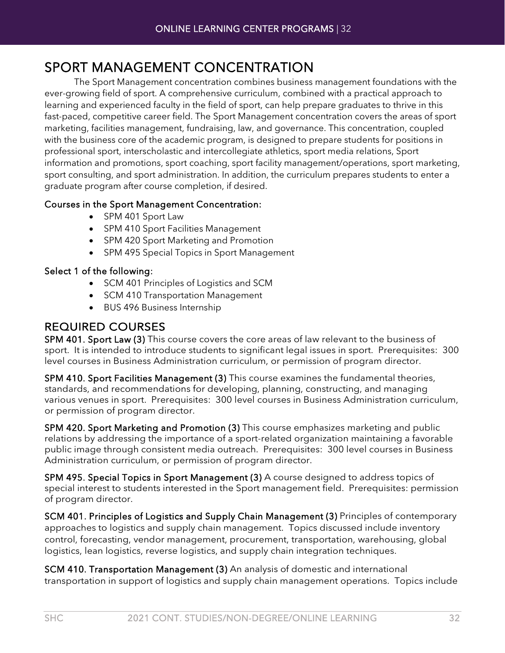# <span id="page-31-0"></span>SPORT MANAGEMENT CONCENTRATION The Sport Management concentration combines business management foundations with the

ever-growing field of sport. A comprehensive curriculum, combined with a practical approach to learning and experienced faculty in the field of sport, can help prepare graduates to thrive in this fast-paced, competitive career field. The Sport Management concentration covers the areas of sport marketing, facilities management, fundraising, law, and governance. This concentration, coupled with the business core of the academic program, is designed to prepare students for positions in professional sport, interscholastic and intercollegiate athletics, sport media relations, Sport information and promotions, sport coaching, sport facility management/operations, sport marketing, sport consulting, and sport administration. In addition, the curriculum prepares students to enter a graduate program after course completion, if desired.

#### Courses in the Sport Management Concentration:

- SPM 401 Sport Law
- SPM 410 Sport Facilities Management
- SPM 420 Sport Marketing and Promotion
- SPM 495 Special Topics in Sport Management

#### Select 1 of the following:

- SCM 401 Principles of Logistics and SCM
- SCM 410 Transportation Management
- BUS 496 Business Internship

# REQUIRED COURSES

SPM 401. Sport Law (3) This course covers the core areas of law relevant to the business of sport. It is intended to introduce students to significant legal issues in sport. Prerequisites: 300 level courses in Business Administration curriculum, or permission of program director.

SPM 410. Sport Facilities Management (3) This course examines the fundamental theories, standards, and recommendations for developing, planning, constructing, and managing various venues in sport. Prerequisites: 300 level courses in Business Administration curriculum, or permission of program director.

SPM 420. Sport Marketing and Promotion (3) This course emphasizes marketing and public relations by addressing the importance of a sport-related organization maintaining a favorable public image through consistent media outreach. Prerequisites: 300 level courses in Business Administration curriculum, or permission of program director.

SPM 495. Special Topics in Sport Management (3) A course designed to address topics of special interest to students interested in the Sport management field. Prerequisites: permission of program director.

SCM 401. Principles of Logistics and Supply Chain Management (3) Principles of contemporary approaches to logistics and supply chain management. Topics discussed include inventory control, forecasting, vendor management, procurement, transportation, warehousing, global logistics, lean logistics, reverse logistics, and supply chain integration techniques.

SCM 410. Transportation Management (3) An analysis of domestic and international transportation in support of logistics and supply chain management operations. Topics include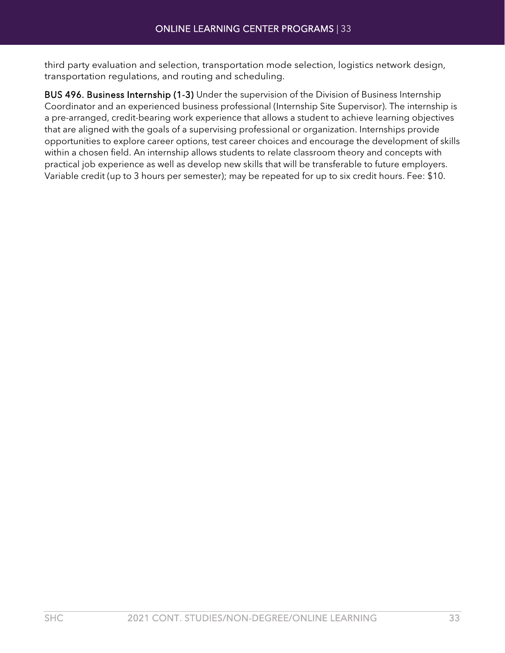third party evaluation and selection, transportation mode selection, logistics network design, transportation regulations, and routing and scheduling.

BUS 496. Business Internship (1-3) Under the supervision of the Division of Business Internship Coordinator and an experienced business professional (Internship Site Supervisor). The internship is a pre-arranged, credit-bearing work experience that allows a student to achieve learning objectives that are aligned with the goals of a supervising professional or organization. Internships provide opportunities to explore career options, test career choices and encourage the development of skills within a chosen field. An internship allows students to relate classroom theory and concepts with practical job experience as well as develop new skills that will be transferable to future employers. Variable credit (up to 3 hours per semester); may be repeated for up to six credit hours. Fee: \$10.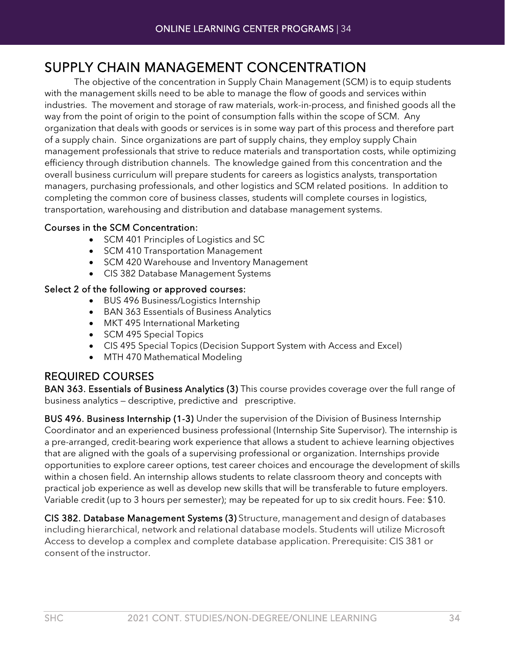# <span id="page-33-0"></span>SUPPLY CHAIN MANAGEMENT CONCENTRATION The objective of the concentration in Supply Chain Management (SCM) is to equip students

with the management skills need to be able to manage the flow of goods and services within industries. The movement and storage of raw materials, work-in-process, and finished goods all the way from the point of origin to the point of consumption falls within the scope of SCM. Any organization that deals with goods or services is in some way part of this process and therefore part of a supply chain. Since organizations are part of supply chains, they employ supply Chain management professionals that strive to reduce materials and transportation costs, while optimizing efficiency through distribution channels. The knowledge gained from this concentration and the overall business curriculum will prepare students for careers as logistics analysts, transportation managers, purchasing professionals, and other logistics and SCM related positions. In addition to completing the common core of business classes, students will complete courses in logistics, transportation, warehousing and distribution and database management systems.

#### Courses in the SCM Concentration:

- SCM 401 Principles of Logistics and SC
- SCM 410 Transportation Management
- SCM 420 Warehouse and Inventory Management
- CIS 382 Database Management Systems

#### Select 2 of the following or approved courses:

- BUS 496 Business/Logistics Internship
- BAN 363 Essentials of Business Analytics
- MKT 495 International Marketing
- SCM 495 Special Topics
- CIS 495 Special Topics (Decision Support System with Access and Excel)
- MTH 470 Mathematical Modeling

## REQUIRED COURSES

BAN 363. Essentials of Business Analytics (3) This course provides coverage over the full range of business analytics — descriptive, predictive and prescriptive.

BUS 496. Business Internship (1-3) Under the supervision of the Division of Business Internship Coordinator and an experienced business professional (Internship Site Supervisor). The internship is a pre-arranged, credit-bearing work experience that allows a student to achieve learning objectives that are aligned with the goals of a supervising professional or organization. Internships provide opportunities to explore career options, test career choices and encourage the development of skills within a chosen field. An internship allows students to relate classroom theory and concepts with practical job experience as well as develop new skills that will be transferable to future employers. Variable credit (up to 3 hours per semester); may be repeated for up to six credit hours. Fee: \$10.

CIS 382. Database Management Systems (3) Structure, management and design of databases including hierarchical, network and relational database models. Students will utilize Microsoft Access to develop a complex and complete database application. Prerequisite: CIS 381 or consent of the instructor.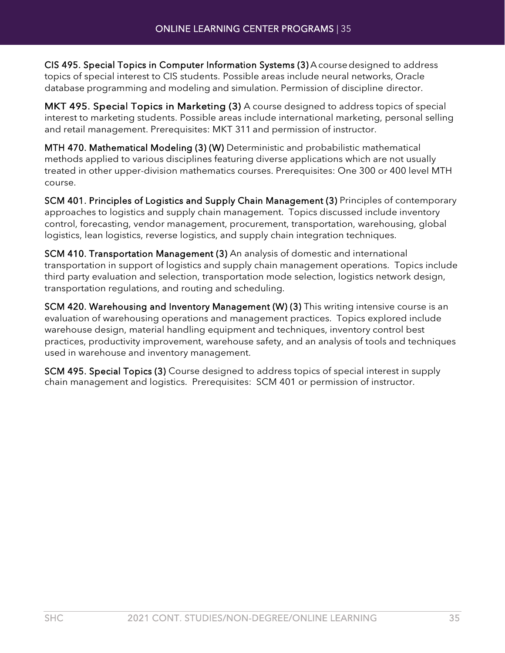CIS 495. Special Topics in Computer Information Systems (3) Acoursedesigned to address topics of special interest to CIS students. Possible areas include neural networks, Oracle database programming and modeling and simulation. Permission of discipline director.

MKT 495. Special Topics in Marketing (3) A course designed to address topics of special interest to marketing students. Possible areas include international marketing, personal selling and retail management. Prerequisites: MKT 311 and permission of instructor.

MTH 470. Mathematical Modeling (3) (W) Deterministic and probabilistic mathematical methods applied to various disciplines featuring diverse applications which are not usually treated in other upper-division mathematics courses. Prerequisites: One 300 or 400 level MTH course.

SCM 401. Principles of Logistics and Supply Chain Management (3) Principles of contemporary approaches to logistics and supply chain management. Topics discussed include inventory control, forecasting, vendor management, procurement, transportation, warehousing, global logistics, lean logistics, reverse logistics, and supply chain integration techniques.

SCM 410. Transportation Management (3) An analysis of domestic and international transportation in support of logistics and supply chain management operations. Topics include third party evaluation and selection, transportation mode selection, logistics network design, transportation regulations, and routing and scheduling.

SCM 420. Warehousing and Inventory Management (W) (3) This writing intensive course is an evaluation of warehousing operations and management practices. Topics explored include warehouse design, material handling equipment and techniques, inventory control best practices, productivity improvement, warehouse safety, and an analysis of tools and techniques used in warehouse and inventory management.

SCM 495. Special Topics (3) Course designed to address topics of special interest in supply chain management and logistics. Prerequisites: SCM 401 or permission of instructor.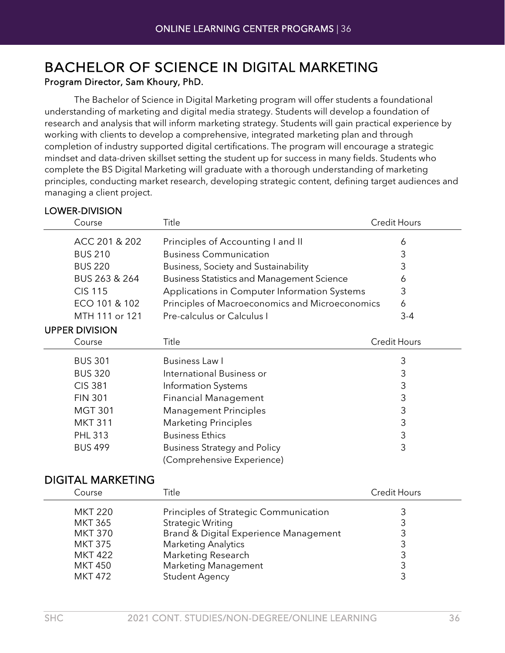# <span id="page-35-0"></span>BACHELOR OF SCIENCE IN DIGITAL MARKETING Program Director, Sam Khoury, PhD.

The Bachelor of Science in Digital Marketing program will offer students a foundational understanding of marketing and digital media strategy. Students will develop a foundation of research and analysis that will inform marketing strategy. Students will gain practical experience by working with clients to develop a comprehensive, integrated marketing plan and through completion of industry supported digital certifications. The program will encourage a strategic mindset and data-driven skillset setting the student up for success in many fields. Students who complete the BS Digital Marketing will graduate with a thorough understanding of marketing principles, conducting market research, developing strategic content, defining target audiences and managing a client project.

#### LOWER-DIVISION

| Course         | Title                                             | <b>Credit Hours</b> |
|----------------|---------------------------------------------------|---------------------|
| ACC 201 & 202  | Principles of Accounting I and II                 | 6                   |
| <b>BUS 210</b> | <b>Business Communication</b>                     | 3                   |
| <b>BUS 220</b> | Business, Society and Sustainability              | 3                   |
| BUS 263 & 264  | <b>Business Statistics and Management Science</b> | 6                   |
| <b>CIS 115</b> | Applications in Computer Information Systems      | 3                   |
| ECO 101 & 102  | Principles of Macroeconomics and Microeconomics   | 6                   |
| MTH 111 or 121 | Pre-calculus or Calculus I                        | 3-4                 |
|                |                                                   |                     |

#### UPPER DIVISION

| Course         | Title                               | <b>Credit Hours</b> |
|----------------|-------------------------------------|---------------------|
| <b>BUS 301</b> | Business Law I                      | 3                   |
| <b>BUS 320</b> | International Business or           | 3                   |
| <b>CIS 381</b> | Information Systems                 | 3                   |
| <b>FIN 301</b> | <b>Financial Management</b>         | 3                   |
| <b>MGT 301</b> | <b>Management Principles</b>        | 3                   |
| <b>MKT 311</b> | <b>Marketing Principles</b>         | 3                   |
| <b>PHL 313</b> | <b>Business Ethics</b>              | 3                   |
| <b>BUS 499</b> | <b>Business Strategy and Policy</b> | 3                   |
|                | (Comprehensive Experience)          |                     |

#### DIGITAL MARKETING

| Course         | Title                                 | Credit Hours |
|----------------|---------------------------------------|--------------|
| <b>MKT 220</b> | Principles of Strategic Communication |              |
| <b>MKT 365</b> | Strategic Writing                     |              |
| <b>MKT 370</b> | Brand & Digital Experience Management |              |
| <b>MKT 375</b> | <b>Marketing Analytics</b>            |              |
| <b>MKT 422</b> | Marketing Research                    |              |
| <b>MKT 450</b> | <b>Marketing Management</b>           |              |
| <b>MKT 472</b> | <b>Student Agency</b>                 |              |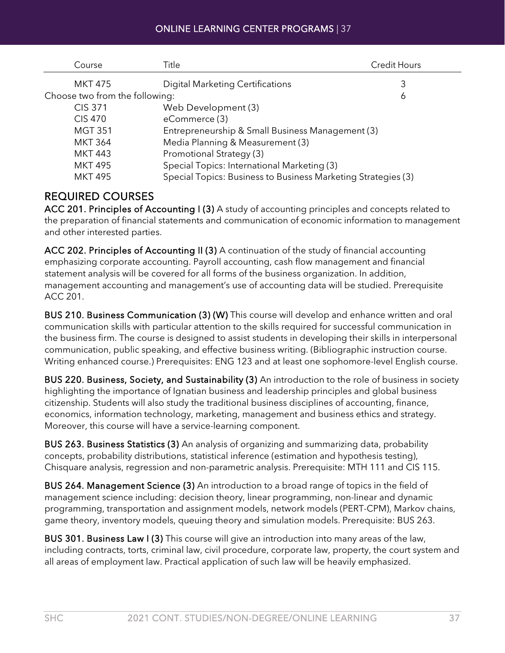| Course                         | Title                                                         | <b>Credit Hours</b> |
|--------------------------------|---------------------------------------------------------------|---------------------|
| <b>MKT 475</b>                 | <b>Digital Marketing Certifications</b>                       | 3                   |
| Choose two from the following: |                                                               | 6                   |
| <b>CIS 371</b>                 | Web Development (3)                                           |                     |
| <b>CIS 470</b>                 | eCommerce (3)                                                 |                     |
| <b>MGT 351</b>                 | Entrepreneurship & Small Business Management (3)              |                     |
| <b>MKT 364</b>                 | Media Planning & Measurement (3)                              |                     |
| <b>MKT 443</b>                 | Promotional Strategy (3)                                      |                     |
| <b>MKT 495</b>                 | Special Topics: International Marketing (3)                   |                     |
| <b>MKT 495</b>                 | Special Topics: Business to Business Marketing Strategies (3) |                     |

#### REQUIRED COURSES

ACC 201. Principles of Accounting I (3) A study of accounting principles and concepts related to the preparation of financial statements and communication of economic information to management and other interested parties.

ACC 202. Principles of Accounting II (3) A continuation of the study of financial accounting emphasizing corporate accounting. Payroll accounting, cash flow management and financial statement analysis will be covered for all forms of the business organization. In addition, management accounting and management's use of accounting data will be studied. Prerequisite ACC 201.

BUS 210. Business Communication (3) (W) This course will develop and enhance written and oral communication skills with particular attention to the skills required for successful communication in the business firm. The course is designed to assist students in developing their skills in interpersonal communication, public speaking, and effective business writing. (Bibliographic instruction course. Writing enhanced course.) Prerequisites: ENG 123 and at least one sophomore-level English course.

BUS 220. Business, Society, and Sustainability (3) An introduction to the role of business in society highlighting the importance of Ignatian business and leadership principles and global business citizenship. Students will also study the traditional business disciplines of accounting, finance, economics, information technology, marketing, management and business ethics and strategy. Moreover, this course will have a service-learning component.

BUS 263. Business Statistics (3) An analysis of organizing and summarizing data, probability concepts, probability distributions, statistical inference (estimation and hypothesis testing), Chisquare analysis, regression and non-parametric analysis. Prerequisite: MTH 111 and CIS 115.

BUS 264. Management Science (3) An introduction to a broad range of topics in the field of management science including: decision theory, linear programming, non-linear and dynamic programming, transportation and assignment models, network models (PERT-CPM), Markov chains, game theory, inventory models, queuing theory and simulation models. Prerequisite: BUS 263.

BUS 301. Business Law I (3) This course will give an introduction into many areas of the law, including contracts, torts, criminal law, civil procedure, corporate law, property, the court system and all areas of employment law. Practical application of such law will be heavily emphasized.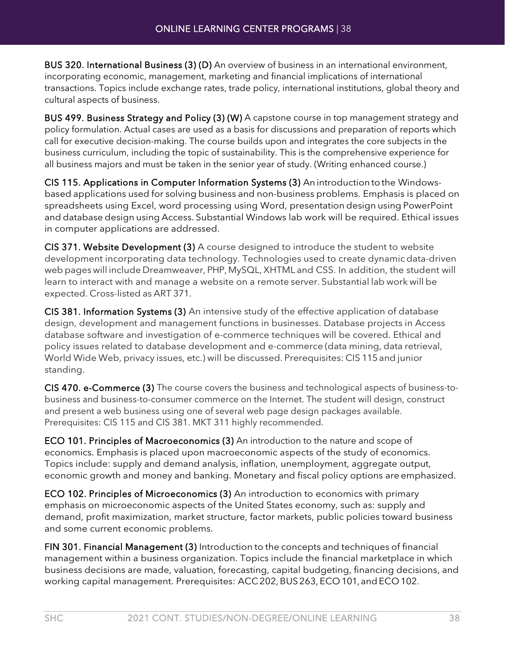BUS 320. International Business (3) (D) An overview of business in an international environment, incorporating economic, management, marketing and financial implications of international transactions. Topics include exchange rates, trade policy, international institutions, global theory and cultural aspects of business.

BUS 499. Business Strategy and Policy (3) (W) A capstone course in top management strategy and policy formulation. Actual cases are used as a basis for discussions and preparation of reports which call for executive decision-making. The course builds upon and integrates the core subjects in the business curriculum, including the topic of sustainability. This is the comprehensive experience for all business majors and must be taken in the senior year of study. (Writing enhanced course.)

CIS 115. Applications in Computer Information Systems (3) An introduction tothe Windowsbased applications used for solving business and non-business problems. Emphasis is placed on spreadsheets using Excel, word processing using Word, presentation design using PowerPoint and database design using Access. Substantial Windows lab work will be required. Ethical issues in computer applications are addressed.

CIS 371. Website Development (3) A course designed to introduce the student to website development incorporating data technology. Technologies used to create dynamicdata-driven web pages will include Dreamweaver, PHP,MySQL,XHTML and CSS. In addition, the student will learn to interact with and manage a website on a remote server. Substantial lab work will be expected. Cross-listed as ART 371.

CIS 381. Information Systems (3) An intensive study of the effective application of database design, development and management functions in businesses. Database projects in Access database software and investigation of e-commerce techniques will be covered. Ethical and policy issues related to database development and e-commerce (data mining, data retrieval, World Wide Web, privacy issues, etc.) will be discussed. Prerequisites: CIS 115and junior standing.

CIS 470. e-Commerce (3) The course covers the business and technological aspects of business-tobusiness and business-to-consumer commerce on the Internet. The student will design, construct and present a web business using one of several web page design packages available. Prerequisites: CIS 115 and CIS 381. MKT 311 highly recommended.

ECO 101. Principles of Macroeconomics (3) An introduction to the nature and scope of economics. Emphasis is placed upon macroeconomic aspects of the study of economics. Topics include: supply and demand analysis, inflation, unemployment, aggregate output, economic growth and money and banking. Monetary and fiscal policy options are emphasized.

ECO 102. Principles of Microeconomics (3) An introduction to economics with primary emphasis on microeconomic aspects of the United States economy, such as: supply and demand, profit maximization, market structure, factor markets, public policies toward business and some current economic problems.

FIN 301. Financial Management (3) Introduction to the concepts and techniques of financial management within a business organization. Topics include the financial marketplace in which business decisions are made, valuation, forecasting, capital budgeting, financing decisions, and working capital management. Prerequisites: ACC 202, BUS 263, ECO 101, and ECO 102.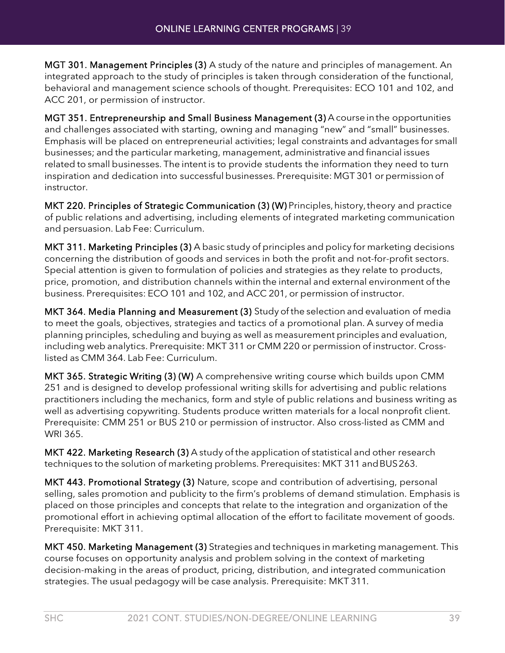MGT 301. Management Principles (3) A study of the nature and principles of management. An integrated approach to the study of principles is taken through consideration of the functional, behavioral and management science schools of thought. Prerequisites: ECO 101 and 102, and ACC 201, or permission of instructor.

MGT 351. Entrepreneurship and Small Business Management (3) A coursein the opportunities and challenges associated with starting, owning and managing "new" and "small" businesses. Emphasis will be placed on entrepreneurial activities; legal constraints and advantages for small businesses; and the particular marketing, management, administrative and financial issues related to small businesses. The intent is to provide students the information they need to turn inspiration and dedication into successful businesses. Prerequisite: MGT 301 or permission of instructor.

MKT 220. Principles of Strategic Communication (3) (W) Principles, history, theory and practice of public relations and advertising, including elements of integrated marketing communication and persuasion. Lab Fee: Curriculum.

MKT 311. Marketing Principles (3) A basic study of principles and policy for marketing decisions concerning the distribution of goods and services in both the profit and not-for-profit sectors. Special attention is given to formulation of policies and strategies as they relate to products, price, promotion, and distribution channels within the internal and external environment of the business. Prerequisites: ECO 101 and 102, and ACC 201, or permission of instructor.

MKT 364. Media Planning and Measurement (3) Study of the selection and evaluation of media to meet the goals, objectives, strategies and tactics of a promotional plan. A survey of media planning principles, scheduling and buying as well as measurement principles and evaluation, including web analytics. Prerequisite: MKT 311 or CMM 220 or permission of instructor. Crosslisted as CMM 364. Lab Fee: Curriculum.

MKT 365. Strategic Writing (3) (W) A comprehensive writing course which builds upon CMM 251 and is designed to develop professional writing skills for advertising and public relations practitioners including the mechanics, form and style of public relations and business writing as well as advertising copywriting. Students produce written materials for a local nonprofit client. Prerequisite: CMM 251 or BUS 210 or permission of instructor. Also cross-listed as CMM and WRI 365.

MKT 422. Marketing Research (3) A study of the application of statistical and other research techniques to the solution of marketing problems. Prerequisites: MKT 311 andBUS263.

MKT 443. Promotional Strategy (3) Nature, scope and contribution of advertising, personal selling, sales promotion and publicity to the firm's problems of demand stimulation. Emphasis is placed on those principles and concepts that relate to the integration and organization of the promotional effort in achieving optimal allocation of the effort to facilitate movement of goods. Prerequisite: MKT 311.

MKT 450. Marketing Management (3) Strategies and techniques in marketing management. This course focuses on opportunity analysis and problem solving in the context of marketing decision-making in the areas of product, pricing, distribution, and integrated communication strategies. The usual pedagogy will be case analysis. Prerequisite: MKT 311.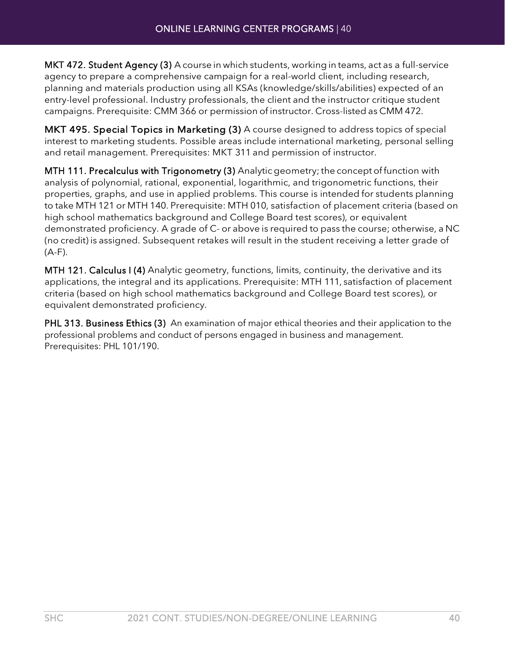MKT 472. Student Agency (3) A course in which students, working in teams, act as a full-service agency to prepare a comprehensive campaign for a real-world client, including research, planning and materials production using all KSAs (knowledge/skills/abilities) expected of an entry-level professional. Industry professionals, the client and the instructor critique student campaigns. Prerequisite: CMM 366 or permission of instructor. Cross-listed as CMM 472.

MKT 495. Special Topics in Marketing (3) A course designed to address topics of special interest to marketing students. Possible areas include international marketing, personal selling and retail management. Prerequisites: MKT 311 and permission of instructor.

MTH 111. Precalculus with Trigonometry (3) Analyticgeometry; the concept of function with analysis of polynomial, rational, exponential, logarithmic, and trigonometric functions, their properties, graphs, and use in applied problems. This course is intended for students planning to take MTH 121 or MTH 140. Prerequisite: MTH 010, satisfaction of placement criteria (based on high school mathematics background and College Board test scores), or equivalent demonstrated proficiency. A grade of C- or above is required to pass the course; otherwise, a NC (no credit) is assigned. Subsequent retakes will result in the student receiving a letter grade of (A-F).

MTH 121. Calculus I (4) Analytic geometry, functions, limits, continuity, the derivative and its applications, the integral and its applications. Prerequisite: MTH 111, satisfaction of placement criteria (based on high school mathematics background and College Board test scores), or equivalent demonstrated proficiency.

PHL 313. Business Ethics (3) An examination of major ethical theories and their application to the professional problems and conduct of persons engaged in business and management. Prerequisites: PHL 101/190.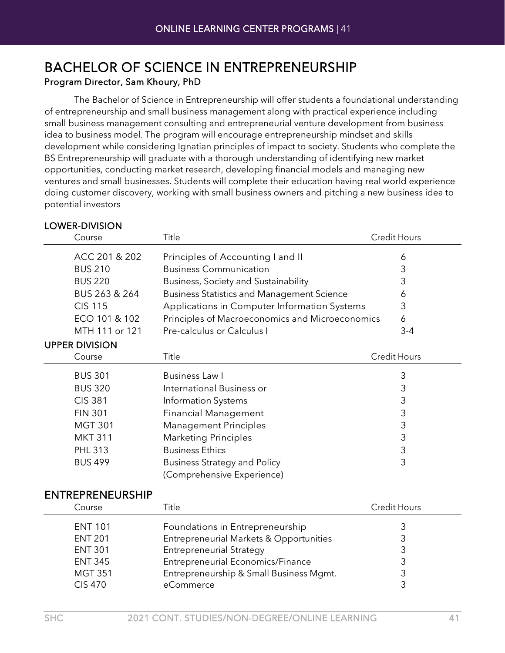# BACHELOR OF SCIENCE IN ENTREPRENEURSHIP<br>Program Director, Sam Khoury, PhD

The Bachelor of Science in Entrepreneurship will offer students a foundational understanding of entrepreneurship and small business management along with practical experience including small business management consulting and entrepreneurial venture development from business idea to business model. The program will encourage entrepreneurship mindset and skills development while considering Ignatian principles of impact to society. Students who complete the BS Entrepreneurship will graduate with a thorough understanding of identifying new market opportunities, conducting market research, developing financial models and managing new ventures and small businesses. Students will complete their education having real world experience doing customer discovery, working with small business owners and pitching a new business idea to potential investors

| LUWER-DIVIJIUN          |                                                   |                     |
|-------------------------|---------------------------------------------------|---------------------|
| Course                  | Title                                             | <b>Credit Hours</b> |
| ACC 201 & 202           | Principles of Accounting I and II                 | 6                   |
| <b>BUS 210</b>          | <b>Business Communication</b>                     | 3                   |
| <b>BUS 220</b>          | Business, Society and Sustainability              | 3                   |
| BUS 263 & 264           | <b>Business Statistics and Management Science</b> | 6                   |
| <b>CIS 115</b>          | Applications in Computer Information Systems      | 3                   |
| ECO 101 & 102           | Principles of Macroeconomics and Microeconomics   | 6                   |
| MTH 111 or 121          | Pre-calculus or Calculus I                        | $3 - 4$             |
| <b>UPPER DIVISION</b>   |                                                   |                     |
| Course                  | Title                                             | Credit Hours        |
| <b>BUS 301</b>          | Business Law I                                    | 3                   |
| <b>BUS 320</b>          | International Business or                         | 3                   |
| <b>CIS 381</b>          | Information Systems                               | 3                   |
| <b>FIN 301</b>          | <b>Financial Management</b>                       | 3                   |
| <b>MGT 301</b>          | <b>Management Principles</b>                      | 3                   |
| <b>MKT 311</b>          | <b>Marketing Principles</b>                       | $\mathsf 3$         |
| <b>PHL 313</b>          | <b>Business Ethics</b>                            | 3                   |
| <b>BUS 499</b>          | <b>Business Strategy and Policy</b>               | 3                   |
|                         | (Comprehensive Experience)                        |                     |
| <b>ENTREPRENEURSHIP</b> |                                                   |                     |
| Course                  | Title                                             | <b>Credit Hours</b> |
| <b>ENT 101</b>          | Foundations in Entrepreneurship                   | 3                   |
|                         |                                                   |                     |

#### LOWER-DIVISION

| <b>ENT 101</b> | Foundations in Entrepreneurship          | 3 |
|----------------|------------------------------------------|---|
| <b>ENT 201</b> | Entrepreneurial Markets & Opportunities  | 3 |
| <b>ENT 301</b> | <b>Entrepreneurial Strategy</b>          | 3 |
| <b>ENT 345</b> | <b>Entrepreneurial Economics/Finance</b> | 3 |
| <b>MGT 351</b> | Entrepreneurship & Small Business Mgmt.  | 3 |
| <b>CIS 470</b> | eCommerce                                | ാ |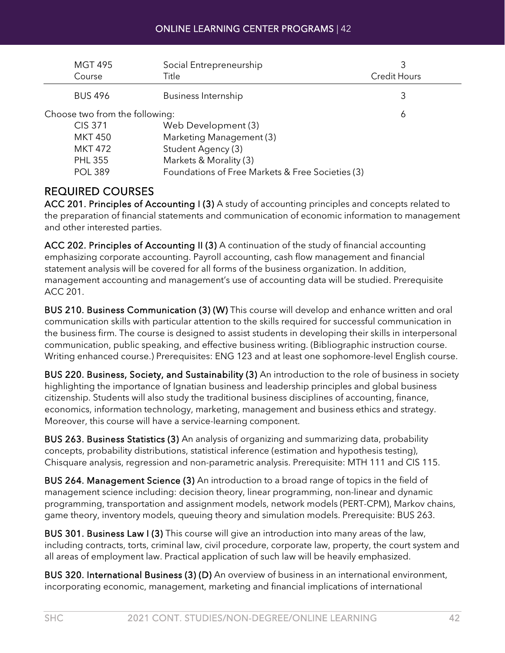| <b>MGT 495</b><br>Course       | Social Entrepreneurship<br>Title                 | 3<br><b>Credit Hours</b> |
|--------------------------------|--------------------------------------------------|--------------------------|
| <b>BUS 496</b>                 | Business Internship                              | 3                        |
| Choose two from the following: |                                                  | 6                        |
| <b>CIS 371</b>                 | Web Development (3)                              |                          |
| <b>MKT 450</b>                 | Marketing Management (3)                         |                          |
| <b>MKT 472</b>                 | Student Agency (3)                               |                          |
| <b>PHL 355</b>                 | Markets & Morality (3)                           |                          |
| <b>POL 389</b>                 | Foundations of Free Markets & Free Societies (3) |                          |

### REQUIRED COURSES

ACC 201. Principles of Accounting I (3) A study of accounting principles and concepts related to the preparation of financial statements and communication of economic information to management and other interested parties.

ACC 202. Principles of Accounting II (3) A continuation of the study of financial accounting emphasizing corporate accounting. Payroll accounting, cash flow management and financial statement analysis will be covered for all forms of the business organization. In addition, management accounting and management's use of accounting data will be studied. Prerequisite ACC 201.

BUS 210. Business Communication (3) (W) This course will develop and enhance written and oral communication skills with particular attention to the skills required for successful communication in the business firm. The course is designed to assist students in developing their skills in interpersonal communication, public speaking, and effective business writing. (Bibliographic instruction course. Writing enhanced course.) Prerequisites: ENG 123 and at least one sophomore-level English course.

BUS 220. Business, Society, and Sustainability (3) An introduction to the role of business in society highlighting the importance of Ignatian business and leadership principles and global business citizenship. Students will also study the traditional business disciplines of accounting, finance, economics, information technology, marketing, management and business ethics and strategy. Moreover, this course will have a service-learning component.

BUS 263. Business Statistics (3) An analysis of organizing and summarizing data, probability concepts, probability distributions, statistical inference (estimation and hypothesis testing), Chisquare analysis, regression and non-parametric analysis. Prerequisite: MTH 111 and CIS 115.

BUS 264. Management Science (3) An introduction to a broad range of topics in the field of management science including: decision theory, linear programming, non-linear and dynamic programming, transportation and assignment models, network models (PERT-CPM), Markov chains, game theory, inventory models, queuing theory and simulation models. Prerequisite: BUS 263.

BUS 301. Business Law I (3) This course will give an introduction into many areas of the law, including contracts, torts, criminal law, civil procedure, corporate law, property, the court system and all areas of employment law. Practical application of such law will be heavily emphasized.

BUS 320. International Business (3) (D) An overview of business in an international environment, incorporating economic, management, marketing and financial implications of international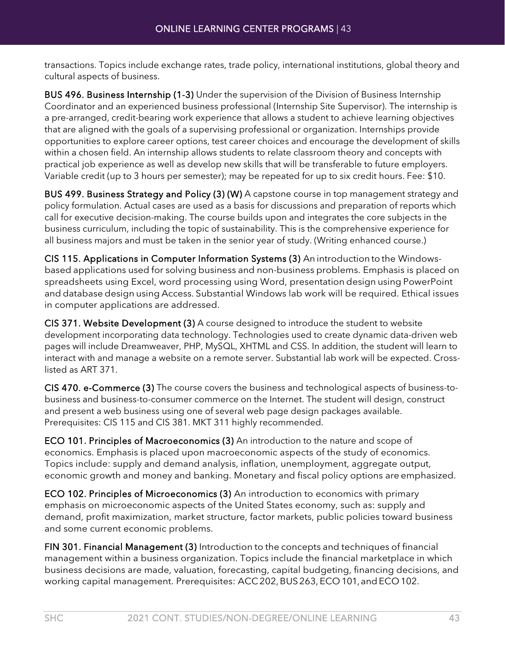transactions. Topics include exchange rates, trade policy, international institutions, global theory and cultural aspects of business.

BUS 496. Business Internship (1-3) Under the supervision of the Division of Business Internship Coordinator and an experienced business professional (Internship Site Supervisor). The internship is a pre-arranged, credit-bearing work experience that allows a student to achieve learning objectives that are aligned with the goals of a supervising professional or organization. Internships provide opportunities to explore career options, test career choices and encourage the development of skills within a chosen field. An internship allows students to relate classroom theory and concepts with practical job experience as well as develop new skills that will be transferable to future employers. Variable credit (up to 3 hours per semester); may be repeated for up to six credit hours. Fee: \$10.

BUS 499. Business Strategy and Policy (3) (W) A capstone course in top management strategy and policy formulation. Actual cases are used as a basis for discussions and preparation of reports which call for executive decision-making. The course builds upon and integrates the core subjects in the business curriculum, including the topic of sustainability. This is the comprehensive experience for all business majors and must be taken in the senior year of study. (Writing enhanced course.)

CIS 115. Applications in Computer Information Systems (3) An introduction tothe Windowsbased applications used for solving business and non-business problems. Emphasis is placed on spreadsheets using Excel, word processing using Word, presentation design using PowerPoint and database design using Access. Substantial Windows lab work will be required. Ethical issues in computer applications are addressed.

CIS 371. Website Development (3) A course designed to introduce the student to website development incorporating data technology. Technologies used to create dynamic data-driven web pages will include Dreamweaver, PHP, MySQL, XHTML and CSS. In addition, the student will learn to interact with and manage a website on a remote server. Substantial lab work will be expected. Crosslisted as ART 371.

CIS 470. e-Commerce (3) The course covers the business and technological aspects of business-tobusiness and business-to-consumer commerce on the Internet. The student will design, construct and present a web business using one of several web page design packages available. Prerequisites: CIS 115 and CIS 381. MKT 311 highly recommended.

ECO 101. Principles of Macroeconomics (3) An introduction to the nature and scope of economics. Emphasis is placed upon macroeconomic aspects of the study of economics. Topics include: supply and demand analysis, inflation, unemployment, aggregate output, economic growth and money and banking. Monetary and fiscal policy options are emphasized.

ECO 102. Principles of Microeconomics (3) An introduction to economics with primary emphasis on microeconomic aspects of the United States economy, such as: supply and demand, profit maximization, market structure, factor markets, public policies toward business and some current economic problems.

FIN 301. Financial Management (3) Introduction to the concepts and techniques of financial management within a business organization. Topics include the financial marketplace in which business decisions are made, valuation, forecasting, capital budgeting, financing decisions, and working capital management. Prerequisites: ACC 202, BUS 263, ECO 101, and ECO 102.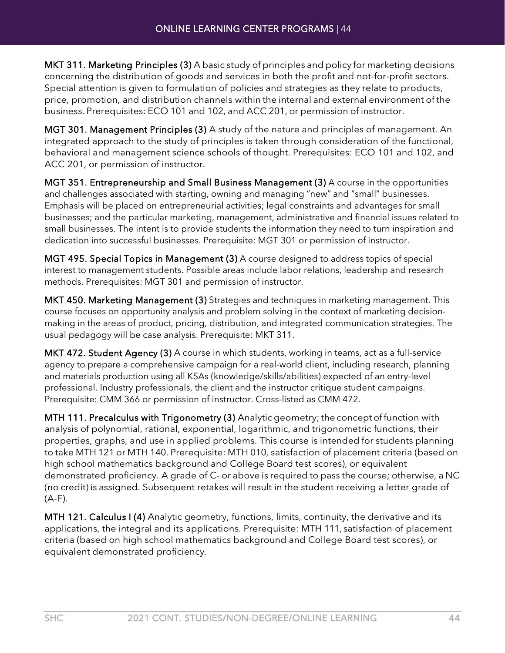MKT 311. Marketing Principles (3) A basic study of principles and policy for marketing decisions concerning the distribution of goods and services in both the profit and not-for-profit sectors. Special attention is given to formulation of policies and strategies as they relate to products, price, promotion, and distribution channels within the internal and external environment of the business. Prerequisites: ECO 101 and 102, and ACC 201, or permission of instructor.

MGT 301. Management Principles (3) A study of the nature and principles of management. An integrated approach to the study of principles is taken through consideration of the functional, behavioral and management science schools of thought. Prerequisites: ECO 101 and 102, and ACC 201, or permission of instructor.

MGT 351. Entrepreneurship and Small Business Management (3) A course in the opportunities and challenges associated with starting, owning and managing "new" and "small" businesses. Emphasis will be placed on entrepreneurial activities; legal constraints and advantages for small businesses; and the particular marketing, management, administrative and financial issues related to small businesses. The intent is to provide students the information they need to turn inspiration and dedication into successful businesses. Prerequisite: MGT 301 or permission of instructor.

MGT 495. Special Topics in Management (3) A course designed to address topics of special interest to management students. Possible areas include labor relations, leadership and research methods. Prerequisites: MGT 301 and permission of instructor.

MKT 450. Marketing Management (3) Strategies and techniques in marketing management. This course focuses on opportunity analysis and problem solving in the context of marketing decisionmaking in the areas of product, pricing, distribution, and integrated communication strategies. The usual pedagogy will be case analysis. Prerequisite: MKT 311.

MKT 472. Student Agency (3) A course in which students, working in teams, act as a full-service agency to prepare a comprehensive campaign for a real-world client, including research, planning and materials production using all KSAs (knowledge/skills/abilities) expected of an entry-level professional. Industry professionals, the client and the instructor critique student campaigns. Prerequisite: CMM 366 or permission of instructor. Cross-listed as CMM 472.

MTH 111. Precalculus with Trigonometry (3) Analyticgeometry; the concept of function with analysis of polynomial, rational, exponential, logarithmic, and trigonometric functions, their properties, graphs, and use in applied problems. This course is intended for students planning to take MTH 121 or MTH 140. Prerequisite: MTH 010, satisfaction of placement criteria (based on high school mathematics background and College Board test scores), or equivalent demonstrated proficiency. A grade of C- or above is required to pass the course; otherwise, a NC (no credit) is assigned. Subsequent retakes will result in the student receiving a letter grade of (A-F).

MTH 121. Calculus I (4) Analytic geometry, functions, limits, continuity, the derivative and its applications, the integral and its applications. Prerequisite: MTH 111, satisfaction of placement criteria (based on high school mathematics background and College Board test scores), or equivalent demonstrated proficiency.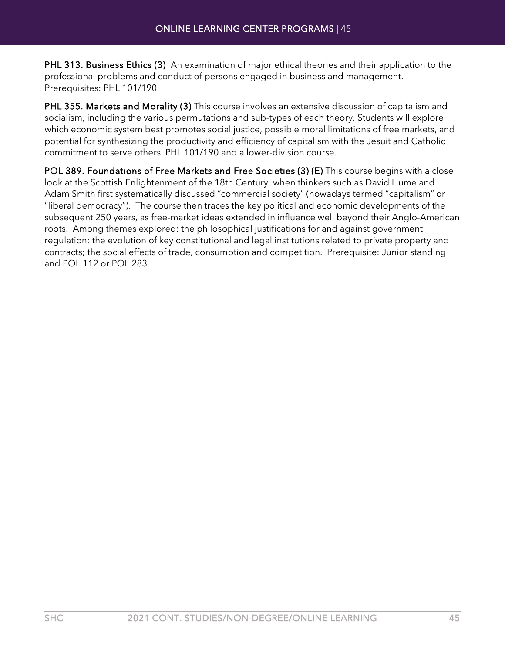PHL 313. Business Ethics (3) An examination of major ethical theories and their application to the professional problems and conduct of persons engaged in business and management. Prerequisites: PHL 101/190.

PHL 355. Markets and Morality (3) This course involves an extensive discussion of capitalism and socialism, including the various permutations and sub-types of each theory. Students will explore which economic system best promotes social justice, possible moral limitations of free markets, and potential for synthesizing the productivity and efficiency of capitalism with the Jesuit and Catholic commitment to serve others. PHL 101/190 and a lower-division course.

POL 389. Foundations of Free Markets and Free Societies (3) (E) This course begins with a close look at the Scottish Enlightenment of the 18th Century, when thinkers such as David Hume and Adam Smith first systematically discussed "commercial society" (nowadays termed "capitalism" or "liberal democracy"). The course then traces the key political and economic developments of the subsequent 250 years, as free-market ideas extended in influence well beyond their Anglo-American roots. Among themes explored: the philosophical justifications for and against government regulation; the evolution of key constitutional and legal institutions related to private property and contracts; the social effects of trade, consumption and competition. Prerequisite: Junior standing and POL 112 or POL 283.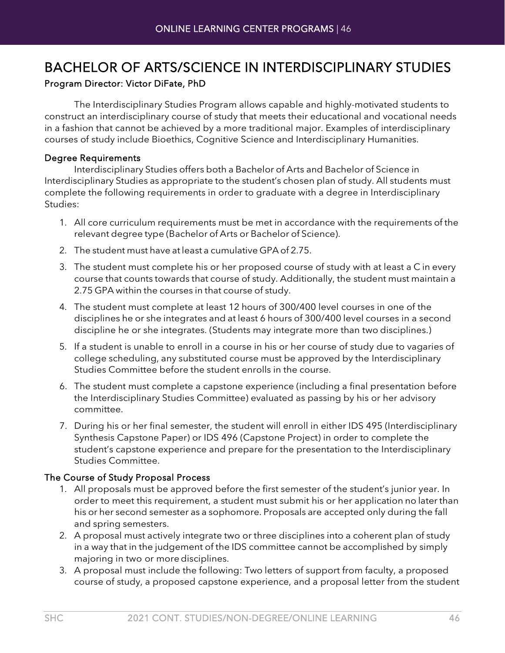### BACHELOR OF ARTS/SCIENCE IN INTERDISCIPLINARY STUDIES

#### Program Director: Victor DiFate, PhD

The Interdisciplinary Studies Program allows capable and highly-motivated students to construct an interdisciplinary course of study that meets their educational and vocational needs in a fashion that cannot be achieved by a more traditional major. Examples of interdisciplinary courses of study include Bioethics, Cognitive Science and Interdisciplinary Humanities.

#### Degree Requirements

Interdisciplinary Studies offers both a Bachelor of Arts and Bachelor of Science in Interdisciplinary Studies as appropriate to the student's chosen plan of study. All students must complete the following requirements in order to graduate with a degree in Interdisciplinary Studies:

- 1. All core curriculum requirements must be met in accordance with the requirements of the relevant degree type (Bachelor of Arts or Bachelor of Science).
- 2. The student must have at least a cumulative GPA of 2.75.
- 3. The student must complete his or her proposed course of study with at least a C in every course that counts towards that course of study. Additionally, the student must maintain a 2.75 GPA within the courses in that course of study.
- 4. The student must complete at least 12 hours of 300/400 level courses in one of the disciplines he or she integrates and at least 6 hours of 300/400 level courses in a second discipline he or she integrates. (Students may integrate more than two disciplines.)
- 5. If a student is unable to enroll in a course in his or her course of study due to vagaries of college scheduling, any substituted course must be approved by the Interdisciplinary Studies Committee before the student enrolls in the course.
- 6. The student must complete a capstone experience (including a final presentation before the Interdisciplinary Studies Committee) evaluated as passing by his or her advisory committee.
- 7. During his or her final semester, the student will enroll in either IDS 495 (Interdisciplinary Synthesis Capstone Paper) or IDS 496 (Capstone Project) in order to complete the student's capstone experience and prepare for the presentation to the Interdisciplinary Studies Committee.

#### The Course of Study Proposal Process

- 1. All proposals must be approved before the first semester of the student's junior year. In order to meet this requirement, a student must submit his or her application no later than his or her second semester as a sophomore. Proposals are accepted only during the fall and spring semesters.
- 2. A proposal must actively integrate two or three disciplines into a coherent plan of study in a way that in the judgement of the IDS committee cannot be accomplished by simply majoring in two or more disciplines.
- 3. A proposal must include the following: Two letters of support from faculty, a proposed course of study, a proposed capstone experience, and a proposal letter from the student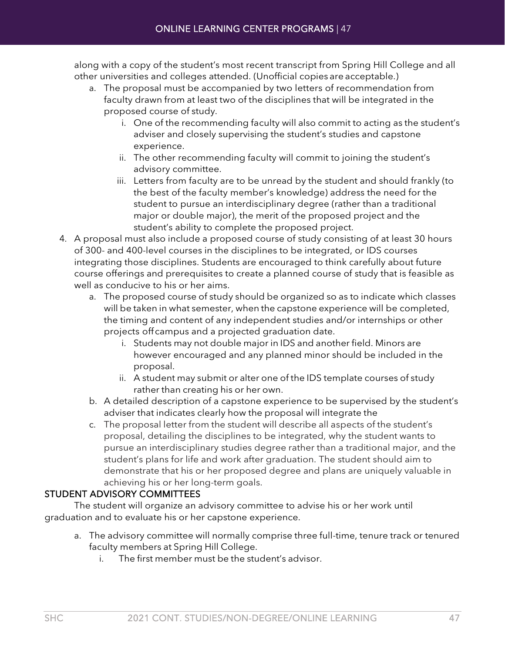along with a copy of the student's most recent transcript from Spring Hill College and all other universities and colleges attended. (Unofficial copies are acceptable.)

- a. The proposal must be accompanied by two letters of recommendation from faculty drawn from at least two of the disciplines that will be integrated in the proposed course of study.
	- i. One of the recommending faculty will also commit to acting as the student's adviser and closely supervising the student's studies and capstone experience.
	- ii. The other recommending faculty will commit to joining the student's advisory committee.
	- iii. Letters from faculty are to be unread by the student and should frankly (to the best of the faculty member's knowledge) address the need for the student to pursue an interdisciplinary degree (rather than a traditional major or double major), the merit of the proposed project and the student's ability to complete the proposed project.
- 4. A proposal must also include a proposed course of study consisting of at least 30 hours of 300- and 400-level courses in the disciplines to be integrated, or IDS courses integrating those disciplines. Students are encouraged to think carefully about future course offerings and prerequisites to create a planned course of study that is feasible as well as conducive to his or her aims.
	- a. The proposed course of study should be organized so as to indicate which classes will be taken in what semester, when the capstone experience will be completed, the timing and content of any independent studies and/or internships or other projects offcampus and a projected graduation date.
		- i. Students may not double major in IDS and another field. Minors are however encouraged and any planned minor should be included in the proposal.
		- ii. A student may submit or alter one of the IDS template courses of study rather than creating his or her own.
	- b. A detailed description of a capstone experience to be supervised by the student's adviser that indicates clearly how the proposal will integrate the
	- c. The proposal letter from the student will describe all aspects of the student's proposal, detailing the disciplines to be integrated, why the student wants to pursue an interdisciplinary studies degree rather than a traditional major, and the student's plans for life and work after graduation. The student should aim to demonstrate that his or her proposed degree and plans are uniquely valuable in achieving his or her long-term goals.

#### STUDENT ADVISORY COMMITTEES

The student will organize an advisory committee to advise his or her work until graduation and to evaluate his or her capstone experience.

- a. The advisory committee will normally comprise three full-time, tenure track or tenured faculty members at Spring Hill College.
	- i. The first member must be the student's advisor.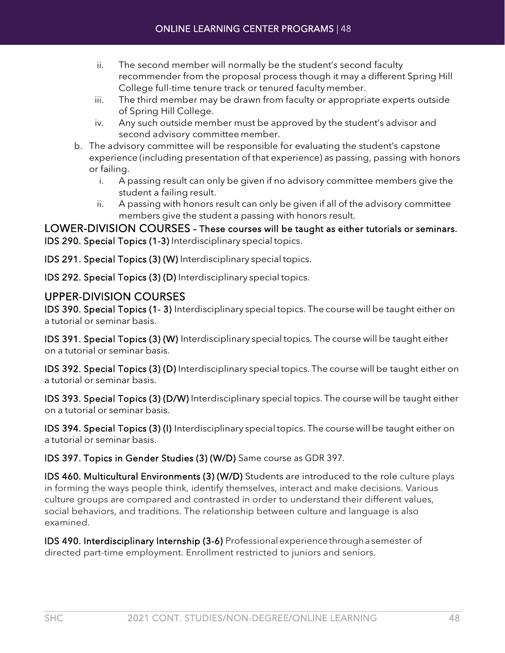- ii. The second member will normally be the student's second faculty recommender from the proposal process though it may a different Spring Hill College full-time tenure track or tenured faculty member.
- iii. The third member may be drawn from faculty or appropriate experts outside of Spring Hill College.
- iv. Any such outside member must be approved by the student's advisor and second advisory committee member.
- b. The advisory committee will be responsible for evaluating the student's capstone experience (including presentation of that experience) as passing, passing with honors or failing.
	- i. A passing result can only be given if no advisory committee members give the student a failing result.
	- ii. A passing with honors result can only be given if all of the advisory committee members give the student a passing with honors result.

LOWER-DIVISION COURSES – These courses will be taught as either tutorials or seminars. IDS 290. Special Topics (1-3) Interdisciplinary special topics.

IDS 291. Special Topics (3) (W) Interdisciplinary special topics.

IDS 292. Special Topics (3) (D) Interdisciplinary special topics.

#### UPPER-DIVISION COURSES

IDS 390. Special Topics (1- 3) Interdisciplinary special topics. The course will be taught either on a tutorial or seminar basis.

IDS 391. Special Topics (3) (W) Interdisciplinary special topics. The course will be taught either on a tutorial or seminar basis.

IDS 392. Special Topics (3) (D) Interdisciplinary special topics. The course will be taught either on a tutorial or seminar basis.

IDS 393. Special Topics (3) (D/W) Interdisciplinary special topics. The course will be taught either on a tutorial or seminar basis.

IDS 394. Special Topics (3) (I) Interdisciplinary special topics. The course will be taught either on a tutorial or seminar basis.

IDS 397. Topics in Gender Studies (3) (W/D) Same course as GDR 397.

IDS 460. Multicultural Environments (3) (W/D) Students are introduced to the role culture plays in forming the ways people think, identify themselves, interact and make decisions. Various culture groups are compared and contrasted in order to understand their different values, social behaviors, and traditions. The relationship between culture and language is also examined.

IDS 490. Interdisciplinary Internship (3-6) Professionalexperiencethroughasemester of directed part-time employment. Enrollment restricted to juniors and seniors.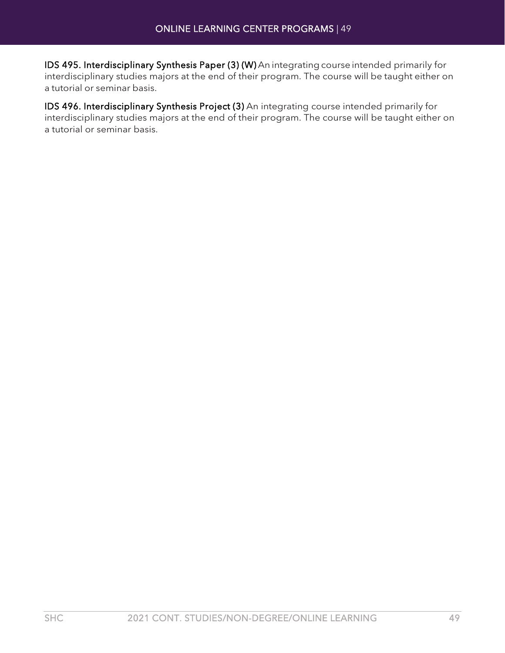IDS 495. Interdisciplinary Synthesis Paper (3) (W) An integrating course intended primarily for interdisciplinary studies majors at the end of their program. The course will be taught either on a tutorial or seminar basis.

IDS 496. Interdisciplinary Synthesis Project (3) An integrating course intended primarily for interdisciplinary studies majors at the end of their program. The course will be taught either on a tutorial or seminar basis.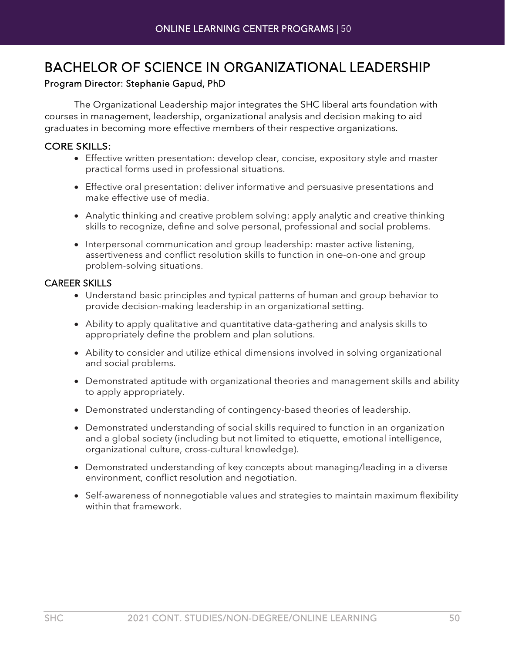### BACHELOR OF SCIENCE IN ORGANIZATIONAL LEADERSHIP

#### Program Director: Stephanie Gapud, PhD

The Organizational Leadership major integrates the SHC liberal arts foundation with courses in management, leadership, organizational analysis and decision making to aid graduates in becoming more effective members of their respective organizations.

#### CORE SKILLS:

- Effective written presentation: develop clear, concise, expository style and master practical forms used in professional situations.
- Effective oral presentation: deliver informative and persuasive presentations and make effective use of media.
- Analytic thinking and creative problem solving: apply analytic and creative thinking skills to recognize, define and solve personal, professional and social problems.
- Interpersonal communication and group leadership: master active listening, assertiveness and conflict resolution skills to function in one-on-one and group problem-solving situations.

#### CAREER SKILLS

- Understand basic principles and typical patterns of human and group behavior to provide decision-making leadership in an organizational setting.
- Ability to apply qualitative and quantitative data-gathering and analysis skills to appropriately define the problem and plan solutions.
- Ability to consider and utilize ethical dimensions involved in solving organizational and social problems.
- Demonstrated aptitude with organizational theories and management skills and ability to apply appropriately.
- Demonstrated understanding of contingency-based theories of leadership.
- Demonstrated understanding of social skills required to function in an organization and a global society (including but not limited to etiquette, emotional intelligence, organizational culture, cross-cultural knowledge).
- Demonstrated understanding of key concepts about managing/leading in a diverse environment, conflict resolution and negotiation.
- Self-awareness of nonnegotiable values and strategies to maintain maximum flexibility within that framework.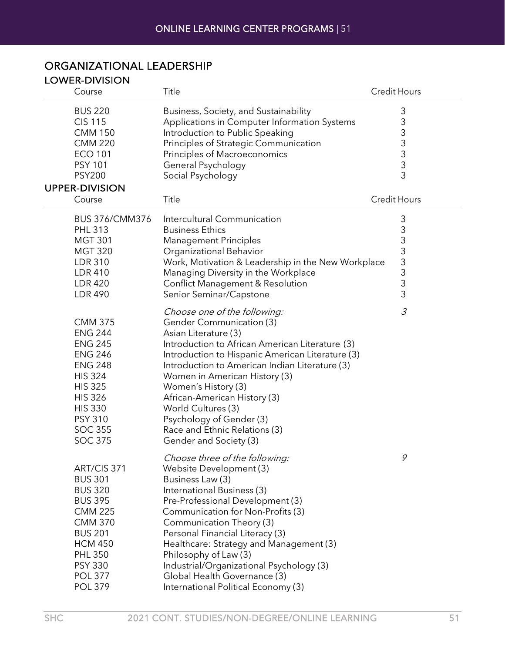| <b>LOWER-DIVISION</b>                                                                                                                                                                                                |                                                                                                                                                                                                                                                                                                                                                                                                                                                       |                     |
|----------------------------------------------------------------------------------------------------------------------------------------------------------------------------------------------------------------------|-------------------------------------------------------------------------------------------------------------------------------------------------------------------------------------------------------------------------------------------------------------------------------------------------------------------------------------------------------------------------------------------------------------------------------------------------------|---------------------|
| Course                                                                                                                                                                                                               | Title                                                                                                                                                                                                                                                                                                                                                                                                                                                 | <b>Credit Hours</b> |
| <b>BUS 220</b><br><b>CIS 115</b><br><b>CMM 150</b><br><b>CMM 220</b><br><b>ECO 101</b><br><b>PSY 101</b><br><b>PSY200</b><br><b>UPPER-DIVISION</b>                                                                   | Business, Society, and Sustainability<br>Applications in Computer Information Systems<br>Introduction to Public Speaking<br>Principles of Strategic Communication<br>Principles of Macroeconomics<br>General Psychology<br>Social Psychology                                                                                                                                                                                                          | 3<br>333333         |
| Course                                                                                                                                                                                                               | Title                                                                                                                                                                                                                                                                                                                                                                                                                                                 | <b>Credit Hours</b> |
| BUS 376/CMM376<br><b>PHL 313</b><br><b>MGT 301</b><br><b>MGT 320</b><br><b>LDR 310</b><br><b>LDR 410</b><br><b>LDR 420</b><br><b>LDR 490</b>                                                                         | Intercultural Communication<br><b>Business Ethics</b><br><b>Management Principles</b><br>Organizational Behavior<br>Work, Motivation & Leadership in the New Workplace<br>Managing Diversity in the Workplace<br><b>Conflict Management &amp; Resolution</b><br>Senior Seminar/Capstone                                                                                                                                                               | 333333333           |
| <b>CMM 375</b><br><b>ENG 244</b><br><b>ENG 245</b><br><b>ENG 246</b><br><b>ENG 248</b><br><b>HIS 324</b><br><b>HIS 325</b><br><b>HIS 326</b><br><b>HIS 330</b><br><b>PSY 310</b><br><b>SOC 355</b><br><b>SOC 375</b> | Choose one of the following:<br><b>Gender Communication (3)</b><br>Asian Literature (3)<br>Introduction to African American Literature (3)<br>Introduction to Hispanic American Literature (3)<br>Introduction to American Indian Literature (3)<br>Women in American History (3)<br>Women's History (3)<br>African-American History (3)<br>World Cultures (3)<br>Psychology of Gender (3)<br>Race and Ethnic Relations (3)<br>Gender and Society (3) | $\mathcal{S}$       |
| ART/CIS 371<br><b>BUS 301</b><br><b>BUS 320</b><br><b>BUS 395</b><br><b>CMM 225</b><br><b>CMM 370</b><br><b>BUS 201</b><br><b>HCM 450</b><br><b>PHL 350</b><br><b>PSY 330</b><br><b>POL 377</b><br><b>POL 379</b>    | Choose three of the following:<br>Website Development (3)<br>Business Law (3)<br>International Business (3)<br>Pre-Professional Development (3)<br>Communication for Non-Profits (3)<br>Communication Theory (3)<br>Personal Financial Literacy (3)<br>Healthcare: Strategy and Management (3)<br>Philosophy of Law (3)<br>Industrial/Organizational Psychology (3)<br>Global Health Governance (3)<br>International Political Economy (3)            | 9                   |

#### ORGANIZATIONAL LEADERSHIP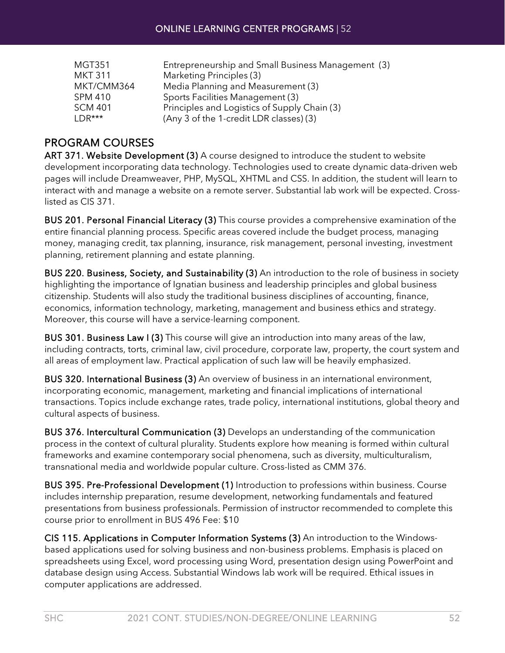| <b>MGT351</b>  | Entrepreneurship and Small Business Management (3) |
|----------------|----------------------------------------------------|
| <b>MKT 311</b> | Marketing Principles (3)                           |
| MKT/CMM364     | Media Planning and Measurement (3)                 |
| <b>SPM 410</b> | Sports Facilities Management (3)                   |
| <b>SCM 401</b> | Principles and Logistics of Supply Chain (3)       |
| $IDR***$       | (Any 3 of the 1-credit LDR classes) (3)            |

#### PROGRAM COURSES

ART 371. Website Development (3) A course designed to introduce the student to website development incorporating data technology. Technologies used to create dynamic data-driven web pages will include Dreamweaver, PHP, MySQL, XHTML and CSS. In addition, the student will learn to interact with and manage a website on a remote server. Substantial lab work will be expected. Crosslisted as CIS 371.

BUS 201. Personal Financial Literacy (3) This course provides a comprehensive examination of the entire financial planning process. Specific areas covered include the budget process, managing money, managing credit, tax planning, insurance, risk management, personal investing, investment planning, retirement planning and estate planning.

BUS 220. Business, Society, and Sustainability (3) An introduction to the role of business in society highlighting the importance of Ignatian business and leadership principles and global business citizenship. Students will also study the traditional business disciplines of accounting, finance, economics, information technology, marketing, management and business ethics and strategy. Moreover, this course will have a service-learning component.

BUS 301. Business Law I (3) This course will give an introduction into many areas of the law, including contracts, torts, criminal law, civil procedure, corporate law, property, the court system and all areas of employment law. Practical application of such law will be heavily emphasized.

BUS 320. International Business (3) An overview of business in an international environment, incorporating economic, management, marketing and financial implications of international transactions. Topics include exchange rates, trade policy, international institutions, global theory and cultural aspects of business.

BUS 376. Intercultural Communication (3) Develops an understanding of the communication process in the context of cultural plurality. Students explore how meaning is formed within cultural frameworks and examine contemporary social phenomena, such as diversity, multiculturalism, transnational media and worldwide popular culture. Cross-listed as CMM 376.

BUS 395. Pre-Professional Development (1) Introduction to professions within business. Course includes internship preparation, resume development, networking fundamentals and featured presentations from business professionals. Permission of instructor recommended to complete this course prior to enrollment in BUS 496 Fee: \$10

CIS 115. Applications in Computer Information Systems (3) An introduction to the Windowsbased applications used for solving business and non-business problems. Emphasis is placed on spreadsheets using Excel, word processing using Word, presentation design using PowerPoint and database design using Access. Substantial Windows lab work will be required. Ethical issues in computer applications are addressed.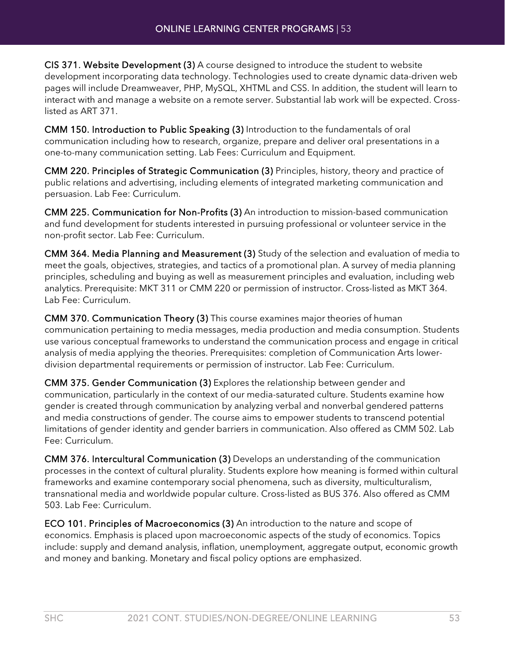CIS 371. Website Development (3) A course designed to introduce the student to website development incorporating data technology. Technologies used to create dynamic data-driven web pages will include Dreamweaver, PHP, MySQL, XHTML and CSS. In addition, the student will learn to interact with and manage a website on a remote server. Substantial lab work will be expected. Crosslisted as ART 371.

CMM 150. Introduction to Public Speaking (3) Introduction to the fundamentals of oral communication including how to research, organize, prepare and deliver oral presentations in a one-to-many communication setting. Lab Fees: Curriculum and Equipment.

CMM 220. Principles of Strategic Communication (3) Principles, history, theory and practice of public relations and advertising, including elements of integrated marketing communication and persuasion. Lab Fee: Curriculum.

CMM 225. Communication for Non-Profits (3) An introduction to mission-based communication and fund development for students interested in pursuing professional or volunteer service in the non-profit sector. Lab Fee: Curriculum.

CMM 364. Media Planning and Measurement (3) Study of the selection and evaluation of media to meet the goals, objectives, strategies, and tactics of a promotional plan. A survey of media planning principles, scheduling and buying as well as measurement principles and evaluation, including web analytics. Prerequisite: MKT 311 or CMM 220 or permission of instructor. Cross-listed as MKT 364. Lab Fee: Curriculum.

CMM 370. Communication Theory (3) This course examines major theories of human communication pertaining to media messages, media production and media consumption. Students use various conceptual frameworks to understand the communication process and engage in critical analysis of media applying the theories. Prerequisites: completion of Communication Arts lowerdivision departmental requirements or permission of instructor. Lab Fee: Curriculum.

CMM 375. Gender Communication (3) Explores the relationship between gender and communication, particularly in the context of our media-saturated culture. Students examine how gender is created through communication by analyzing verbal and nonverbal gendered patterns and media constructions of gender. The course aims to empower students to transcend potential limitations of gender identity and gender barriers in communication. Also offered as CMM 502. Lab Fee: Curriculum.

CMM 376. Intercultural Communication (3) Develops an understanding of the communication processes in the context of cultural plurality. Students explore how meaning is formed within cultural frameworks and examine contemporary social phenomena, such as diversity, multiculturalism, transnational media and worldwide popular culture. Cross-listed as BUS 376. Also offered as CMM 503. Lab Fee: Curriculum.

ECO 101. Principles of Macroeconomics (3) An introduction to the nature and scope of economics. Emphasis is placed upon macroeconomic aspects of the study of economics. Topics include: supply and demand analysis, inflation, unemployment, aggregate output, economic growth and money and banking. Monetary and fiscal policy options are emphasized.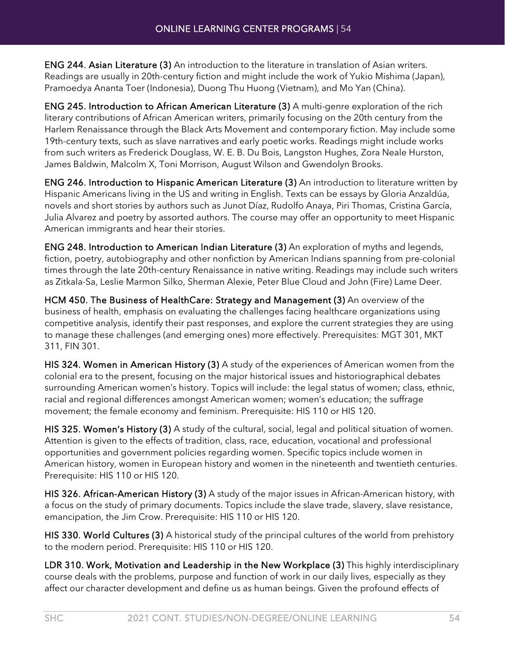ENG 244. Asian Literature (3) An introduction to the literature in translation of Asian writers. Readings are usually in 20th-century fiction and might include the work of Yukio Mishima (Japan), Pramoedya Ananta Toer (Indonesia), Duong Thu Huong (Vietnam), and Mo Yan (China).

ENG 245. Introduction to African American Literature (3) A multi-genre exploration of the rich literary contributions of African American writers, primarily focusing on the 20th century from the Harlem Renaissance through the Black Arts Movement and contemporary fiction. May include some 19th-century texts, such as slave narratives and early poetic works. Readings might include works from such writers as Frederick Douglass, W. E. B. Du Bois, Langston Hughes, Zora Neale Hurston, James Baldwin, Malcolm X, Toni Morrison, August Wilson and Gwendolyn Brooks.

ENG 246. Introduction to Hispanic American Literature (3) An introduction to literature written by Hispanic Americans living in the US and writing in English. Texts can be essays by Gloria Anzaldúa, novels and short stories by authors such as Junot Díaz, Rudolfo Anaya, Piri Thomas, Cristina García, Julia Alvarez and poetry by assorted authors. The course may offer an opportunity to meet Hispanic American immigrants and hear their stories.

ENG 248. Introduction to American Indian Literature (3) An exploration of myths and legends, fiction, poetry, autobiography and other nonfiction by American Indians spanning from pre-colonial times through the late 20th-century Renaissance in native writing. Readings may include such writers as Zitkala-Sa, Leslie Marmon Silko, Sherman Alexie, Peter Blue Cloud and John (Fire) Lame Deer.

HCM 450. The Business of HealthCare: Strategy and Management (3) An overview of the business of health, emphasis on evaluating the challenges facing healthcare organizations using competitive analysis, identify their past responses, and explore the current strategies they are using to manage these challenges (and emerging ones) more effectively. Prerequisites: MGT 301, MKT 311, FIN 301.

HIS 324. Women in American History (3) A study of the experiences of American women from the colonial era to the present, focusing on the major historical issues and historiographical debates surrounding American women's history. Topics will include: the legal status of women; class, ethnic, racial and regional differences amongst American women; women's education; the suffrage movement; the female economy and feminism. Prerequisite: HIS 110 or HIS 120.

HIS 325. Women's History (3) A study of the cultural, social, legal and political situation of women. Attention is given to the effects of tradition, class, race, education, vocational and professional opportunities and government policies regarding women. Specific topics include women in American history, women in European history and women in the nineteenth and twentieth centuries. Prerequisite: HIS 110 or HIS 120.

HIS 326. African-American History (3) A study of the major issues in African-American history, with a focus on the study of primary documents. Topics include the slave trade, slavery, slave resistance, emancipation, the Jim Crow. Prerequisite: HIS 110 or HIS 120.

HIS 330. World Cultures (3) A historical study of the principal cultures of the world from prehistory to the modern period. Prerequisite: HIS 110 or HIS 120.

LDR 310. Work, Motivation and Leadership in the New Workplace (3) This highly interdisciplinary course deals with the problems, purpose and function of work in our daily lives, especially as they affect our character development and define us as human beings. Given the profound effects of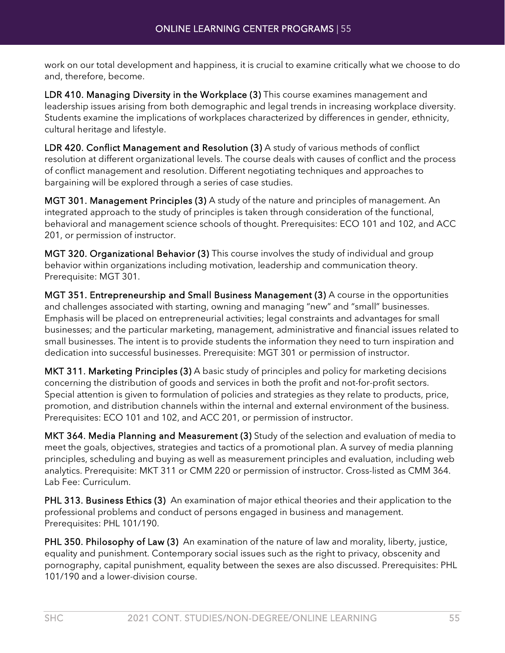work on our total development and happiness, it is crucial to examine critically what we choose to do and, therefore, become.

LDR 410. Managing Diversity in the Workplace (3) This course examines management and leadership issues arising from both demographic and legal trends in increasing workplace diversity. Students examine the implications of workplaces characterized by differences in gender, ethnicity, cultural heritage and lifestyle.

LDR 420. Conflict Management and Resolution (3) A study of various methods of conflict resolution at different organizational levels. The course deals with causes of conflict and the process of conflict management and resolution. Different negotiating techniques and approaches to bargaining will be explored through a series of case studies.

MGT 301. Management Principles (3) A study of the nature and principles of management. An integrated approach to the study of principles is taken through consideration of the functional, behavioral and management science schools of thought. Prerequisites: ECO 101 and 102, and ACC 201, or permission of instructor.

MGT 320. Organizational Behavior (3) This course involves the study of individual and group behavior within organizations including motivation, leadership and communication theory. Prerequisite: MGT 301.

MGT 351. Entrepreneurship and Small Business Management (3) A course in the opportunities and challenges associated with starting, owning and managing "new" and "small" businesses. Emphasis will be placed on entrepreneurial activities; legal constraints and advantages for small businesses; and the particular marketing, management, administrative and financial issues related to small businesses. The intent is to provide students the information they need to turn inspiration and dedication into successful businesses. Prerequisite: MGT 301 or permission of instructor.

MKT 311. Marketing Principles (3) A basic study of principles and policy for marketing decisions concerning the distribution of goods and services in both the profit and not-for-profit sectors. Special attention is given to formulation of policies and strategies as they relate to products, price, promotion, and distribution channels within the internal and external environment of the business. Prerequisites: ECO 101 and 102, and ACC 201, or permission of instructor.

MKT 364. Media Planning and Measurement (3) Study of the selection and evaluation of media to meet the goals, objectives, strategies and tactics of a promotional plan. A survey of media planning principles, scheduling and buying as well as measurement principles and evaluation, including web analytics. Prerequisite: MKT 311 or CMM 220 or permission of instructor. Cross-listed as CMM 364. Lab Fee: Curriculum.

PHL 313. Business Ethics (3) An examination of major ethical theories and their application to the professional problems and conduct of persons engaged in business and management. Prerequisites: PHL 101/190.

PHL 350. Philosophy of Law (3) An examination of the nature of law and morality, liberty, justice, equality and punishment. Contemporary social issues such as the right to privacy, obscenity and pornography, capital punishment, equality between the sexes are also discussed. Prerequisites: PHL 101/190 and a lower-division course.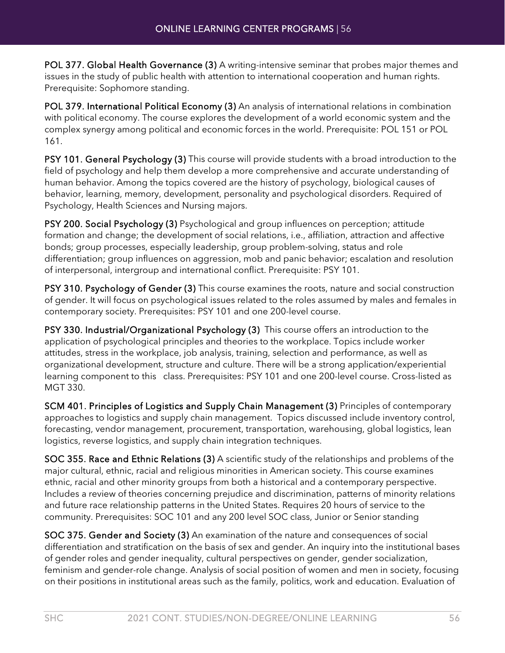POL 377. Global Health Governance (3) A writing-intensive seminar that probes major themes and issues in the study of public health with attention to international cooperation and human rights. Prerequisite: Sophomore standing.

POL 379. International Political Economy (3) An analysis of international relations in combination with political economy. The course explores the development of a world economic system and the complex synergy among political and economic forces in the world. Prerequisite: POL 151 or POL 161.

PSY 101. General Psychology (3) This course will provide students with a broad introduction to the field of psychology and help them develop a more comprehensive and accurate understanding of human behavior. Among the topics covered are the history of psychology, biological causes of behavior, learning, memory, development, personality and psychological disorders. Required of Psychology, Health Sciences and Nursing majors.

PSY 200. Social Psychology (3) Psychological and group influences on perception; attitude formation and change; the development of social relations, i.e., affiliation, attraction and affective bonds; group processes, especially leadership, group problem-solving, status and role differentiation; group influences on aggression, mob and panic behavior; escalation and resolution of interpersonal, intergroup and international conflict. Prerequisite: PSY 101.

PSY 310. Psychology of Gender (3) This course examines the roots, nature and social construction of gender. It will focus on psychological issues related to the roles assumed by males and females in contemporary society. Prerequisites: PSY 101 and one 200-level course.

PSY 330. Industrial/Organizational Psychology (3) This course offers an introduction to the application of psychological principles and theories to the workplace. Topics include worker attitudes, stress in the workplace, job analysis, training, selection and performance, as well as organizational development, structure and culture. There will be a strong application/experiential learning component to this class. Prerequisites: PSY 101 and one 200-level course. Cross-listed as MGT 330.

SCM 401. Principles of Logistics and Supply Chain Management (3) Principles of contemporary approaches to logistics and supply chain management. Topics discussed include inventory control, forecasting, vendor management, procurement, transportation, warehousing, global logistics, lean logistics, reverse logistics, and supply chain integration techniques.

SOC 355. Race and Ethnic Relations (3) A scientific study of the relationships and problems of the major cultural, ethnic, racial and religious minorities in American society. This course examines ethnic, racial and other minority groups from both a historical and a contemporary perspective. Includes a review of theories concerning prejudice and discrimination, patterns of minority relations and future race relationship patterns in the United States. Requires 20 hours of service to the community. Prerequisites: SOC 101 and any 200 level SOC class, Junior or Senior standing

SOC 375. Gender and Society (3) An examination of the nature and consequences of social differentiation and stratification on the basis of sex and gender. An inquiry into the institutional bases of gender roles and gender inequality, cultural perspectives on gender, gender socialization, feminism and gender-role change. Analysis of social position of women and men in society, focusing on their positions in institutional areas such as the family, politics, work and education. Evaluation of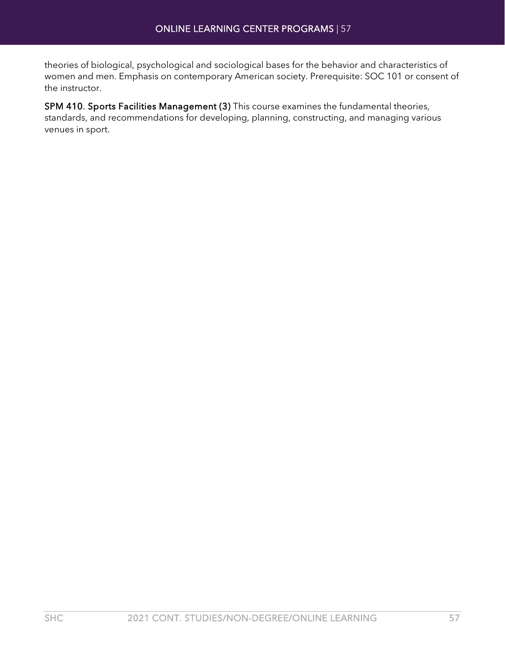theories of biological, psychological and sociological bases for the behavior and characteristics of women and men. Emphasis on contemporary American society. Prerequisite: SOC 101 or consent of the instructor.

SPM 410. Sports Facilities Management (3) This course examines the fundamental theories, standards, and recommendations for developing, planning, constructing, and managing various venues in sport.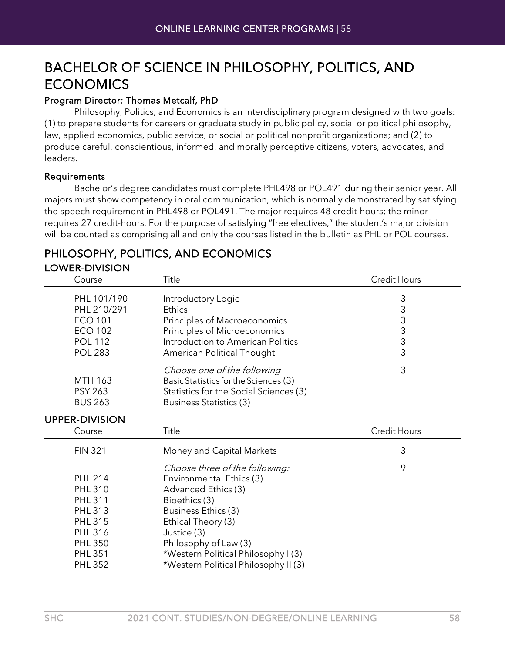### BACHELOR OF SCIENCE IN PHILOSOPHY, POLITICS, AND ECONOMICS

#### Program Director: Thomas Metcalf, PhD

Philosophy, Politics, and Economics is an interdisciplinary program designed with two goals: (1) to prepare students for careers or graduate study in public policy, social or political philosophy, law, applied economics, public service, or social or political nonprofit organizations; and (2) to produce careful, conscientious, informed, and morally perceptive citizens, voters, advocates, and leaders.

#### Requirements

Bachelor's degree candidates must complete PHL498 or POL491 during their senior year. All majors must show competency in oral communication, which is normally demonstrated by satisfying the speech requirement in PHL498 or POL491. The major requires 48 credit-hours; the minor requires 27 credit-hours. For the purpose of satisfying "free electives," the student's major division will be counted as comprising all and only the courses listed in the bulletin as PHL or POL courses.

#### PHILOSOPHY, POLITICS, AND ECONOMICS LOWER-DIVISION

| Course                                                                                             | Title                                                                                                                                                           | <b>Credit Hours</b> |
|----------------------------------------------------------------------------------------------------|-----------------------------------------------------------------------------------------------------------------------------------------------------------------|---------------------|
| PHL 101/190<br>PHL 210/291<br><b>ECO 101</b><br><b>ECO 102</b><br><b>POL 112</b><br><b>POL 283</b> | Introductory Logic<br>Ethics<br>Principles of Macroeconomics<br>Principles of Microeconomics<br>Introduction to American Politics<br>American Political Thought | 3333333             |
| <b>MTH 163</b><br><b>PSY 263</b><br><b>BUS 263</b>                                                 | Choose one of the following<br>Basic Statistics for the Sciences (3)<br>Statistics for the Social Sciences (3)<br>Business Statistics (3)                       | 3                   |
| <b>UPPER-DIVISION</b>                                                                              |                                                                                                                                                                 |                     |
| Course                                                                                             | Title                                                                                                                                                           | <b>Credit Hours</b> |
| <b>FIN 321</b>                                                                                     | Money and Capital Markets                                                                                                                                       | 3                   |
|                                                                                                    |                                                                                                                                                                 |                     |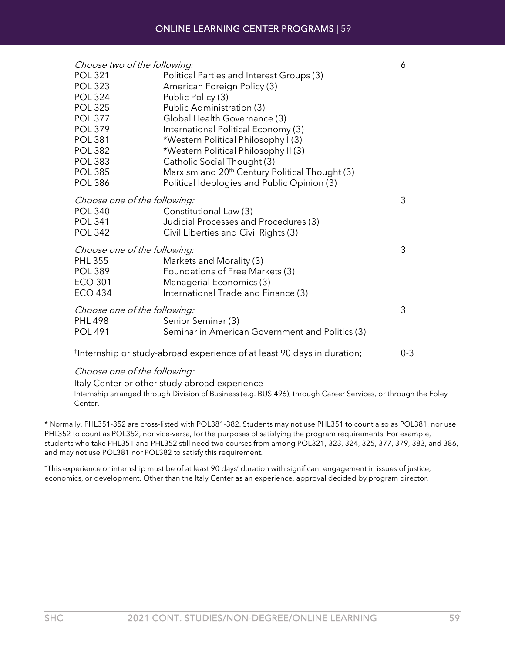| Choose two of the following:                   |                                                             | 6 |
|------------------------------------------------|-------------------------------------------------------------|---|
| <b>POL 321</b>                                 | Political Parties and Interest Groups (3)                   |   |
| <b>POL 323</b>                                 | American Foreign Policy (3)                                 |   |
| <b>POL 324</b>                                 | Public Policy (3)                                           |   |
| <b>POL 325</b>                                 | Public Administration (3)                                   |   |
| <b>POL 377</b>                                 | Global Health Governance (3)                                |   |
| <b>POL 379</b>                                 | International Political Economy (3)                         |   |
| <b>POL 381</b>                                 | *Western Political Philosophy I (3)                         |   |
| <b>POL 382</b>                                 | *Western Political Philosophy II (3)                        |   |
| <b>POL 383</b>                                 | Catholic Social Thought (3)                                 |   |
| <b>POL 385</b>                                 | Marxism and 20 <sup>th</sup> Century Political Thought (3)  |   |
| <b>POL 386</b>                                 | Political Ideologies and Public Opinion (3)                 |   |
| Choose one of the following:                   |                                                             | 3 |
| <b>POL 340</b>                                 | Constitutional Law (3)                                      |   |
| <b>POL 341</b>                                 | Judicial Processes and Procedures (3)                       |   |
| <b>POL 342</b>                                 | Civil Liberties and Civil Rights (3)                        |   |
|                                                |                                                             | 3 |
| Choose one of the following:<br><b>PHL 355</b> |                                                             |   |
| <b>POL 389</b>                                 | Markets and Morality (3)<br>Foundations of Free Markets (3) |   |
| <b>ECO 301</b>                                 | Managerial Economics (3)                                    |   |
| <b>ECO 434</b>                                 | International Trade and Finance (3)                         |   |
|                                                |                                                             |   |
| Choose one of the following:                   |                                                             | 3 |
| <b>PHL 498</b>                                 | Senior Seminar (3)                                          |   |
| <b>POL 491</b>                                 | Seminar in American Government and Politics (3)             |   |
|                                                |                                                             |   |

† Internship or study-abroad experience of at least 90 days in duration; 0-3

#### Choose one of the following:

Italy Center or other study-abroad experience

Internship arranged through Division of Business (e.g. BUS 496), through Career Services, or through the Foley Center.

\* Normally, PHL351-352 are cross-listed with POL381-382. Students may not use PHL351 to count also as POL381, nor use PHL352 to count as POL352, nor vice-versa, for the purposes of satisfying the program requirements. For example, students who take PHL351 and PHL352 still need two courses from among POL321, 323, 324, 325, 377, 379, 383, and 386, and may not use POL381 nor POL382 to satisfy this requirement.

†This experience or internship must be of at least 90 days' duration with significant engagement in issues of justice, economics, or development. Other than the Italy Center as an experience, approval decided by program director.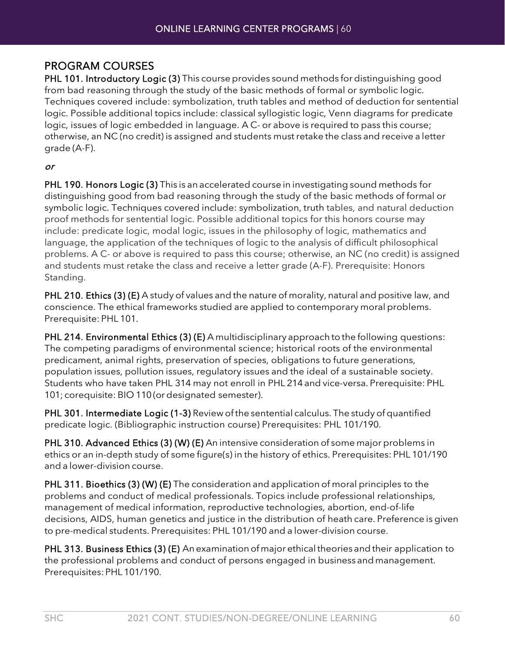#### PROGRAM COURSES

PHL 101. Introductory Logic (3) This course provides sound methods for distinguishing good from bad reasoning through the study of the basic methods of formal or symbolic logic. Techniques covered include: symbolization, truth tables and method of deduction for sentential logic. Possible additional topics include: classical syllogistic logic, Venn diagrams for predicate logic, issues of logic embedded in language. A C- or above is required to pass this course; otherwise, an NC (no credit) is assigned and students must retake the class and receive a letter grade (A-F).

#### or

PHL 190. Honors Logic (3) This is an accelerated course in investigating sound methods for distinguishing good from bad reasoning through the study of the basic methods of formal or symbolic logic. Techniques covered include: symbolization, truth tables, and natural deduction proof methods for sentential logic. Possible additional topics for this honors course may include: predicate logic, modal logic, issues in the philosophy of logic, mathematics and language, the application of the techniques of logic to the analysis of difficult philosophical problems. A C- or above is required to pass this course; otherwise, an NC (no credit) is assigned and students must retake the class and receive a letter grade (A-F). Prerequisite: Honors Standing.

PHL 210. Ethics (3) (E) A study of values and the nature of morality, natural and positive law, and conscience. The ethical frameworks studied are applied to contemporary moral problems. Prerequisite: PHL 101.

PHL 214. Environmental Ethics (3) (E) A multidisciplinary approach to the following questions: The competing paradigms of environmental science; historical roots of the environmental predicament, animal rights, preservation of species, obligations to future generations, population issues, pollution issues, regulatory issues and the ideal of a sustainable society. Students who have taken PHL 314 may not enroll in PHL 214 and vice-versa. Prerequisite: PHL 101; corequisite: BIO 110(or designated semester).

PHL 301. Intermediate Logic (1-3) Review of the sentential calculus. The study of quantified predicate logic. (Bibliographic instruction course) Prerequisites: PHL 101/190.

PHL 310. Advanced Ethics (3) (W) (E) An intensive consideration of some major problems in ethics or an in-depth study of some figure(s) in the history of ethics. Prerequisites: PHL 101/190 and a lower-division course.

PHL 311. Bioethics (3) (W) (E) The consideration and application of moral principles to the problems and conduct of medical professionals. Topics include professional relationships, management of medical information, reproductive technologies, abortion, end-of-life decisions, AIDS, human genetics and justice in the distribution of heath care. Preference is given to pre-medical students. Prerequisites: PHL 101/190 and a lower-division course.

PHL 313. Business Ethics (3) (E) An examination of major ethical theories and their application to the professional problems and conduct of persons engaged in business and management. Prerequisites:PHL 101/190.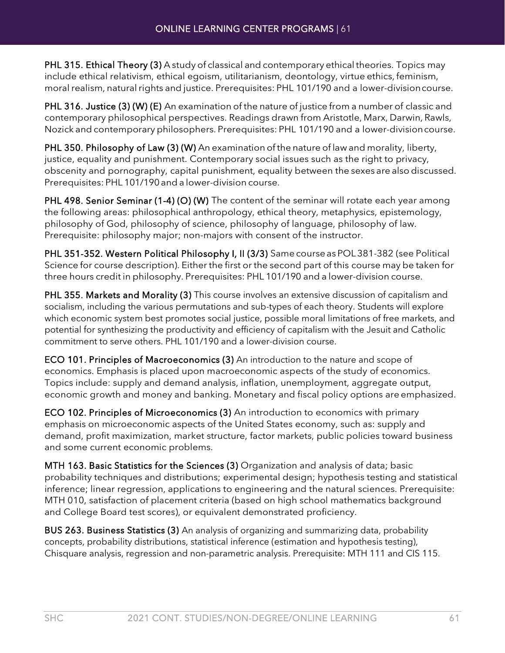PHL 315. Ethical Theory (3) A study of classical and contemporary ethical theories. Topics may include ethical relativism, ethical egoism, utilitarianism, deontology, virtue ethics, feminism, moral realism, natural rights and justice. Prerequisites: PHL 101/190 and a lower-division course.

PHL 316. Justice (3) (W) (E) An examination of the nature of justice from a number of classic and contemporary philosophical perspectives. Readings drawn from Aristotle, Marx, Darwin, Rawls, Nozick and contemporary philosophers. Prerequisites: PHL 101/190 and a lower-divisioncourse.

PHL 350. Philosophy of Law (3) (W) An examination of the nature of law and morality, liberty, justice, equality and punishment. Contemporary social issues such as the right to privacy, obscenity and pornography, capital punishment, equality between the sexes are also discussed. Prerequisites: PHL 101/190and a lower-division course.

PHL 498. Senior Seminar (1-4) (O) (W) The content of the seminar will rotate each year among the following areas: philosophical anthropology, ethical theory, metaphysics, epistemology, philosophy of God, philosophy of science, philosophy of language, philosophy of law. Prerequisite: philosophy major; non-majors with consent of the instructor.

PHL 351-352. Western Political Philosophy I, II (3/3) Same courseas POL 381-382 (see Political Science for course description). Either the first or the second part of this course may be taken for three hours credit in philosophy. Prerequisites: PHL 101/190 and a lower-division course.

PHL 355. Markets and Morality (3) This course involves an extensive discussion of capitalism and socialism, including the various permutations and sub-types of each theory. Students will explore which economic system best promotes social justice, possible moral limitations of free markets, and potential for synthesizing the productivity and efficiency of capitalism with the Jesuit and Catholic commitment to serve others. PHL 101/190 and a lower-division course.

ECO 101. Principles of Macroeconomics (3) An introduction to the nature and scope of economics. Emphasis is placed upon macroeconomic aspects of the study of economics. Topics include: supply and demand analysis, inflation, unemployment, aggregate output, economic growth and money and banking. Monetary and fiscal policy options are emphasized.

ECO 102. Principles of Microeconomics (3) An introduction to economics with primary emphasis on microeconomic aspects of the United States economy, such as: supply and demand, profit maximization, market structure, factor markets, public policies toward business and some current economic problems.

MTH 163. Basic Statistics for the Sciences (3) Organization and analysis of data; basic probability techniques and distributions; experimental design; hypothesis testing and statistical inference; linear regression, applications to engineering and the natural sciences. Prerequisite: MTH 010, satisfaction of placement criteria (based on high school mathematics background and College Board test scores), or equivalent demonstrated proficiency.

BUS 263. Business Statistics (3) An analysis of organizing and summarizing data, probability concepts, probability distributions, statistical inference (estimation and hypothesis testing), Chisquare analysis, regression and non-parametric analysis. Prerequisite: MTH 111 and CIS 115.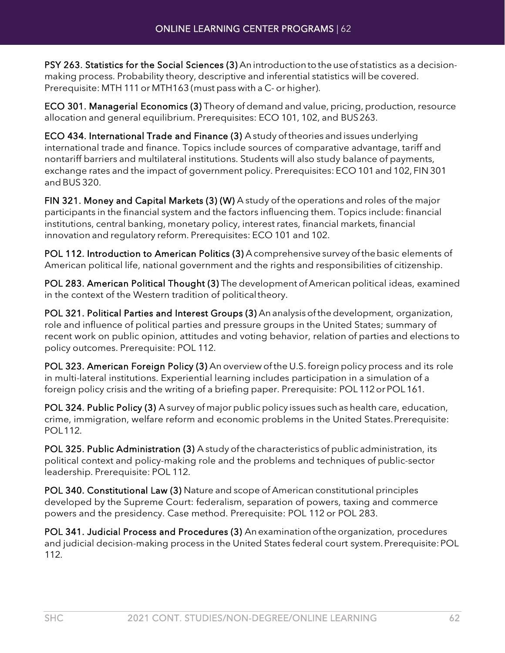PSY 263. Statistics for the Social Sciences (3) Anintroductiontotheuseof statistics as a decisionmaking process. Probability theory, descriptive and inferential statistics will be covered. Prerequisite: MTH 111or MTH163 (must pass with a C- or higher).

ECO 301. Managerial Economics (3) Theory of demand and value, pricing, production, resource allocation and general equilibrium. Prerequisites: ECO 101, 102, and BUS263.

ECO 434. International Trade and Finance (3) A study of theories andissues underlying international trade and finance. Topics include sources of comparative advantage, tariff and nontariff barriers and multilateral institutions. Students will also study balance of payments, exchange rates and the impact of government policy. Prerequisites: ECO 101 and 102, FIN 301 andBUS 320.

FIN 321. Money and Capital Markets (3) (W) A study of the operations and roles of the major participants in the financial system and the factors influencing them. Topics include: financial institutions, central banking, monetary policy, interest rates, financial markets, financial innovation and regulatory reform. Prerequisites: ECO 101 and 102.

POL 112. Introduction to American Politics (3) A comprehensive survey of the basic elements of American political life, national government and the rights and responsibilities of citizenship.

POL 283. American Political Thought (3) The development of American political ideas, examined in the context of the Western tradition of politicaltheory.

POL 321. Political Parties and Interest Groups (3) An analysis of the development, organization, role and influence of political parties and pressure groups in the United States; summary of recent work on public opinion, attitudes and voting behavior, relation of parties and elections to policy outcomes. Prerequisite: POL 112.

POL 323. American Foreign Policy (3) An overview ofthe U.S. foreign policy process and its role in multi-lateral institutions. Experiential learning includes participation in a simulation of a foreign policy crisis and the writing of a briefing paper. Prerequisite: POL 112 or POL 161.

POL 324. Public Policy (3) A survey of major public policy issues such as health care, education, crime, immigration, welfare reform and economic problems in the United States.Prerequisite: POL112.

POL 325. Public Administration (3) A study of the characteristics of public administration, its political context and policy-making role and the problems and techniques of public-sector leadership. Prerequisite: POL 112.

POL 340. Constitutional Law (3) Nature and scope of American constitutional principles developed by the Supreme Court: federalism, separation of powers, taxing and commerce powers and the presidency. Case method. Prerequisite: POL 112 or POL 283.

POL 341. Judicial Process and Procedures (3) An examination of the organization, procedures and judicial decision-making process in the United States federal court system.Prerequisite:POL 112.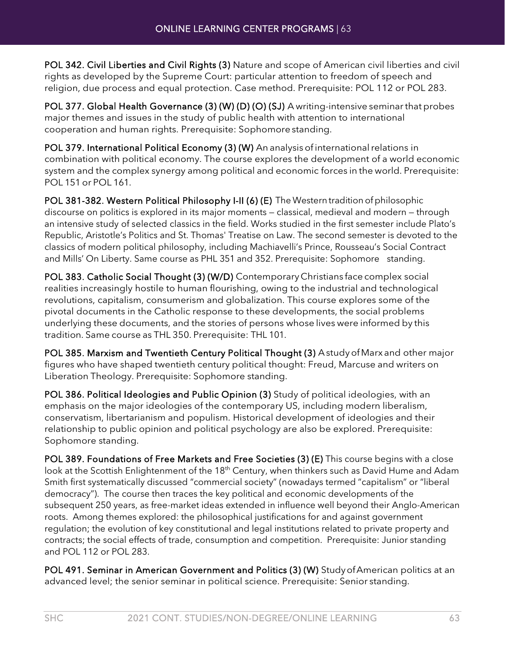POL 342. Civil Liberties and Civil Rights (3) Nature and scope of American civil liberties and civil rights as developed by the Supreme Court: particular attention to freedom of speech and religion, due process and equal protection. Case method. Prerequisite: POL 112 or POL 283.

POL 377. Global Health Governance (3) (W) (D) (O) (SJ) A writing-intensive seminar that probes major themes and issues in the study of public health with attention to international cooperation and human rights. Prerequisite: Sophomore standing.

POL 379. International Political Economy (3) (W) An analysis of international relations in combination with political economy. The course explores the development of a world economic system and the complex synergy among political and economic forces in the world. Prerequisite: POL 151 or POL 161.

POL 381-382. Western Political Philosophy I-II (6) (E) The Western tradition of philosophic discourse on politics is explored in its major moments — classical, medieval and modern — through an intensive study of selected classics in the field. Works studied in the first semester include Plato's Republic, Aristotle's Politics and St. Thomas' Treatise on Law. The second semester is devoted to the classics of modern political philosophy, including Machiavelli's Prince, Rousseau's Social Contract and Mills' On Liberty. Same course as PHL 351 and 352. Prerequisite: Sophomore standing.

POL 383. Catholic Social Thought (3) (W/D) Contemporary Christians face complex social realities increasingly hostile to human flourishing, owing to the industrial and technological revolutions, capitalism, consumerism and globalization. This course explores some of the pivotal documents in the Catholic response to these developments, the social problems underlying these documents, and the stories of persons whose lives were informed by this tradition. Same course as THL 350. Prerequisite: THL 101.

POL 385. Marxism and Twentieth Century Political Thought (3) Astudy of Marx and other major figures who have shaped twentieth century political thought: Freud, Marcuse and writers on Liberation Theology. Prerequisite: Sophomore standing.

POL 386. Political Ideologies and Public Opinion (3) Study of political ideologies, with an emphasis on the major ideologies of the contemporary US, including modern liberalism, conservatism, libertarianism and populism. Historical development of ideologies and their relationship to public opinion and political psychology are also be explored. Prerequisite: Sophomore standing.

POL 389. Foundations of Free Markets and Free Societies (3) (E) This course begins with a close look at the Scottish Enlightenment of the 18<sup>th</sup> Century, when thinkers such as David Hume and Adam Smith first systematically discussed "commercial society" (nowadays termed "capitalism" or "liberal democracy"). The course then traces the key political and economic developments of the subsequent 250 years, as free-market ideas extended in influence well beyond their Anglo-American roots. Among themes explored: the philosophical justifications for and against government regulation; the evolution of key constitutional and legal institutions related to private property and contracts; the social effects of trade, consumption and competition. Prerequisite: Junior standing and POL 112 or POL 283.

POL 491. Seminar in American Government and Politics (3) (W) Study of American politics at an advanced level; the senior seminar in political science. Prerequisite: Senior standing.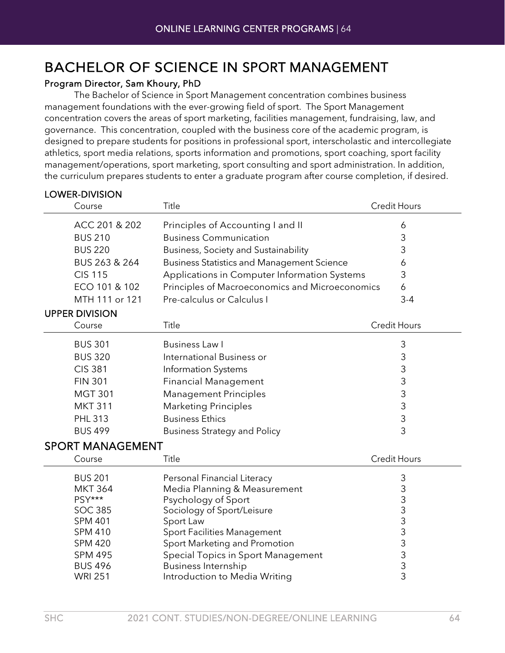### BACHELOR OF SCIENCE IN SPORT MANAGEMENT

#### Program Director, Sam Khoury, PhD

LOWER-DIVISION

The Bachelor of Science in Sport Management concentration combines business management foundations with the ever-growing field of sport. The Sport Management concentration covers the areas of sport marketing, facilities management, fundraising, law, and governance. This concentration, coupled with the business core of the academic program, is designed to prepare students for positions in professional sport, interscholastic and intercollegiate athletics, sport media relations, sports information and promotions, sport coaching, sport facility management/operations, sport marketing, sport consulting and sport administration. In addition, the curriculum prepares students to enter a graduate program after course completion, if desired.

| <b>LVWLI\"DIVIJIVI\</b><br>Course | Title                                             | <b>Credit Hours</b>                   |
|-----------------------------------|---------------------------------------------------|---------------------------------------|
| ACC 201 & 202                     | Principles of Accounting I and II                 | 6                                     |
| <b>BUS 210</b>                    | <b>Business Communication</b>                     | 3                                     |
| <b>BUS 220</b>                    | Business, Society and Sustainability              | 3                                     |
| BUS 263 & 264                     | <b>Business Statistics and Management Science</b> | 6                                     |
| <b>CIS 115</b>                    | Applications in Computer Information Systems      | 3                                     |
| ECO 101 & 102                     | Principles of Macroeconomics and Microeconomics   | 6                                     |
| MTH 111 or 121                    | Pre-calculus or Calculus I                        | $3 - 4$                               |
| <b>UPPER DIVISION</b>             |                                                   |                                       |
| Course                            | Title                                             | <b>Credit Hours</b>                   |
| <b>BUS 301</b>                    | <b>Business Law I</b>                             | 3                                     |
| <b>BUS 320</b>                    | International Business or                         | 3                                     |
| <b>CIS 381</b>                    | Information Systems                               | 3                                     |
| <b>FIN 301</b>                    | <b>Financial Management</b>                       | 3                                     |
| <b>MGT 301</b>                    | <b>Management Principles</b>                      | 3                                     |
| <b>MKT 311</b>                    | <b>Marketing Principles</b>                       | $\mathsf 3$                           |
| <b>PHL 313</b>                    | <b>Business Ethics</b>                            | 3                                     |
| <b>BUS 499</b>                    | <b>Business Strategy and Policy</b>               | 3                                     |
| <b>SPORT MANAGEMENT</b>           |                                                   |                                       |
| Course                            | Title                                             | <b>Credit Hours</b>                   |
| <b>BUS 201</b>                    | Personal Financial Literacy                       | 3                                     |
| <b>MKT 364</b>                    | Media Planning & Measurement                      | 3                                     |
| PSY***                            | Psychology of Sport                               | $\frac{3}{3}$                         |
| <b>SOC 385</b>                    | Sociology of Sport/Leisure                        |                                       |
| <b>SPM 401</b>                    | Sport Law                                         | 3                                     |
| <b>SPM 410</b>                    | <b>Sport Facilities Management</b>                | 3                                     |
| <b>SPM 420</b>                    | Sport Marketing and Promotion                     | 3                                     |
| <b>SPM 495</b>                    | Special Topics in Sport Management                | $\begin{array}{c} 3 \\ 3 \end{array}$ |
| <b>BUS 496</b>                    | <b>Business Internship</b>                        |                                       |
| <b>WRI 251</b>                    | Introduction to Media Writing                     |                                       |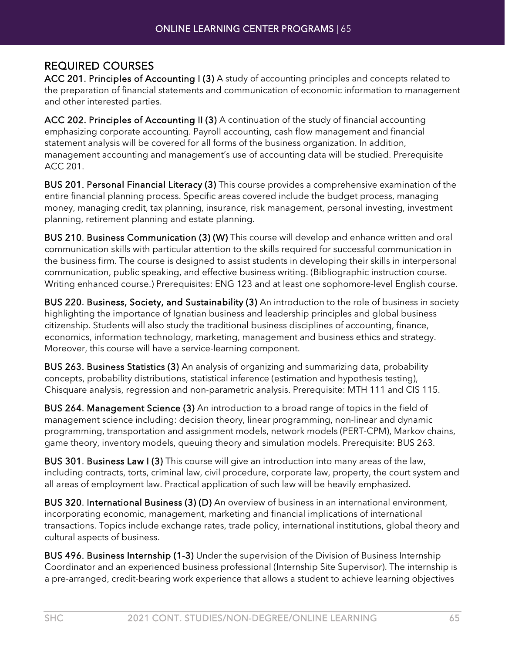#### REQUIRED COURSES

ACC 201. Principles of Accounting I (3) A study of accounting principles and concepts related to the preparation of financial statements and communication of economic information to management and other interested parties.

ACC 202. Principles of Accounting II (3) A continuation of the study of financial accounting emphasizing corporate accounting. Payroll accounting, cash flow management and financial statement analysis will be covered for all forms of the business organization. In addition, management accounting and management's use of accounting data will be studied. Prerequisite ACC 201.

BUS 201. Personal Financial Literacy (3) This course provides a comprehensive examination of the entire financial planning process. Specific areas covered include the budget process, managing money, managing credit, tax planning, insurance, risk management, personal investing, investment planning, retirement planning and estate planning.

BUS 210. Business Communication (3) (W) This course will develop and enhance written and oral communication skills with particular attention to the skills required for successful communication in the business firm. The course is designed to assist students in developing their skills in interpersonal communication, public speaking, and effective business writing. (Bibliographic instruction course. Writing enhanced course.) Prerequisites: ENG 123 and at least one sophomore-level English course.

BUS 220. Business, Society, and Sustainability (3) An introduction to the role of business in society highlighting the importance of Ignatian business and leadership principles and global business citizenship. Students will also study the traditional business disciplines of accounting, finance, economics, information technology, marketing, management and business ethics and strategy. Moreover, this course will have a service-learning component.

BUS 263. Business Statistics (3) An analysis of organizing and summarizing data, probability concepts, probability distributions, statistical inference (estimation and hypothesis testing), Chisquare analysis, regression and non-parametric analysis. Prerequisite: MTH 111 and CIS 115.

BUS 264. Management Science (3) An introduction to a broad range of topics in the field of management science including: decision theory, linear programming, non-linear and dynamic programming, transportation and assignment models, network models (PERT-CPM), Markov chains, game theory, inventory models, queuing theory and simulation models. Prerequisite: BUS 263.

BUS 301. Business Law I (3) This course will give an introduction into many areas of the law, including contracts, torts, criminal law, civil procedure, corporate law, property, the court system and all areas of employment law. Practical application of such law will be heavily emphasized.

BUS 320. International Business (3) (D) An overview of business in an international environment, incorporating economic, management, marketing and financial implications of international transactions. Topics include exchange rates, trade policy, international institutions, global theory and cultural aspects of business.

BUS 496. Business Internship (1-3) Under the supervision of the Division of Business Internship Coordinator and an experienced business professional (Internship Site Supervisor). The internship is a pre-arranged, credit-bearing work experience that allows a student to achieve learning objectives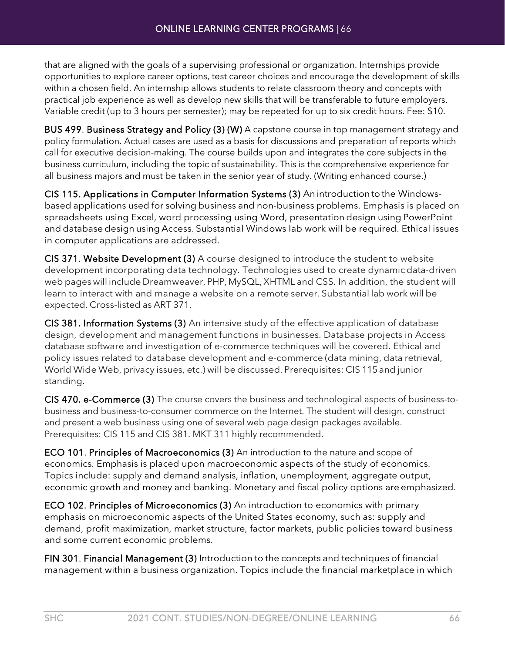that are aligned with the goals of a supervising professional or organization. Internships provide opportunities to explore career options, test career choices and encourage the development of skills within a chosen field. An internship allows students to relate classroom theory and concepts with practical job experience as well as develop new skills that will be transferable to future employers. Variable credit (up to 3 hours per semester); may be repeated for up to six credit hours. Fee: \$10.

BUS 499. Business Strategy and Policy (3) (W) A capstone course in top management strategy and policy formulation. Actual cases are used as a basis for discussions and preparation of reports which call for executive decision-making. The course builds upon and integrates the core subjects in the business curriculum, including the topic of sustainability. This is the comprehensive experience for all business majors and must be taken in the senior year of study. (Writing enhanced course.)

CIS 115. Applications in Computer Information Systems (3) An introduction tothe Windowsbased applications used for solving business and non-business problems. Emphasis is placed on spreadsheets using Excel, word processing using Word, presentation design using PowerPoint and database design using Access. Substantial Windows lab work will be required. Ethical issues in computer applications are addressed.

CIS 371. Website Development (3) A course designed to introduce the student to website development incorporating data technology. Technologies used to create dynamicdata-driven web pages will include Dreamweaver, PHP,MySQL,XHTML and CSS. In addition, the student will learn to interact with and manage a website on a remote server. Substantial lab work will be expected. Cross-listed as ART 371.

CIS 381. Information Systems (3) An intensive study of the effective application of database design, development and management functions in businesses. Database projects in Access database software and investigation of e-commerce techniques will be covered. Ethical and policy issues related to database development and e-commerce (data mining, data retrieval, World Wide Web, privacy issues, etc.) will be discussed. Prerequisites: CIS 115and junior standing.

CIS 470. e-Commerce (3) The course covers the business and technological aspects of business-tobusiness and business-to-consumer commerce on the Internet. The student will design, construct and present a web business using one of several web page design packages available. Prerequisites: CIS 115 and CIS 381. MKT 311 highly recommended.

ECO 101. Principles of Macroeconomics (3) An introduction to the nature and scope of economics. Emphasis is placed upon macroeconomic aspects of the study of economics. Topics include: supply and demand analysis, inflation, unemployment, aggregate output, economic growth and money and banking. Monetary and fiscal policy options are emphasized.

ECO 102. Principles of Microeconomics (3) An introduction to economics with primary emphasis on microeconomic aspects of the United States economy, such as: supply and demand, profit maximization, market structure, factor markets, public policies toward business and some current economic problems.

FIN 301. Financial Management (3) Introduction to the concepts and techniques of financial management within a business organization. Topics include the financial marketplace in which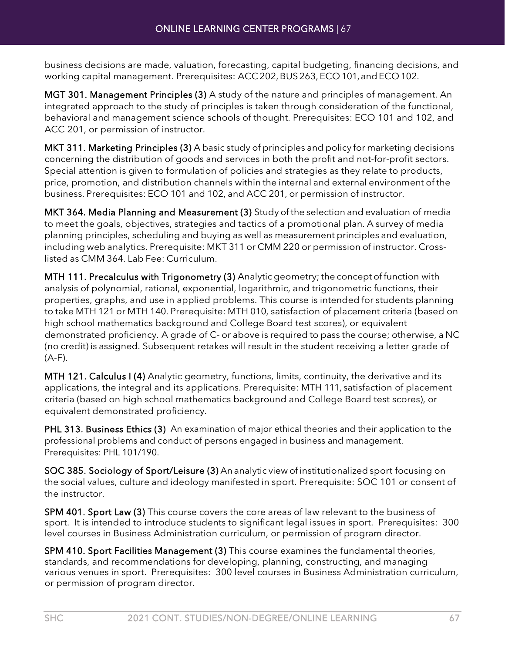business decisions are made, valuation, forecasting, capital budgeting, financing decisions, and working capital management. Prerequisites: ACC 202, BUS 263, ECO 101, and ECO 102.

MGT 301. Management Principles (3) A study of the nature and principles of management. An integrated approach to the study of principles is taken through consideration of the functional, behavioral and management science schools of thought. Prerequisites: ECO 101 and 102, and ACC 201, or permission of instructor.

MKT 311. Marketing Principles (3) A basic study of principles and policy for marketing decisions concerning the distribution of goods and services in both the profit and not-for-profit sectors. Special attention is given to formulation of policies and strategies as they relate to products, price, promotion, and distribution channels within the internal and external environment of the business. Prerequisites: ECO 101 and 102, and ACC 201, or permission of instructor.

MKT 364. Media Planning and Measurement (3) Study of the selection and evaluation of media to meet the goals, objectives, strategies and tactics of a promotional plan. A survey of media planning principles, scheduling and buying as well as measurement principles and evaluation, including web analytics. Prerequisite: MKT 311 or CMM 220 or permission of instructor. Crosslisted as CMM 364. Lab Fee: Curriculum.

MTH 111. Precalculus with Trigonometry (3) Analyticgeometry; the concept of function with analysis of polynomial, rational, exponential, logarithmic, and trigonometric functions, their properties, graphs, and use in applied problems. This course is intended for students planning to take MTH 121 or MTH 140. Prerequisite: MTH 010, satisfaction of placement criteria (based on high school mathematics background and College Board test scores), or equivalent demonstrated proficiency. A grade of C- or above is required to pass the course; otherwise, a NC (no credit) is assigned. Subsequent retakes will result in the student receiving a letter grade of (A-F).

MTH 121. Calculus I (4) Analytic geometry, functions, limits, continuity, the derivative and its applications, the integral and its applications. Prerequisite: MTH 111, satisfaction of placement criteria (based on high school mathematics background and College Board test scores), or equivalent demonstrated proficiency.

PHL 313. Business Ethics (3) An examination of major ethical theories and their application to the professional problems and conduct of persons engaged in business and management. Prerequisites: PHL 101/190.

SOC 385. Sociology of Sport/Leisure (3) An analytic view of institutionalized sport focusing on the social values, culture and ideology manifested in sport. Prerequisite: SOC 101 or consent of the instructor.

SPM 401. Sport Law (3) This course covers the core areas of law relevant to the business of sport. It is intended to introduce students to significant legal issues in sport. Prerequisites: 300 level courses in Business Administration curriculum, or permission of program director.

SPM 410. Sport Facilities Management (3) This course examines the fundamental theories, standards, and recommendations for developing, planning, constructing, and managing various venues in sport. Prerequisites: 300 level courses in Business Administration curriculum, or permission of program director.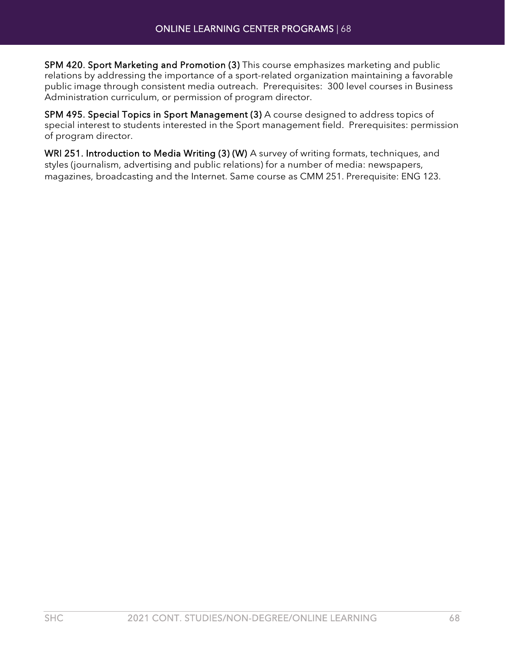SPM 420. Sport Marketing and Promotion (3) This course emphasizes marketing and public relations by addressing the importance of a sport-related organization maintaining a favorable public image through consistent media outreach. Prerequisites: 300 level courses in Business Administration curriculum, or permission of program director.

SPM 495. Special Topics in Sport Management (3) A course designed to address topics of special interest to students interested in the Sport management field. Prerequisites: permission of program director.

WRI 251. Introduction to Media Writing (3) (W) A survey of writing formats, techniques, and styles (journalism, advertising and public relations) for a number of media: newspapers, magazines, broadcasting and the Internet. Same course as CMM 251. Prerequisite: ENG 123.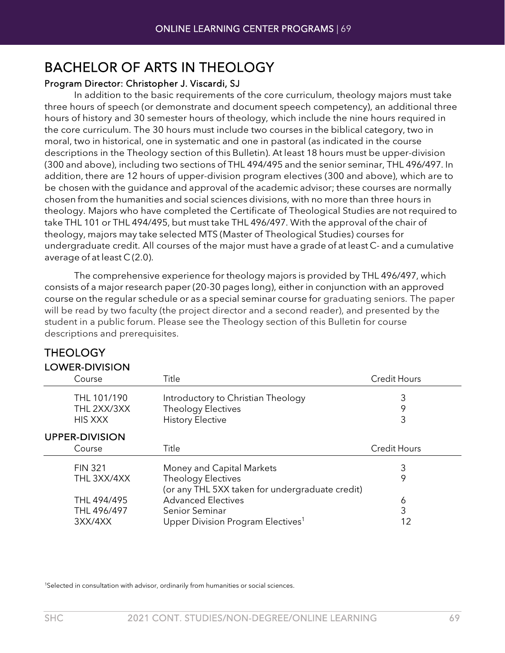### BACHELOR OF ARTS IN THEOLOGY

#### Program Director: Christopher J. Viscardi, SJ

In addition to the basic requirements of the core curriculum, theology majors must take three hours of speech (or demonstrate and document speech competency), an additional three hours of history and 30 semester hours of theology, which include the nine hours required in the core curriculum. The 30 hours must include two courses in the biblical category, two in moral, two in historical, one in systematic and one in pastoral (as indicated in the course descriptions in the Theology section of this Bulletin). At least 18 hours must be upper-division (300 and above), including two sections of THL 494/495 and the senior seminar, THL 496/497. In addition, there are 12 hours of upper-division program electives (300 and above), which are to be chosen with the guidance and approval of the academic advisor; these courses are normally chosen from the humanities and social sciences divisions, with no more than three hours in theology. Majors who have completed the Certificate of Theological Studies are not required to take THL 101 or THL 494/495, but must take THL 496/497. With the approval of the chair of theology, majors may take selected MTS (Master of Theological Studies) courses for undergraduate credit. All courses of the major must have a grade of at least C- and a cumulative average of at least C (2.0).

The comprehensive experience for theology majors is provided by THL 496/497, which consists of a major research paper (20-30 pages long), either in conjunction with an approved course on the regular schedule or as a special seminar course for graduating seniors. The paper will be read by two faculty (the project director and a second reader), and presented by the student in a public forum. Please see the Theology section of this Bulletin for course descriptions and prerequisites.

| <b>LOWER-DIVISION</b> |                                                 |                     |
|-----------------------|-------------------------------------------------|---------------------|
| Course                | Title                                           | <b>Credit Hours</b> |
| THL 101/190           | Introductory to Christian Theology              | 3                   |
| THL 2XX/3XX           | <b>Theology Electives</b>                       | 9                   |
| <b>HIS XXX</b>        | <b>History Elective</b>                         | 3                   |
| <b>UPPER-DIVISION</b> |                                                 |                     |
| Course                | Title                                           | <b>Credit Hours</b> |
| <b>FIN 321</b>        | Money and Capital Markets                       | 3                   |
| THL 3XX/4XX           | <b>Theology Electives</b>                       | 9                   |
|                       | (or any THL 5XX taken for undergraduate credit) |                     |
| THL 494/495           | <b>Advanced Electives</b>                       | 6                   |
| THL 496/497           | Senior Seminar                                  | 3                   |
| 3XX/4XX               | Upper Division Program Electives <sup>1</sup>   | 12                  |

## **THEOLOGY**

<sup>1</sup>Selected in consultation with advisor, ordinarily from humanities or social sciences.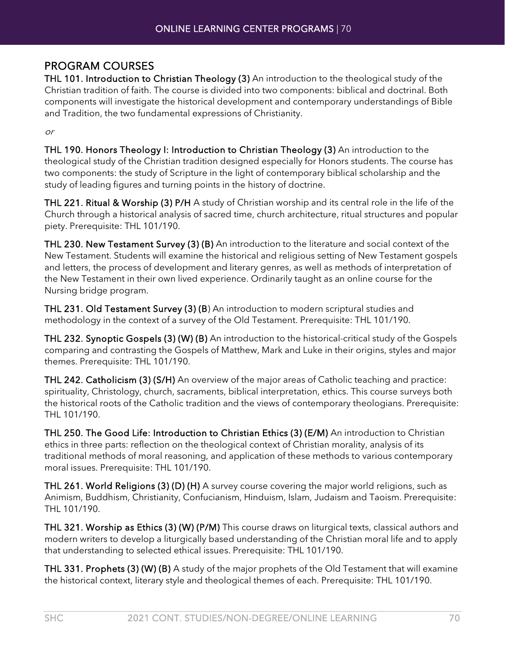#### PROGRAM COURSES

THL 101. Introduction to Christian Theology (3) An introduction to the theological study of the Christian tradition of faith. The course is divided into two components: biblical and doctrinal. Both components will investigate the historical development and contemporary understandings of Bible and Tradition, the two fundamental expressions of Christianity.

or

THL 190. Honors Theology I: Introduction to Christian Theology (3) An introduction to the theological study of the Christian tradition designed especially for Honors students. The course has two components: the study of Scripture in the light of contemporary biblical scholarship and the study of leading figures and turning points in the history of doctrine.

THL 221. Ritual & Worship (3) P/H A study of Christian worship and its central role in the life of the Church through a historical analysis of sacred time, church architecture, ritual structures and popular piety. Prerequisite: THL 101/190.

THL 230. New Testament Survey (3) (B) An introduction to the literature and social context of the New Testament. Students will examine the historical and religious setting of New Testament gospels and letters, the process of development and literary genres, as well as methods of interpretation of the New Testament in their own lived experience. Ordinarily taught as an online course for the Nursing bridge program.

THL 231. Old Testament Survey (3) (B) An introduction to modern scriptural studies and methodology in the context of a survey of the Old Testament. Prerequisite: THL 101/190.

THL 232. Synoptic Gospels (3) (W) (B) An introduction to the historical-critical study of the Gospels comparing and contrasting the Gospels of Matthew, Mark and Luke in their origins, styles and major themes. Prerequisite: THL 101/190.

THL 242. Catholicism (3) (S/H) An overview of the major areas of Catholic teaching and practice: spirituality, Christology, church, sacraments, biblical interpretation, ethics. This course surveys both the historical roots of the Catholic tradition and the views of contemporary theologians. Prerequisite: THL 101/190.

THL 250. The Good Life: Introduction to Christian Ethics (3) (E/M) An introduction to Christian ethics in three parts: reflection on the theological context of Christian morality, analysis of its traditional methods of moral reasoning, and application of these methods to various contemporary moral issues. Prerequisite: THL 101/190.

THL 261. World Religions (3) (D) (H) A survey course covering the major world religions, such as Animism, Buddhism, Christianity, Confucianism, Hinduism, Islam, Judaism and Taoism. Prerequisite: THL 101/190.

THL 321. Worship as Ethics (3) (W) (P/M) This course draws on liturgical texts, classical authors and modern writers to develop a liturgically based understanding of the Christian moral life and to apply that understanding to selected ethical issues. Prerequisite: THL 101/190.

THL 331. Prophets (3) (W) (B) A study of the major prophets of the Old Testament that will examine the historical context, literary style and theological themes of each. Prerequisite: THL 101/190.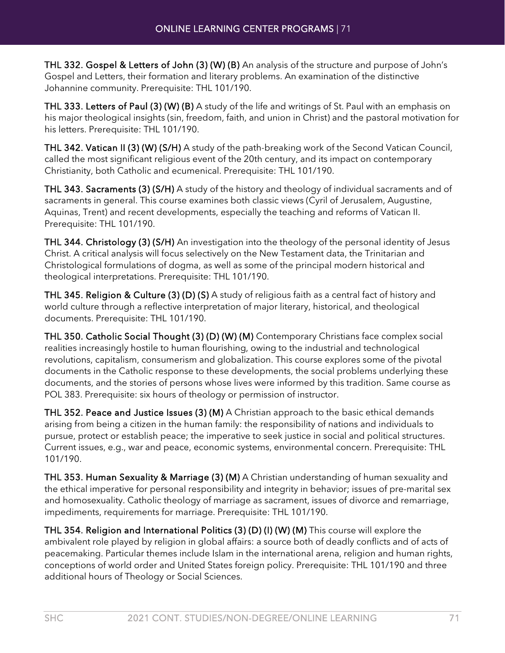THL 332. Gospel & Letters of John (3) (W) (B) An analysis of the structure and purpose of John's Gospel and Letters, their formation and literary problems. An examination of the distinctive Johannine community. Prerequisite: THL 101/190.

THL 333. Letters of Paul (3) (W) (B) A study of the life and writings of St. Paul with an emphasis on his major theological insights (sin, freedom, faith, and union in Christ) and the pastoral motivation for his letters. Prerequisite: THL 101/190.

THL 342. Vatican II (3) (W) (S/H) A study of the path-breaking work of the Second Vatican Council, called the most significant religious event of the 20th century, and its impact on contemporary Christianity, both Catholic and ecumenical. Prerequisite: THL 101/190.

THL 343. Sacraments (3) (S/H) A study of the history and theology of individual sacraments and of sacraments in general. This course examines both classic views (Cyril of Jerusalem, Augustine, Aquinas, Trent) and recent developments, especially the teaching and reforms of Vatican II. Prerequisite: THL 101/190.

THL 344. Christology (3) (S/H) An investigation into the theology of the personal identity of Jesus Christ. A critical analysis will focus selectively on the New Testament data, the Trinitarian and Christological formulations of dogma, as well as some of the principal modern historical and theological interpretations. Prerequisite: THL 101/190.

THL 345. Religion & Culture (3) (D) (S) A study of religious faith as a central fact of history and world culture through a reflective interpretation of major literary, historical, and theological documents. Prerequisite: THL 101/190.

THL 350. Catholic Social Thought (3) (D) (W) (M) Contemporary Christians face complex social realities increasingly hostile to human flourishing, owing to the industrial and technological revolutions, capitalism, consumerism and globalization. This course explores some of the pivotal documents in the Catholic response to these developments, the social problems underlying these documents, and the stories of persons whose lives were informed by this tradition. Same course as POL 383. Prerequisite: six hours of theology or permission of instructor.

THL 352. Peace and Justice Issues (3) (M) A Christian approach to the basic ethical demands arising from being a citizen in the human family: the responsibility of nations and individuals to pursue, protect or establish peace; the imperative to seek justice in social and political structures. Current issues, e.g., war and peace, economic systems, environmental concern. Prerequisite: THL 101/190.

THL 353. Human Sexuality & Marriage (3) (M) A Christian understanding of human sexuality and the ethical imperative for personal responsibility and integrity in behavior; issues of pre-marital sex and homosexuality. Catholic theology of marriage as sacrament, issues of divorce and remarriage, impediments, requirements for marriage. Prerequisite: THL 101/190.

THL 354. Religion and International Politics (3) (D) (I) (W) (M) This course will explore the ambivalent role played by religion in global affairs: a source both of deadly conflicts and of acts of peacemaking. Particular themes include Islam in the international arena, religion and human rights, conceptions of world order and United States foreign policy. Prerequisite: THL 101/190 and three additional hours of Theology or Social Sciences.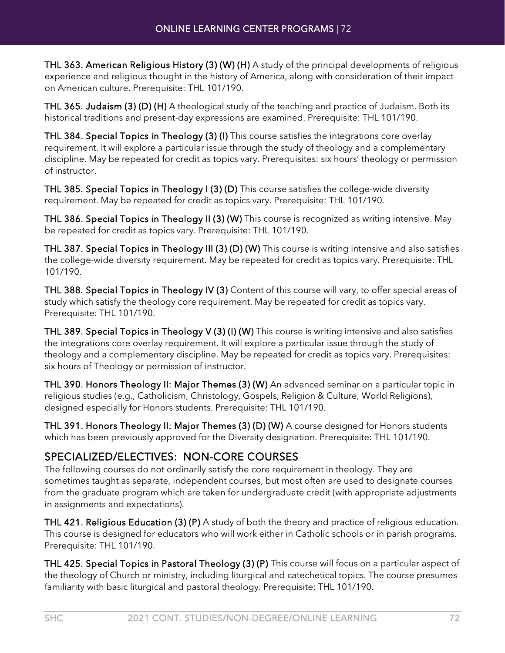THL 363. American Religious History (3) (W) (H) A study of the principal developments of religious experience and religious thought in the history of America, along with consideration of their impact on American culture. Prerequisite: THL 101/190.

THL 365. Judaism (3) (D) (H) A theological study of the teaching and practice of Judaism. Both its historical traditions and present-day expressions are examined. Prerequisite: THL 101/190.

THL 384. Special Topics in Theology (3) (I) This course satisfies the integrations core overlay requirement. It will explore a particular issue through the study of theology and a complementary discipline. May be repeated for credit as topics vary. Prerequisites: six hours' theology or permission of instructor.

THL 385. Special Topics in Theology I (3) (D) This course satisfies the college-wide diversity requirement. May be repeated for credit as topics vary. Prerequisite: THL 101/190.

THL 386. Special Topics in Theology II (3) (W) This course is recognized as writing intensive. May be repeated for credit as topics vary. Prerequisite: THL 101/190.

THL 387. Special Topics in Theology III (3) (D) (W) This course is writing intensive and also satisfies the college-wide diversity requirement. May be repeated for credit as topics vary. Prerequisite: THL 101/190.

THL 388. Special Topics in Theology IV (3) Content of this course will vary, to offer special areas of study which satisfy the theology core requirement. May be repeated for credit as topics vary. Prerequisite: THL 101/190.

THL 389. Special Topics in Theology V (3) (I) (W) This course is writing intensive and also satisfies the integrations core overlay requirement. It will explore a particular issue through the study of theology and a complementary discipline. May be repeated for credit as topics vary. Prerequisites: six hours of Theology or permission of instructor.

THL 390. Honors Theology II: Major Themes (3) (W) An advanced seminar on a particular topic in religious studies (e.g., Catholicism, Christology, Gospels, Religion & Culture, World Religions), designed especially for Honors students. Prerequisite: THL 101/190.

THL 391. Honors Theology II: Major Themes (3) (D) (W) A course designed for Honors students which has been previously approved for the Diversity designation. Prerequisite: THL 101/190.

#### SPECIALIZED/ELECTIVES: NON-CORE COURSES

The following courses do not ordinarily satisfy the core requirement in theology. They are sometimes taught as separate, independent courses, but most often are used to designate courses from the graduate program which are taken for undergraduate credit (with appropriate adjustments in assignments and expectations).

THL 421. Religious Education (3) (P) A study of both the theory and practice of religious education. This course is designed for educators who will work either in Catholic schools or in parish programs. Prerequisite: THL 101/190.

THL 425. Special Topics in Pastoral Theology (3) (P) This course will focus on a particular aspect of the theology of Church or ministry, including liturgical and catechetical topics. The course presumes familiarity with basic liturgical and pastoral theology. Prerequisite: THL 101/190.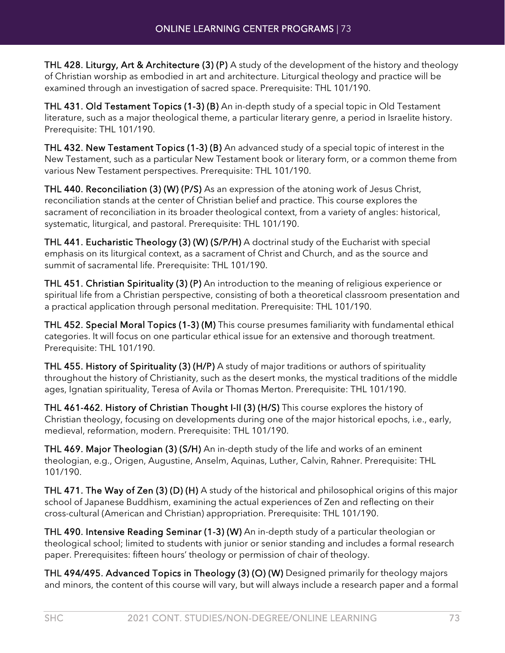THL 428. Liturgy, Art & Architecture (3) (P) A study of the development of the history and theology of Christian worship as embodied in art and architecture. Liturgical theology and practice will be examined through an investigation of sacred space. Prerequisite: THL 101/190.

THL 431. Old Testament Topics (1-3) (B) An in-depth study of a special topic in Old Testament literature, such as a major theological theme, a particular literary genre, a period in Israelite history. Prerequisite: THL 101/190.

THL 432. New Testament Topics (1-3) (B) An advanced study of a special topic of interest in the New Testament, such as a particular New Testament book or literary form, or a common theme from various New Testament perspectives. Prerequisite: THL 101/190.

THL 440. Reconciliation (3) (W) (P/S) As an expression of the atoning work of Jesus Christ, reconciliation stands at the center of Christian belief and practice. This course explores the sacrament of reconciliation in its broader theological context, from a variety of angles: historical, systematic, liturgical, and pastoral. Prerequisite: THL 101/190.

THL 441. Eucharistic Theology (3) (W) (S/P/H) A doctrinal study of the Eucharist with special emphasis on its liturgical context, as a sacrament of Christ and Church, and as the source and summit of sacramental life. Prerequisite: THL 101/190.

THL 451. Christian Spirituality (3) (P) An introduction to the meaning of religious experience or spiritual life from a Christian perspective, consisting of both a theoretical classroom presentation and a practical application through personal meditation. Prerequisite: THL 101/190.

THL 452. Special Moral Topics (1-3) (M) This course presumes familiarity with fundamental ethical categories. It will focus on one particular ethical issue for an extensive and thorough treatment. Prerequisite: THL 101/190.

THL 455. History of Spirituality (3) (H/P) A study of major traditions or authors of spirituality throughout the history of Christianity, such as the desert monks, the mystical traditions of the middle ages, Ignatian spirituality, Teresa of Avila or Thomas Merton. Prerequisite: THL 101/190.

THL 461-462. History of Christian Thought I-II (3) (H/S) This course explores the history of Christian theology, focusing on developments during one of the major historical epochs, i.e., early, medieval, reformation, modern. Prerequisite: THL 101/190.

THL 469. Major Theologian (3) (S/H) An in-depth study of the life and works of an eminent theologian, e.g., Origen, Augustine, Anselm, Aquinas, Luther, Calvin, Rahner. Prerequisite: THL 101/190.

THL 471. The Way of Zen (3) (D) (H) A study of the historical and philosophical origins of this major school of Japanese Buddhism, examining the actual experiences of Zen and reflecting on their cross-cultural (American and Christian) appropriation. Prerequisite: THL 101/190.

THL 490. Intensive Reading Seminar (1-3) (W) An in-depth study of a particular theologian or theological school; limited to students with junior or senior standing and includes a formal research paper. Prerequisites: fifteen hours' theology or permission of chair of theology.

THL 494/495. Advanced Topics in Theology (3) (O) (W) Designed primarily for theology majors and minors, the content of this course will vary, but will always include a research paper and a formal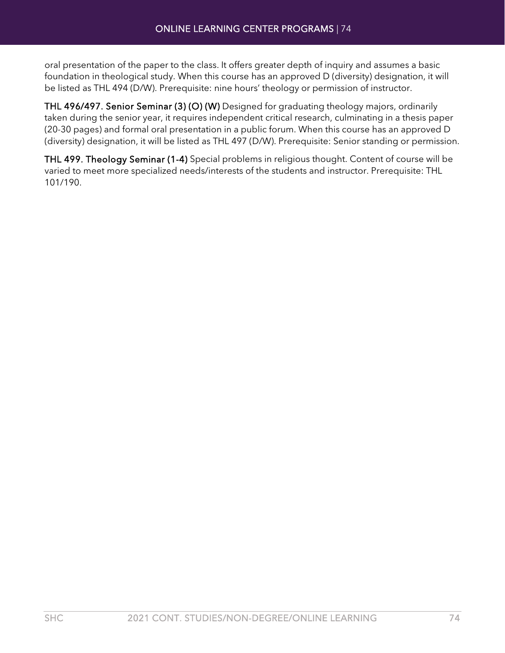oral presentation of the paper to the class. It offers greater depth of inquiry and assumes a basic foundation in theological study. When this course has an approved D (diversity) designation, it will be listed as THL 494 (D/W). Prerequisite: nine hours' theology or permission of instructor.

THL 496/497. Senior Seminar (3) (O) (W) Designed for graduating theology majors, ordinarily taken during the senior year, it requires independent critical research, culminating in a thesis paper (20-30 pages) and formal oral presentation in a public forum. When this course has an approved D (diversity) designation, it will be listed as THL 497 (D/W). Prerequisite: Senior standing or permission.

THL 499. Theology Seminar (1-4) Special problems in religious thought. Content of course will be varied to meet more specialized needs/interests of the students and instructor. Prerequisite: THL 101/190.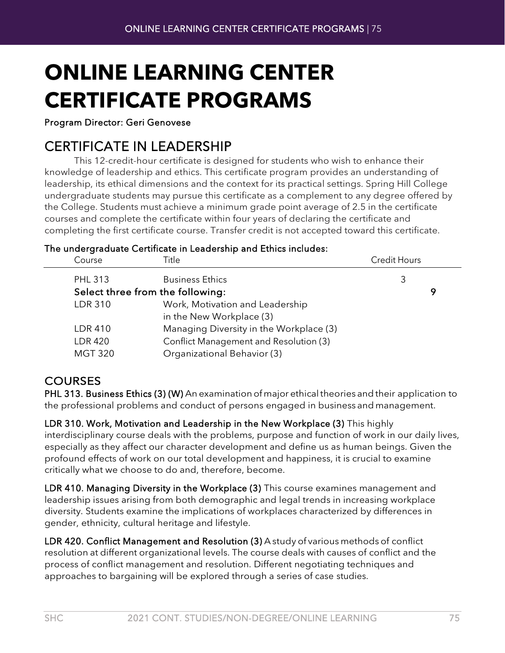# **ONLINE LEARNING CENTER CERTIFICATE PROGRAMS**

Program Director: Geri Genovese

CERTIFICATE IN LEADERSHIP This 12-credit-hour certificate is designed for students who wish to enhance their knowledge of leadership and ethics. This certificate program provides an understanding of leadership, its ethical dimensions and the context for its practical settings. Spring Hill College undergraduate students may pursue this certificate as a complement to any degree offered by the College. Students must achieve a minimum grade point average of 2.5 in the certificate courses and complete the certificate within four years of declaring the certificate and completing the first certificate course. Transfer credit is not accepted toward this certificate.

The undergraduate Certificate in Leadership and Ethics includes:

| Course                           | Title                                   | <b>Credit Hours</b> |   |
|----------------------------------|-----------------------------------------|---------------------|---|
| <b>PHL 313</b>                   | <b>Business Ethics</b>                  | 3                   |   |
| Select three from the following: |                                         |                     | 9 |
| <b>LDR 310</b>                   | Work, Motivation and Leadership         |                     |   |
|                                  | in the New Workplace (3)                |                     |   |
| <b>LDR 410</b>                   | Managing Diversity in the Workplace (3) |                     |   |
| <b>LDR 420</b>                   | Conflict Management and Resolution (3)  |                     |   |
| <b>MGT 320</b>                   | Organizational Behavior (3)             |                     |   |
|                                  |                                         |                     |   |

### **COURSES**

PHL 313. Business Ethics (3) (W) An examination of major ethical theories and their application to the professional problems and conduct of persons engaged in business and management.

LDR 310. Work, Motivation and Leadership in the New Workplace (3) This highly interdisciplinary course deals with the problems, purpose and function of work in our daily lives, especially as they affect our character development and define us as human beings. Given the profound effects of work on our total development and happiness, it is crucial to examine critically what we choose to do and, therefore, become.

LDR 410. Managing Diversity in the Workplace (3) This course examines management and leadership issues arising from both demographic and legal trends in increasing workplace diversity. Students examine the implications of workplaces characterized by differences in gender, ethnicity, cultural heritage and lifestyle.

LDR 420. Conflict Management and Resolution (3) A study of various methods of conflict resolution at different organizational levels. The course deals with causes of conflict and the process of conflict management and resolution. Different negotiating techniques and approaches to bargaining will be explored through a series of case studies.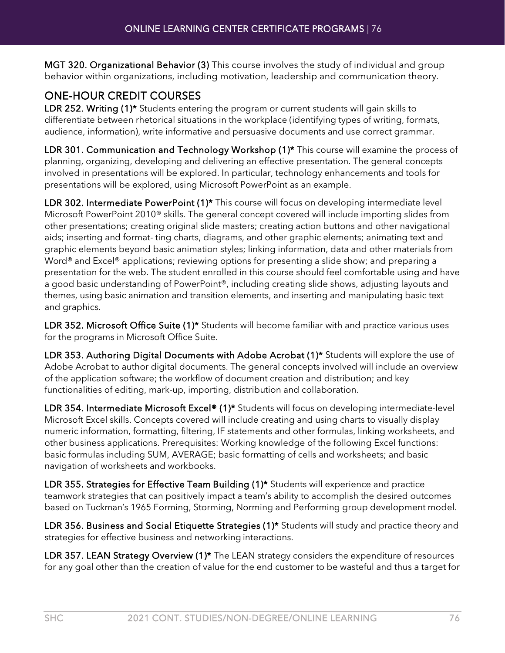MGT 320. Organizational Behavior (3) This course involves the study of individual and group behavior within organizations, including motivation, leadership and communication theory.

### ONE-HOUR CREDIT COURSES

LDR 252. Writing (1)<sup>\*</sup> Students entering the program or current students will gain skills to differentiate between rhetorical situations in the workplace (identifying types of writing, formats, audience, information), write informative and persuasive documents and use correct grammar.

LDR 301. Communication and Technology Workshop (1)<sup>\*</sup> This course will examine the process of planning, organizing, developing and delivering an effective presentation. The general concepts involved in presentations will be explored. In particular, technology enhancements and tools for presentations will be explored, using Microsoft PowerPoint as an example.

LDR 302. Intermediate PowerPoint (1)<sup>\*</sup> This course will focus on developing intermediate level Microsoft PowerPoint 2010® skills. The general concept covered will include importing slides from other presentations; creating original slide masters; creating action buttons and other navigational aids; inserting and format- ting charts, diagrams, and other graphic elements; animating text and graphic elements beyond basic animation styles; linking information, data and other materials from Word<sup>®</sup> and Excel<sup>®</sup> applications; reviewing options for presenting a slide show; and preparing a presentation for the web. The student enrolled in this course should feel comfortable using and have a good basic understanding of PowerPoint®, including creating slide shows, adjusting layouts and themes, using basic animation and transition elements, and inserting and manipulating basic text and graphics.

LDR 352. Microsoft Office Suite (1)<sup>\*</sup> Students will become familiar with and practice various uses for the programs in Microsoft Office Suite.

LDR 353. Authoring Digital Documents with Adobe Acrobat (1)\* Students will explore the use of Adobe Acrobat to author digital documents. The general concepts involved will include an overview of the application software; the workflow of document creation and distribution; and key functionalities of editing, mark-up, importing, distribution and collaboration.

LDR 354. Intermediate Microsoft Excel® (1)\* Students will focus on developing intermediate-level Microsoft Excel skills. Concepts covered will include creating and using charts to visually display numeric information, formatting, filtering, IF statements and other formulas, linking worksheets, and other business applications. Prerequisites: Working knowledge of the following Excel functions: basic formulas including SUM, AVERAGE; basic formatting of cells and worksheets; and basic navigation of worksheets and workbooks.

LDR 355. Strategies for Effective Team Building (1)\* Students will experience and practice teamwork strategies that can positively impact a team's ability to accomplish the desired outcomes based on Tuckman's 1965 Forming, Storming, Norming and Performing group development model.

LDR 356. Business and Social Etiquette Strategies (1)\* Students will study and practice theory and strategies for effective business and networking interactions.

LDR 357. LEAN Strategy Overview (1)<sup>\*</sup> The LEAN strategy considers the expenditure of resources for any goal other than the creation of value for the end customer to be wasteful and thus a target for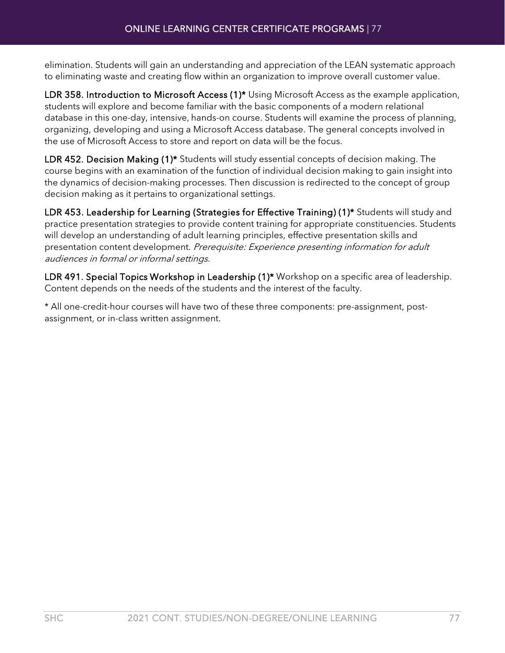elimination. Students will gain an understanding and appreciation of the LEAN systematic approach to eliminating waste and creating flow within an organization to improve overall customer value.

LDR 358. Introduction to Microsoft Access (1)<sup>\*</sup> Using Microsoft Access as the example application, students will explore and become familiar with the basic components of a modern relational database in this one-day, intensive, hands-on course. Students will examine the process of planning, organizing, developing and using a Microsoft Access database. The general concepts involved in the use of Microsoft Access to store and report on data will be the focus.

LDR 452. Decision Making (1)\* Students will study essential concepts of decision making. The course begins with an examination of the function of individual decision making to gain insight into the dynamics of decision-making processes. Then discussion is redirected to the concept of group decision making as it pertains to organizational settings.

LDR 453. Leadership for Learning (Strategies for Effective Training) (1)\* Students will study and practice presentation strategies to provide content training for appropriate constituencies. Students will develop an understanding of adult learning principles, effective presentation skills and presentation content development. Prerequisite: Experience presenting information for adult audiences in formal or informal settings.

LDR 491. Special Topics Workshop in Leadership (1)<sup>\*</sup> Workshop on a specific area of leadership. Content depends on the needs of the students and the interest of the faculty.

\* All one-credit-hour courses will have two of these three components: pre-assignment, postassignment, or in-class written assignment.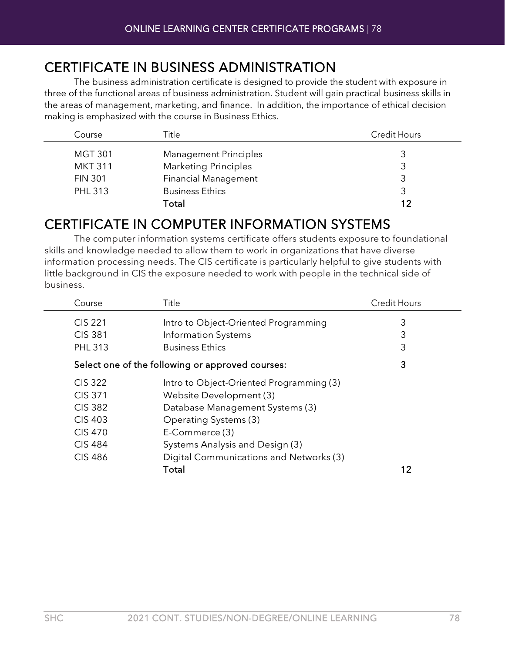# CERTIFICATE IN BUSINESS ADMINISTRATION The business administration certificate is designed to provide the student with exposure in

three of the functional areas of business administration. Student will gain practical business skills in the areas of management, marketing, and finance. In addition, the importance of ethical decision making is emphasized with the course in Business Ethics.

| Course         | Title                        | <b>Credit Hours</b> |
|----------------|------------------------------|---------------------|
| <b>MGT 301</b> | <b>Management Principles</b> |                     |
| <b>MKT 311</b> | <b>Marketing Principles</b>  | 3                   |
| <b>FIN 301</b> | <b>Financial Management</b>  |                     |
| <b>PHL 313</b> | <b>Business Ethics</b>       |                     |
|                | Total                        | 12                  |

# CERTIFICATE IN COMPUTER INFORMATION SYSTEMS The computer information systems certificate offers students exposure to foundational

skills and knowledge needed to allow them to work in organizations that have diverse information processing needs. The CIS certificate is particularly helpful to give students with little background in CIS the exposure needed to work with people in the technical side of business.

| Course         | Title                                            | <b>Credit Hours</b> |
|----------------|--------------------------------------------------|---------------------|
| <b>CIS 221</b> | Intro to Object-Oriented Programming             | 3                   |
| <b>CIS 381</b> | Information Systems                              | 3                   |
| <b>PHL 313</b> | <b>Business Ethics</b>                           | 3                   |
|                | Select one of the following or approved courses: | 3                   |
| <b>CIS 322</b> | Intro to Object-Oriented Programming (3)         |                     |
| <b>CIS 371</b> | Website Development (3)                          |                     |
| <b>CIS 382</b> | Database Management Systems (3)                  |                     |
| <b>CIS 403</b> | Operating Systems (3)                            |                     |
| <b>CIS 470</b> | E-Commerce (3)                                   |                     |
| <b>CIS 484</b> | Systems Analysis and Design (3)                  |                     |
| <b>CIS 486</b> | Digital Communications and Networks (3)          |                     |
|                | Total                                            | 12                  |
|                |                                                  |                     |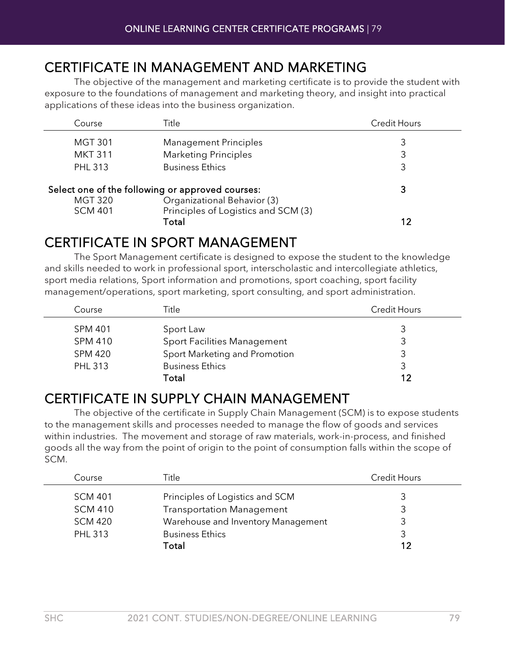# CERTIFICATE IN MANAGEMENT AND MARKETING The objective of the management and marketing certificate is to provide the student with

exposure to the foundations of management and marketing theory, and insight into practical applications of these ideas into the business organization.

| Course                                                                                            | Title                                        | <b>Credit Hours</b> |
|---------------------------------------------------------------------------------------------------|----------------------------------------------|---------------------|
| <b>MGT 301</b>                                                                                    | <b>Management Principles</b>                 | 3                   |
| <b>MKT 311</b>                                                                                    | <b>Marketing Principles</b>                  | 3                   |
| <b>PHL 313</b>                                                                                    | <b>Business Ethics</b>                       | 3                   |
| Select one of the following or approved courses:<br>Organizational Behavior (3)<br><b>MGT 320</b> |                                              | 3                   |
| <b>SCM 401</b>                                                                                    | Principles of Logistics and SCM (3)<br>Total |                     |

## CERTIFICATE IN SPORT MANAGEMENT The Sport Management certificate is designed to expose the student to the knowledge

and skills needed to work in professional sport, interscholastic and intercollegiate athletics, sport media relations, Sport information and promotions, sport coaching, sport facility management/operations, sport marketing, sport consulting, and sport administration.

| Course         | Title                         | <b>Credit Hours</b> |
|----------------|-------------------------------|---------------------|
| <b>SPM 401</b> | Sport Law                     |                     |
| <b>SPM 410</b> | Sport Facilities Management   |                     |
| <b>SPM 420</b> | Sport Marketing and Promotion |                     |
| <b>PHL 313</b> | <b>Business Ethics</b>        |                     |
|                | Total                         | 12                  |

# CERTIFICATE IN SUPPLY CHAIN MANAGEMENT The objective of the certificate in Supply Chain Management (SCM) is to expose students

to the management skills and processes needed to manage the flow of goods and services within industries. The movement and storage of raw materials, work-in-process, and finished goods all the way from the point of origin to the point of consumption falls within the scope of SCM.

| Course         | Title                              | Credit Hours |
|----------------|------------------------------------|--------------|
| <b>SCM 401</b> | Principles of Logistics and SCM    |              |
| <b>SCM 410</b> | <b>Transportation Management</b>   |              |
| <b>SCM 420</b> | Warehouse and Inventory Management |              |
| <b>PHL 313</b> | <b>Business Ethics</b>             |              |
|                | Total                              |              |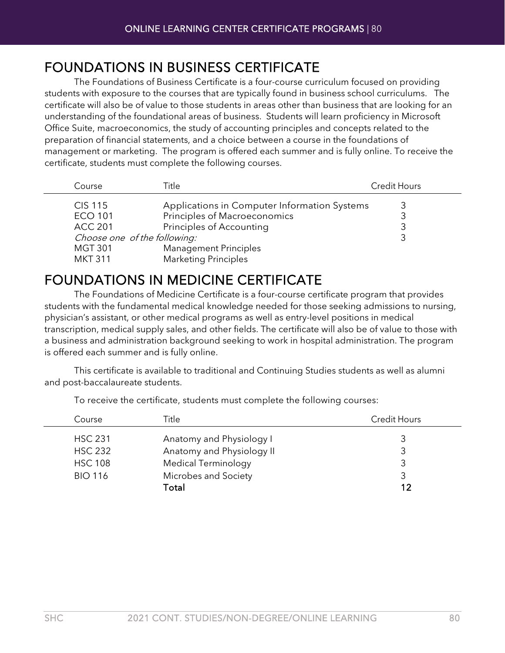# FOUNDATIONS IN BUSINESS CERTIFICATE The Foundations of Business Certificate is a four-course curriculum focused on providing

students with exposure to the courses that are typically found in business school curriculums. The certificate will also be of value to those students in areas other than business that are looking for an understanding of the foundational areas of business. Students will learn proficiency in Microsoft Office Suite, macroeconomics, the study of accounting principles and concepts related to the preparation of financial statements, and a choice between a course in the foundations of management or marketing. The program is offered each summer and is fully online. To receive the certificate, students must complete the following courses.

| Course                       | Title                                        | <b>Credit Hours</b> |
|------------------------------|----------------------------------------------|---------------------|
| <b>CIS 115</b>               | Applications in Computer Information Systems |                     |
| <b>ECO 101</b>               | Principles of Macroeconomics                 |                     |
| <b>ACC 201</b>               | Principles of Accounting                     |                     |
| Choose one of the following: |                                              |                     |
| <b>MGT 301</b>               | <b>Management Principles</b>                 |                     |
| <b>MKT 311</b>               | <b>Marketing Principles</b>                  |                     |

# FOUNDATIONS IN MEDICINE CERTIFICATE The Foundations of Medicine Certificate is a four-course certificate program that provides

students with the fundamental medical knowledge needed for those seeking admissions to nursing, physician's assistant, or other medical programs as well as entry-level positions in medical transcription, medical supply sales, and other fields. The certificate will also be of value to those with a business and administration background seeking to work in hospital administration. The program is offered each summer and is fully online.

This certificate is available to traditional and Continuing Studies students as well as alumni and post-baccalaureate students.

| Title                      | <b>Credit Hours</b>      |
|----------------------------|--------------------------|
|                            |                          |
| Anatomy and Physiology II  | 3                        |
| <b>Medical Terminology</b> |                          |
| Microbes and Society       |                          |
| Total                      | 12                       |
|                            | Anatomy and Physiology I |

To receive the certificate, students must complete the following courses: